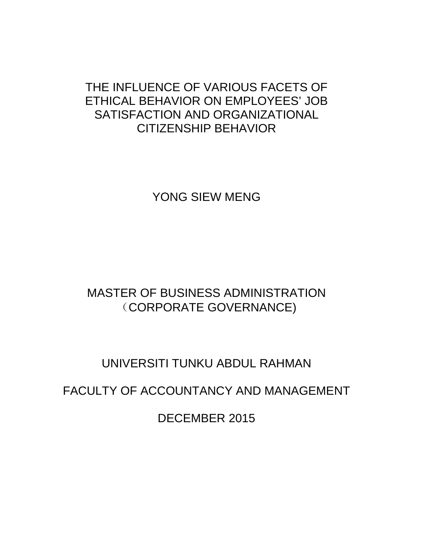# THE INFLUENCE OF VARIOUS FACETS OF ETHICAL BEHAVIOR ON EMPLOYEES' JOB SATISFACTION AND ORGANIZATIONAL CITIZENSHIP BEHAVIOR

YONG SIEW MENG

# MASTER OF BUSINESS ADMINISTRATION (CORPORATE GOVERNANCE)

# UNIVERSITI TUNKU ABDUL RAHMAN

FACULTY OF ACCOUNTANCY AND MANAGEMENT

DECEMBER 2015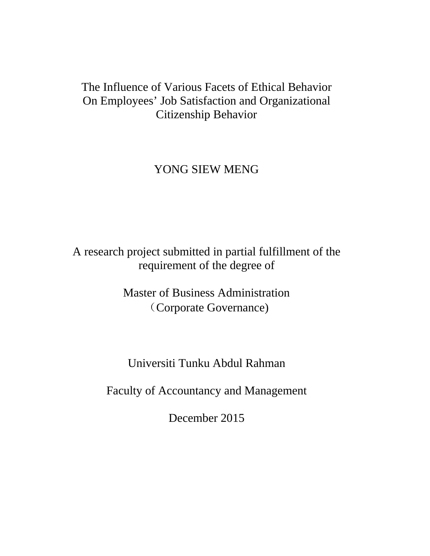# The Influence of Various Facets of Ethical Behavior On Employees' Job Satisfaction and Organizational Citizenship Behavior

# YONG SIEW MENG

A research project submitted in partial fulfillment of the requirement of the degree of

> Master of Business Administration (Corporate Governance)

Universiti Tunku Abdul Rahman

Faculty of Accountancy and Management

December 2015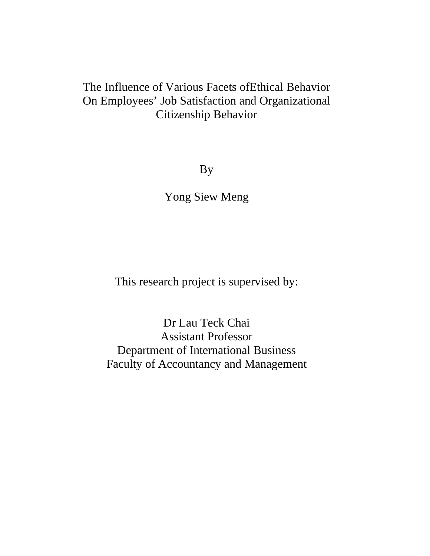# The Influence of Various Facets ofEthical Behavior On Employees' Job Satisfaction and Organizational Citizenship Behavior

By

Yong Siew Meng

This research project is supervised by:

Dr Lau Teck Chai Assistant Professor Department of International Business Faculty of Accountancy and Management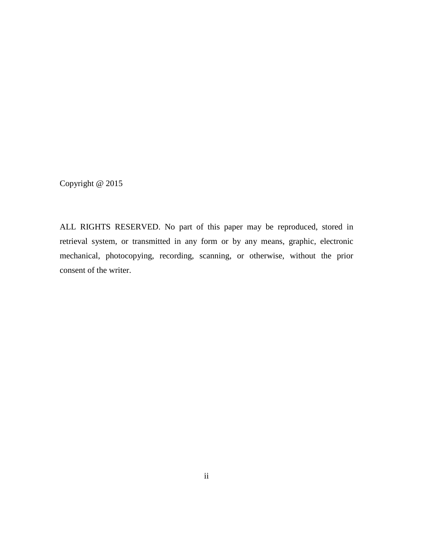Copyright @ 2015

ALL RIGHTS RESERVED. No part of this paper may be reproduced, stored in retrieval system, or transmitted in any form or by any means, graphic, electronic mechanical, photocopying, recording, scanning, or otherwise, without the prior consent of the writer.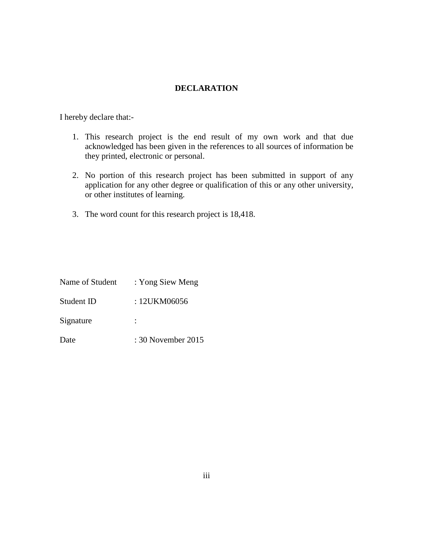#### **DECLARATION**

I hereby declare that:-

- 1. This research project is the end result of my own work and that due acknowledged has been given in the references to all sources of information be they printed, electronic or personal.
- 2. No portion of this research project has been submitted in support of any application for any other degree or qualification of this or any other university, or other institutes of learning.
- 3. The word count for this research project is 18,418.

| Name of Student | : Yong Siew Meng   |
|-----------------|--------------------|
| Student ID      | : 12UKM06056       |
| Signature       |                    |
| Date            | : 30 November 2015 |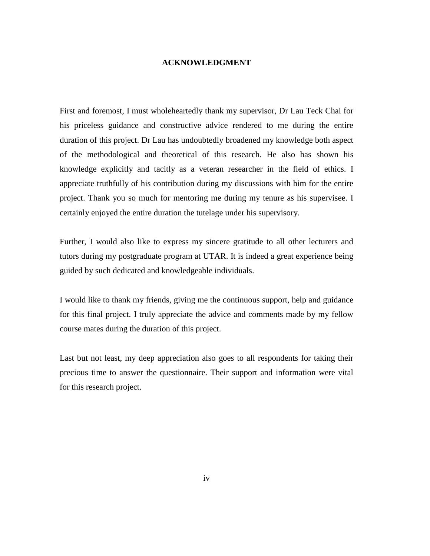#### **ACKNOWLEDGMENT**

First and foremost, I must wholeheartedly thank my supervisor, Dr Lau Teck Chai for his priceless guidance and constructive advice rendered to me during the entire duration of this project. Dr Lau has undoubtedly broadened my knowledge both aspect of the methodological and theoretical of this research. He also has shown his knowledge explicitly and tacitly as a veteran researcher in the field of ethics. I appreciate truthfully of his contribution during my discussions with him for the entire project. Thank you so much for mentoring me during my tenure as his supervisee. I certainly enjoyed the entire duration the tutelage under his supervisory.

Further, I would also like to express my sincere gratitude to all other lecturers and tutors during my postgraduate program at UTAR. It is indeed a great experience being guided by such dedicated and knowledgeable individuals.

I would like to thank my friends, giving me the continuous support, help and guidance for this final project. I truly appreciate the advice and comments made by my fellow course mates during the duration of this project.

Last but not least, my deep appreciation also goes to all respondents for taking their precious time to answer the questionnaire. Their support and information were vital for this research project.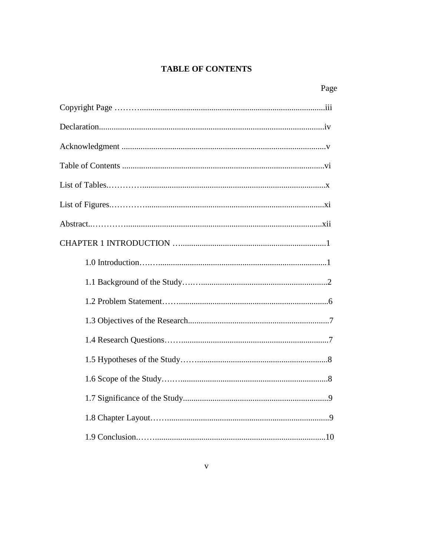#### **TABLE OF CONTENTS**

| Page |  |
|------|--|
|      |  |
|      |  |
|      |  |
|      |  |
|      |  |
|      |  |
|      |  |
|      |  |
|      |  |
|      |  |
|      |  |
|      |  |
|      |  |
|      |  |
|      |  |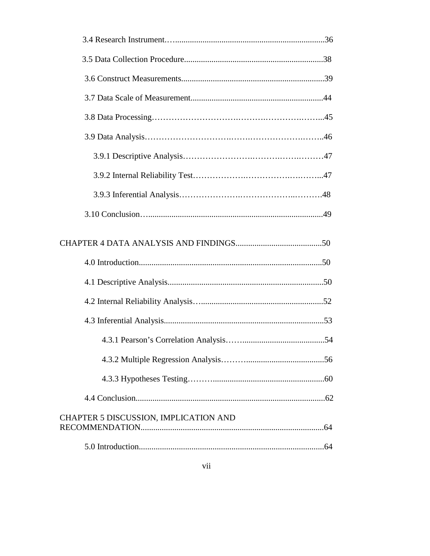| CHAPTER 5 DISCUSSION, IMPLICATION AND |  |
|---------------------------------------|--|
|                                       |  |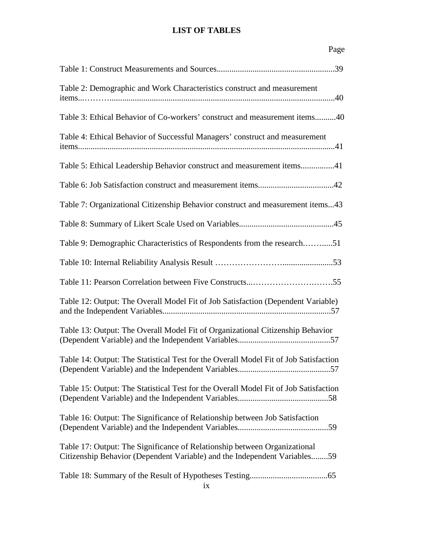#### **LIST OF TABLES**

| Page                                                                                                                                                   |
|--------------------------------------------------------------------------------------------------------------------------------------------------------|
|                                                                                                                                                        |
| Table 2: Demographic and Work Characteristics construct and measurement                                                                                |
| Table 3: Ethical Behavior of Co-workers' construct and measurement items40                                                                             |
| Table 4: Ethical Behavior of Successful Managers' construct and measurement                                                                            |
| Table 5: Ethical Leadership Behavior construct and measurement items41                                                                                 |
|                                                                                                                                                        |
| Table 7: Organizational Citizenship Behavior construct and measurement items43                                                                         |
|                                                                                                                                                        |
| Table 9: Demographic Characteristics of Respondents from the research51                                                                                |
|                                                                                                                                                        |
| Table 11: Pearson Correlation between Five Constructs55                                                                                                |
| Table 12: Output: The Overall Model Fit of Job Satisfaction (Dependent Variable)                                                                       |
| Table 13: Output: The Overall Model Fit of Organizational Citizenship Behavior                                                                         |
| Table 14: Output: The Statistical Test for the Overall Model Fit of Job Satisfaction                                                                   |
| Table 15: Output: The Statistical Test for the Overall Model Fit of Job Satisfaction                                                                   |
| Table 16: Output: The Significance of Relationship between Job Satisfaction                                                                            |
| Table 17: Output: The Significance of Relationship between Organizational<br>Citizenship Behavior (Dependent Variable) and the Independent Variables59 |
| ix                                                                                                                                                     |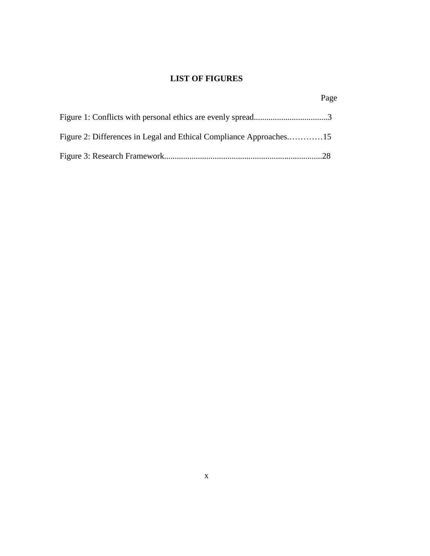## **LIST OF FIGURES**

|                                                                    | Page |
|--------------------------------------------------------------------|------|
|                                                                    |      |
| Figure 2: Differences in Legal and Ethical Compliance Approaches15 |      |
|                                                                    |      |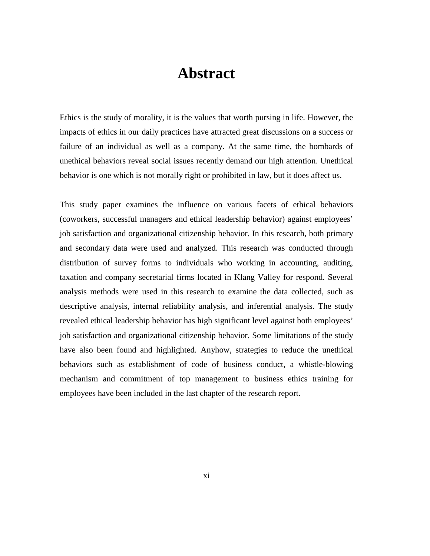# **Abstract**

Ethics is the study of morality, it is the values that worth pursing in life. However, the impacts of ethics in our daily practices have attracted great discussions on a success or failure of an individual as well as a company. At the same time, the bombards of unethical behaviors reveal social issues recently demand our high attention. Unethical behavior is one which is not morally right or prohibited in law, but it does affect us.

This study paper examines the influence on various facets of ethical behaviors (coworkers, successful managers and ethical leadership behavior) against employees' job satisfaction and organizational citizenship behavior. In this research, both primary and secondary data were used and analyzed. This research was conducted through distribution of survey forms to individuals who working in accounting, auditing, taxation and company secretarial firms located in Klang Valley for respond. Several analysis methods were used in this research to examine the data collected, such as descriptive analysis, internal reliability analysis, and inferential analysis. The study revealed ethical leadership behavior has high significant level against both employees' job satisfaction and organizational citizenship behavior. Some limitations of the study have also been found and highlighted. Anyhow, strategies to reduce the unethical behaviors such as establishment of code of business conduct, a whistle-blowing mechanism and commitment of top management to business ethics training for employees have been included in the last chapter of the research report.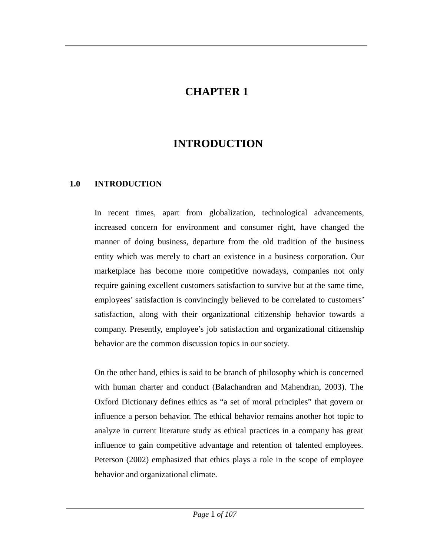## **CHAPTER 1**

# **INTRODUCTION**

#### **1.0 INTRODUCTION**

In recent times, apart from globalization, technological advancements, increased concern for environment and consumer right, have changed the manner of doing business, departure from the old tradition of the business entity which was merely to chart an existence in a business corporation. Our marketplace has become more competitive nowadays, companies not only require gaining excellent customers satisfaction to survive but at the same time, employees' satisfaction is convincingly believed to be correlated to customers' satisfaction, along with their organizational citizenship behavior towards a company. Presently, employee's job satisfaction and organizational citizenship behavior are the common discussion topics in our society.

On the other hand, ethics is said to be branch of philosophy which is concerned with human charter and conduct (Balachandran and Mahendran, 2003). The Oxford Dictionary defines ethics as "a set of moral principles" that govern or influence a person behavior. The ethical behavior remains another hot topic to analyze in current literature study as ethical practices in a company has great influence to gain competitive advantage and retention of talented employees. Peterson (2002) emphasized that ethics plays a role in the scope of employee behavior and organizational climate.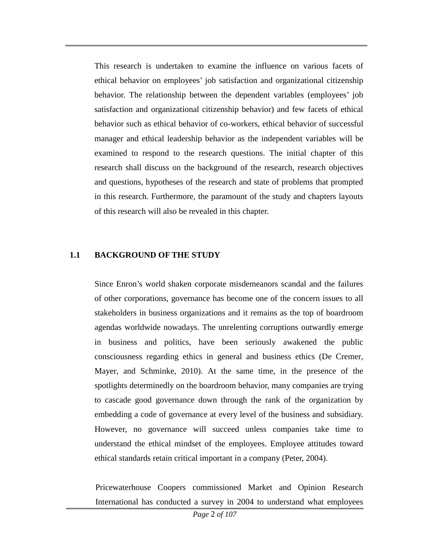This research is undertaken to examine the influence on various facets of ethical behavior on employees' job satisfaction and organizational citizenship behavior. The relationship between the dependent variables (employees' job satisfaction and organizational citizenship behavior) and few facets of ethical behavior such as ethical behavior of co-workers, ethical behavior of successful manager and ethical leadership behavior as the independent variables will be examined to respond to the research questions. The initial chapter of this research shall discuss on the background of the research, research objectives and questions, hypotheses of the research and state of problems that prompted in this research. Furthermore, the paramount of the study and chapters layouts of this research will also be revealed in this chapter.

#### **1.1 BACKGROUND OF THE STUDY**

Since Enron's world shaken corporate misdemeanors scandal and the failures of other corporations, governance has become one of the concern issues to all stakeholders in business organizations and it remains as the top of boardroom agendas worldwide nowadays. The unrelenting corruptions outwardly emerge in business and politics, have been seriously awakened the public consciousness regarding ethics in general and business ethics (De Cremer, Mayer, and Schminke, 2010). At the same time, in the presence of the spotlights determinedly on the boardroom behavior, many companies are trying to cascade good governance down through the rank of the organization by embedding a code of governance at every level of the business and subsidiary. However, no governance will succeed unless companies take time to understand the ethical mindset of the employees. Employee attitudes toward ethical standards retain critical important in a company (Peter, 2004).

Pricewaterhouse Coopers commissioned Market and Opinion Research International has conducted a survey in 2004 to understand what employees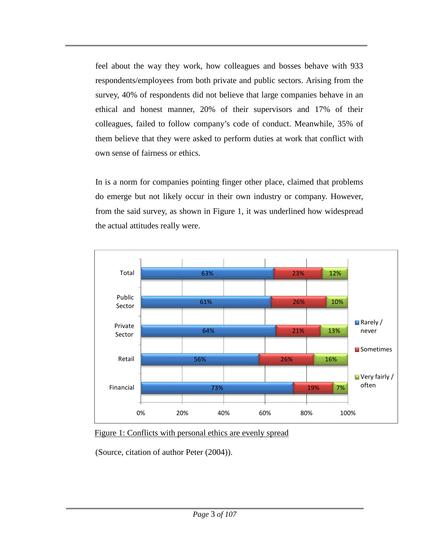feel about the way they work, how colleagues and bosses behave with 933 respondents/employees from both private and public sectors. Arising from the survey, 40% of respondents did not believe that large companies behave in an ethical and honest manner, 20% of their supervisors and 17% of their colleagues, failed to follow company's code of conduct. Meanwhile, 35% of them believe that they were asked to perform duties at work that conflict with own sense of fairness or ethics.

In is a norm for companies pointing finger other place, claimed that problems do emerge but not likely occur in their own industry or company. However, from the said survey, as shown in Figure 1, it was underlined how widespread the actual attitudes really were.



Figure 1: Conflicts with personal ethics are evenly spread

(Source, citation of author Peter (2004)).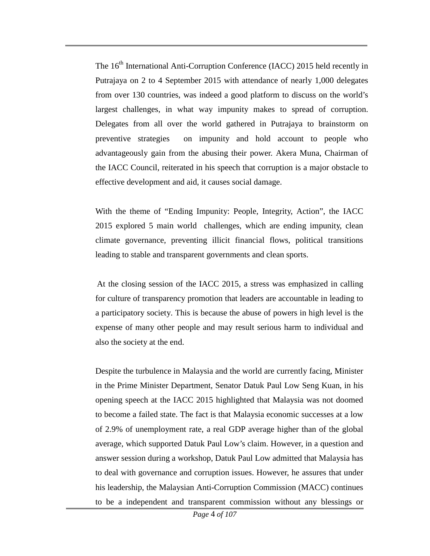The 16<sup>th</sup> International Anti-Corruption Conference (IACC) 2015 held recently in Putrajaya on 2 to 4 September 2015 with attendance of nearly 1,000 delegates from over 130 countries, was indeed a good platform to discuss on the world's largest challenges, in what way impunity makes to spread of corruption. Delegates from all over the world gathered in Putrajaya to brainstorm on preventive strategies on impunity and hold account to people who advantageously gain from the abusing their power. Akera Muna, Chairman of the IACC Council, reiterated in his speech that corruption is a major obstacle to effective development and aid, it causes social damage.

With the theme of "Ending Impunity: People, Integrity, Action", the IACC 2015 explored 5 main world challenges, which are ending impunity, clean climate governance, preventing illicit financial flows, political transitions leading to stable and transparent governments and clean sports.

At the closing session of the IACC 2015, a stress was emphasized in calling for culture of transparency promotion that leaders are accountable in leading to a participatory society. This is because the abuse of powers in high level is the expense of many other people and may result serious harm to individual and also the society at the end.

Despite the turbulence in Malaysia and the world are currently facing, Minister in the Prime Minister Department, Senator Datuk Paul Low Seng Kuan, in his opening speech at the IACC 2015 highlighted that Malaysia was not doomed to become a failed state. The fact is that Malaysia economic successes at a low of 2.9% of unemployment rate, a real GDP average higher than of the global average, which supported Datuk Paul Low's claim. However, in a question and answer session during a workshop, Datuk Paul Low admitted that Malaysia has to deal with governance and corruption issues. However, he assures that under his leadership, the Malaysian Anti-Corruption Commission (MACC) continues to be a independent and transparent commission without any blessings or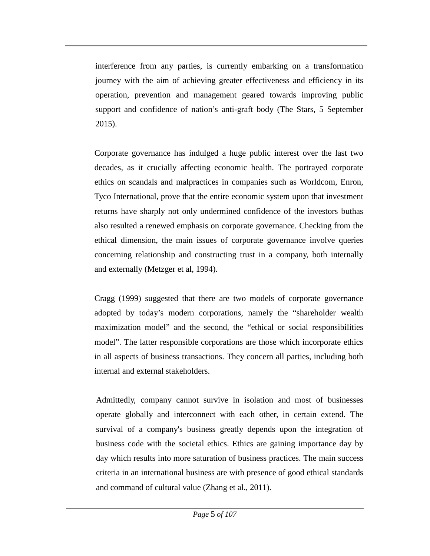interference from any parties, is currently embarking on a transformation journey with the aim of achieving greater effectiveness and efficiency in its operation, prevention and management geared towards improving public support and confidence of nation's anti-graft body (The Stars, 5 September 2015).

Corporate governance has indulged a huge public interest over the last two decades, as it crucially affecting economic health. The portrayed corporate ethics on scandals and malpractices in companies such as Worldcom, Enron, Tyco International, prove that the entire economic system upon that investment returns have sharply not only undermined confidence of the investors buthas also resulted a renewed emphasis on corporate governance. Checking from the ethical dimension, the main issues of corporate governance involve queries concerning relationship and constructing trust in a company, both internally and externally (Metzger et al, 1994).

Cragg (1999) suggested that there are two models of corporate governance adopted by today's modern corporations, namely the "shareholder wealth maximization model" and the second, the "ethical or social responsibilities model". The latter responsible corporations are those which incorporate ethics in all aspects of business transactions. They concern all parties, including both internal and external stakeholders.

Admittedly, company cannot survive in isolation and most of businesses operate globally and interconnect with each other, in certain extend. The survival of a company's business greatly depends upon the integration of business code with the societal ethics. Ethics are gaining importance day by day which results into more saturation of business practices. The main success criteria in an international business are with presence of good ethical standards and command of cultural value (Zhang et al., 2011).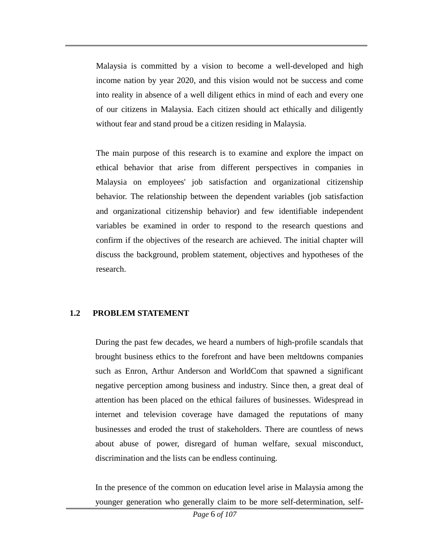Malaysia is committed by a vision to become a well-developed and high income nation by year 2020, and this vision would not be success and come into reality in absence of a well diligent ethics in mind of each and every one of our citizens in Malaysia. Each citizen should act ethically and diligently without fear and stand proud be a citizen residing in Malaysia.

The main purpose of this research is to examine and explore the impact on ethical behavior that arise from different perspectives in companies in Malaysia on employees' job satisfaction and organizational citizenship behavior. The relationship between the dependent variables (job satisfaction and organizational citizenship behavior) and few identifiable independent variables be examined in order to respond to the research questions and confirm if the objectives of the research are achieved. The initial chapter will discuss the background, problem statement, objectives and hypotheses of the research.

## **1.2 PROBLEM STATEMENT**

During the past few decades, we heard a numbers of high-profile scandals that brought business ethics to the forefront and have been meltdowns companies such as Enron, Arthur Anderson and WorldCom that spawned a significant negative perception among business and industry. Since then, a great deal of attention has been placed on the ethical failures of businesses. Widespread in internet and television coverage have damaged the reputations of many businesses and eroded the trust of stakeholders. There are countless of news about abuse of power, disregard of human welfare, sexual misconduct, discrimination and the lists can be endless continuing.

In the presence of the common on education level arise in Malaysia among the younger generation who generally claim to be more self-determination, self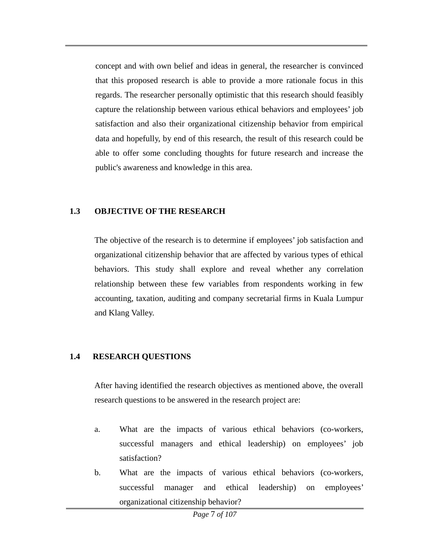concept and with own belief and ideas in general, the researcher is convinced that this proposed research is able to provide a more rationale focus in this regards. The researcher personally optimistic that this research should feasibly capture the relationship between various ethical behaviors and employees' job satisfaction and also their organizational citizenship behavior from empirical data and hopefully, by end of this research, the result of this research could be able to offer some concluding thoughts for future research and increase the public's awareness and knowledge in this area.

#### **1.3 OBJECTIVE OF THE RESEARCH**

The objective of the research is to determine if employees' job satisfaction and organizational citizenship behavior that are affected by various types of ethical behaviors. This study shall explore and reveal whether any correlation relationship between these few variables from respondents working in few accounting, taxation, auditing and company secretarial firms in Kuala Lumpur and Klang Valley.

## **1.4 RESEARCH QUESTIONS**

After having identified the research objectives as mentioned above, the overall research questions to be answered in the research project are:

- a. What are the impacts of various ethical behaviors (co-workers, successful managers and ethical leadership) on employees' job satisfaction?
- b. What are the impacts of various ethical behaviors (co-workers, successful manager and ethical leadership) on employees' organizational citizenship behavior?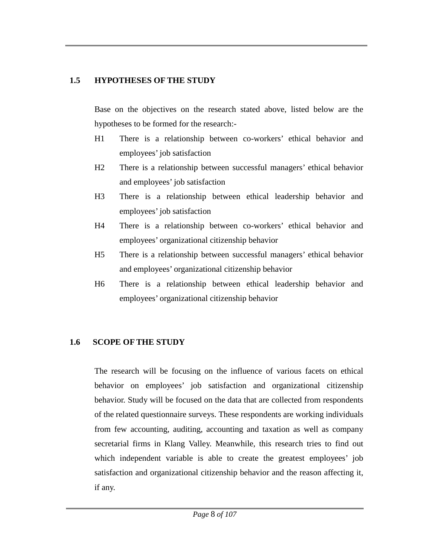#### **1.5 HYPOTHESES OF THE STUDY**

Base on the objectives on the research stated above, listed below are the hypotheses to be formed for the research:-

- H1 There is a relationship between co-workers' ethical behavior and employees' job satisfaction
- H2 There is a relationship between successful managers' ethical behavior and employees' job satisfaction
- H3 There is a relationship between ethical leadership behavior and employees' job satisfaction
- H4 There is a relationship between co-workers' ethical behavior and employees' organizational citizenship behavior
- H5 There is a relationship between successful managers' ethical behavior and employees' organizational citizenship behavior
- H6 There is a relationship between ethical leadership behavior and employees' organizational citizenship behavior

## **1.6 SCOPE OF THE STUDY**

The research will be focusing on the influence of various facets on ethical behavior on employees' job satisfaction and organizational citizenship behavior. Study will be focused on the data that are collected from respondents of the related questionnaire surveys. These respondents are working individuals from few accounting, auditing, accounting and taxation as well as company secretarial firms in Klang Valley. Meanwhile, this research tries to find out which independent variable is able to create the greatest employees' job satisfaction and organizational citizenship behavior and the reason affecting it, if any.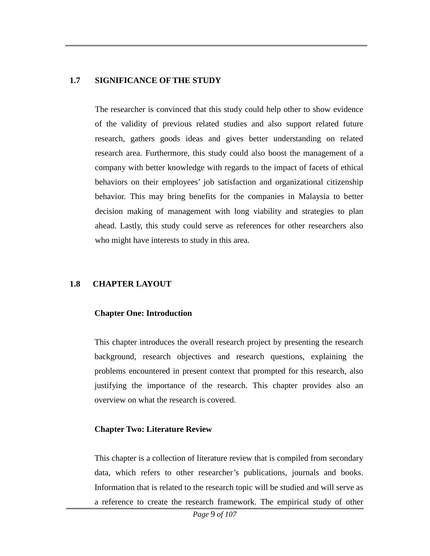#### **1.7 SIGNIFICANCE OF THE STUDY**

The researcher is convinced that this study could help other to show evidence of the validity of previous related studies and also support related future research, gathers goods ideas and gives better understanding on related research area. Furthermore, this study could also boost the management of a company with better knowledge with regards to the impact of facets of ethical behaviors on their employees' job satisfaction and organizational citizenship behavior. This may bring benefits for the companies in Malaysia to better decision making of management with long viability and strategies to plan ahead. Lastly, this study could serve as references for other researchers also who might have interests to study in this area.

## **1.8 CHAPTER LAYOUT**

#### **Chapter One: Introduction**

This chapter introduces the overall research project by presenting the research background, research objectives and research questions, explaining the problems encountered in present context that prompted for this research, also justifying the importance of the research. This chapter provides also an overview on what the research is covered.

#### **Chapter Two: Literature Review**

This chapter is a collection of literature review that is compiled from secondary data, which refers to other researcher's publications, journals and books. Information that is related to the research topic will be studied and will serve as a reference to create the research framework. The empirical study of other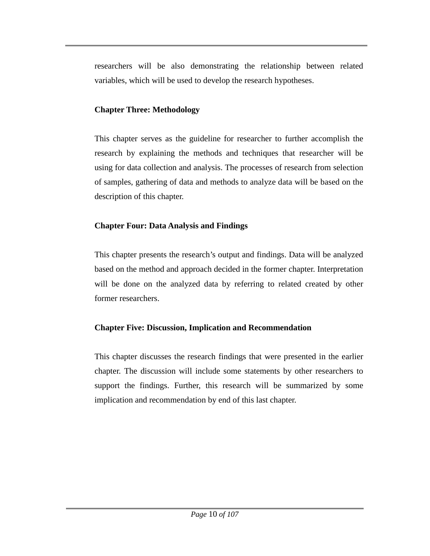researchers will be also demonstrating the relationship between related variables, which will be used to develop the research hypotheses.

## **Chapter Three: Methodology**

This chapter serves as the guideline for researcher to further accomplish the research by explaining the methods and techniques that researcher will be using for data collection and analysis. The processes of research from selection of samples, gathering of data and methods to analyze data will be based on the description of this chapter.

## **Chapter Four: Data Analysis and Findings**

This chapter presents the research's output and findings. Data will be analyzed based on the method and approach decided in the former chapter. Interpretation will be done on the analyzed data by referring to related created by other former researchers.

## **Chapter Five: Discussion, Implication and Recommendation**

This chapter discusses the research findings that were presented in the earlier chapter. The discussion will include some statements by other researchers to support the findings. Further, this research will be summarized by some implication and recommendation by end of this last chapter.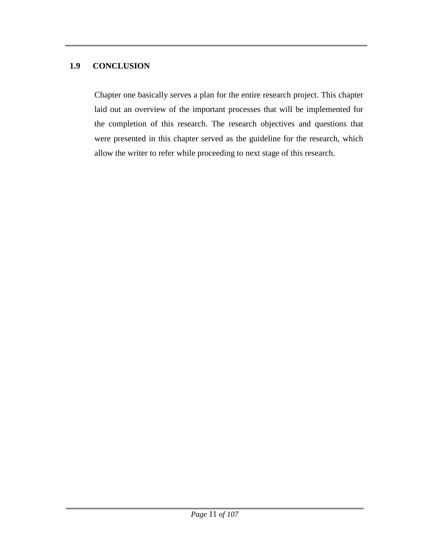#### **1.9 CONCLUSION**

Chapter one basically serves a plan for the entire research project. This chapter laid out an overview of the important processes that will be implemented for the completion of this research. The research objectives and questions that were presented in this chapter served as the guideline for the research, which allow the writer to refer while proceeding to next stage of this research.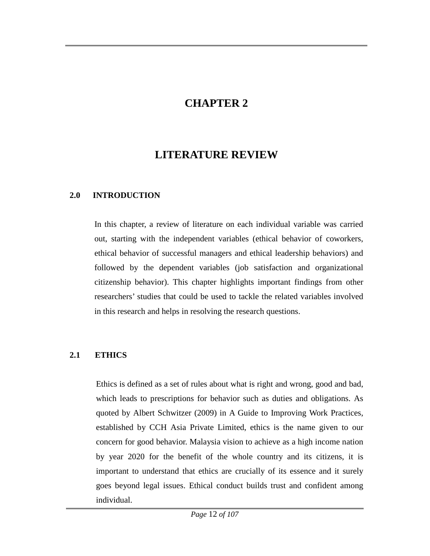## **CHAPTER 2**

## **LITERATURE REVIEW**

## **2.0 INTRODUCTION**

In this chapter, a review of literature on each individual variable was carried out, starting with the independent variables (ethical behavior of coworkers, ethical behavior of successful managers and ethical leadership behaviors) and followed by the dependent variables (job satisfaction and organizational citizenship behavior). This chapter highlights important findings from other researchers' studies that could be used to tackle the related variables involved in this research and helps in resolving the research questions.

## **2.1 ETHICS**

Ethics is defined as a set of rules about what is right and wrong, good and bad, which leads to prescriptions for behavior such as duties and obligations. As quoted by Albert Schwitzer (2009) in A Guide to Improving Work Practices, established by CCH Asia Private Limited, ethics is the name given to our concern for good behavior. Malaysia vision to achieve as a high income nation by year 2020 for the benefit of the whole country and its citizens, it is important to understand that ethics are crucially of its essence and it surely goes beyond legal issues. Ethical conduct builds trust and confident among individual.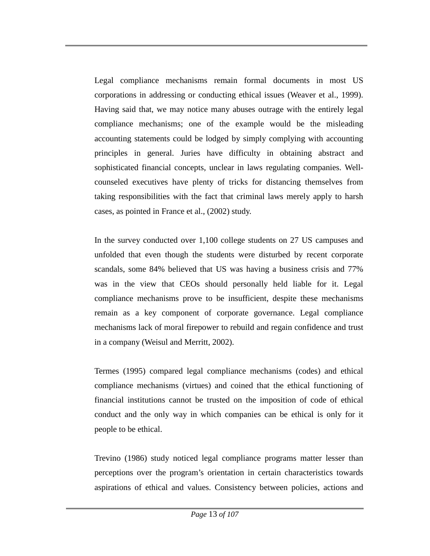Legal compliance mechanisms remain formal documents in most US corporations in addressing or conducting ethical issues (Weaver et al., 1999). Having said that, we may notice many abuses outrage with the entirely legal compliance mechanisms; one of the example would be the misleading accounting statements could be lodged by simply complying with accounting principles in general. Juries have difficulty in obtaining abstract and sophisticated financial concepts, unclear in laws regulating companies. Wellcounseled executives have plenty of tricks for distancing themselves from taking responsibilities with the fact that criminal laws merely apply to harsh cases, as pointed in France et al., (2002) study.

In the survey conducted over 1,100 college students on 27 US campuses and unfolded that even though the students were disturbed by recent corporate scandals, some 84% believed that US was having a business crisis and 77% was in the view that CEOs should personally held liable for it. Legal compliance mechanisms prove to be insufficient, despite these mechanisms remain as a key component of corporate governance. Legal compliance mechanisms lack of moral firepower to rebuild and regain confidence and trust in a company (Weisul and Merritt, 2002).

Termes (1995) compared legal compliance mechanisms (codes) and ethical compliance mechanisms (virtues) and coined that the ethical functioning of financial institutions cannot be trusted on the imposition of code of ethical conduct and the only way in which companies can be ethical is only for it people to be ethical.

Trevino (1986) study noticed legal compliance programs matter lesser than perceptions over the program's orientation in certain characteristics towards aspirations of ethical and values. Consistency between policies, actions and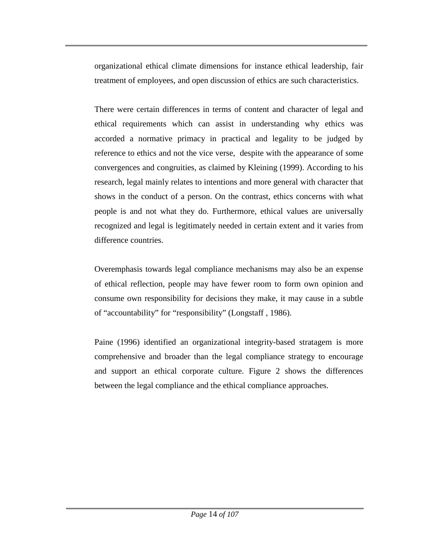organizational ethical climate dimensions for instance ethical leadership, fair treatment of employees, and open discussion of ethics are such characteristics.

There were certain differences in terms of content and character of legal and ethical requirements which can assist in understanding why ethics was accorded a normative primacy in practical and legality to be judged by reference to ethics and not the vice verse, despite with the appearance of some convergences and congruities, as claimed by Kleining (1999). According to his research, legal mainly relates to intentions and more general with character that shows in the conduct of a person. On the contrast, ethics concerns with what people is and not what they do. Furthermore, ethical values are universally recognized and legal is legitimately needed in certain extent and it varies from difference countries.

Overemphasis towards legal compliance mechanisms may also be an expense of ethical reflection, people may have fewer room to form own opinion and consume own responsibility for decisions they make, it may cause in a subtle of "accountability" for "responsibility" (Longstaff , 1986).

Paine (1996) identified an organizational integrity-based stratagem is more comprehensive and broader than the legal compliance strategy to encourage and support an ethical corporate culture. Figure 2 shows the differences between the legal compliance and the ethical compliance approaches.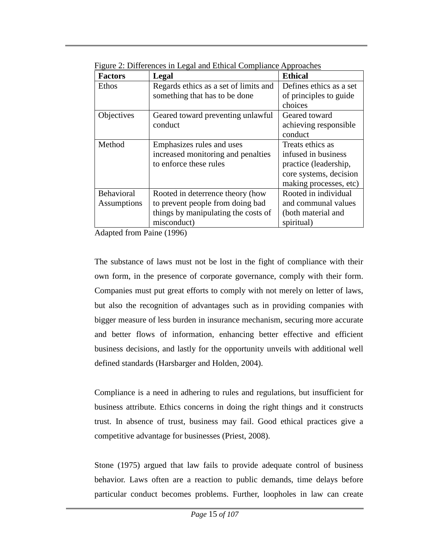| <b>Factors</b> | Legal                                 | <b>Ethical</b>          |
|----------------|---------------------------------------|-------------------------|
| Ethos          | Regards ethics as a set of limits and | Defines ethics as a set |
|                | something that has to be done         | of principles to guide  |
|                |                                       | choices                 |
| Objectives     | Geared toward preventing unlawful     | Geared toward           |
|                | conduct                               | achieving responsible   |
|                |                                       | conduct                 |
| Method         | Emphasizes rules and uses             | Treats ethics as        |
|                | increased monitoring and penalties    | infused in business     |
|                | to enforce these rules                | practice (leadership,   |
|                |                                       | core systems, decision  |
|                |                                       | making processes, etc)  |
| Behavioral     | Rooted in deterrence theory (how      | Rooted in individual    |
| Assumptions    | to prevent people from doing bad      | and communal values     |
|                | things by manipulating the costs of   | (both material and      |
|                | misconduct)                           | spiritual)              |

Figure 2: Differences in Legal and Ethical Compliance Approaches

Adapted from Paine (1996)

The substance of laws must not be lost in the fight of compliance with their own form, in the presence of corporate governance, comply with their form. Companies must put great efforts to comply with not merely on letter of laws, but also the recognition of advantages such as in providing companies with bigger measure of less burden in insurance mechanism, securing more accurate and better flows of information, enhancing better effective and efficient business decisions, and lastly for the opportunity unveils with additional well defined standards (Harsbarger and Holden, 2004).

Compliance is a need in adhering to rules and regulations, but insufficient for business attribute. Ethics concerns in doing the right things and it constructs trust. In absence of trust, business may fail. Good ethical practices give a competitive advantage for businesses (Priest, 2008).

Stone (1975) argued that law fails to provide adequate control of business behavior. Laws often are a reaction to public demands, time delays before particular conduct becomes problems. Further, loopholes in law can create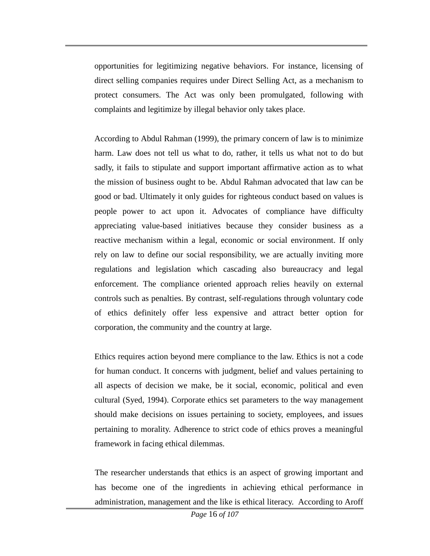opportunities for legitimizing negative behaviors. For instance, licensing of direct selling companies requires under Direct Selling Act, as a mechanism to protect consumers. The Act was only been promulgated, following with complaints and legitimize by illegal behavior only takes place.

According to Abdul Rahman (1999), the primary concern of law is to minimize harm. Law does not tell us what to do, rather, it tells us what not to do but sadly, it fails to stipulate and support important affirmative action as to what the mission of business ought to be. Abdul Rahman advocated that law can be good or bad. Ultimately it only guides for righteous conduct based on values is people power to act upon it. Advocates of compliance have difficulty appreciating value-based initiatives because they consider business as a reactive mechanism within a legal, economic or social environment. If only rely on law to define our social responsibility, we are actually inviting more regulations and legislation which cascading also bureaucracy and legal enforcement. The compliance oriented approach relies heavily on external controls such as penalties. By contrast, self-regulations through voluntary code of ethics definitely offer less expensive and attract better option for corporation, the community and the country at large.

Ethics requires action beyond mere compliance to the law. Ethics is not a code for human conduct. It concerns with judgment, belief and values pertaining to all aspects of decision we make, be it social, economic, political and even cultural (Syed, 1994). Corporate ethics set parameters to the way management should make decisions on issues pertaining to society, employees, and issues pertaining to morality. Adherence to strict code of ethics proves a meaningful framework in facing ethical dilemmas.

The researcher understands that ethics is an aspect of growing important and has become one of the ingredients in achieving ethical performance in administration, management and the like is ethical literacy. According to Aroff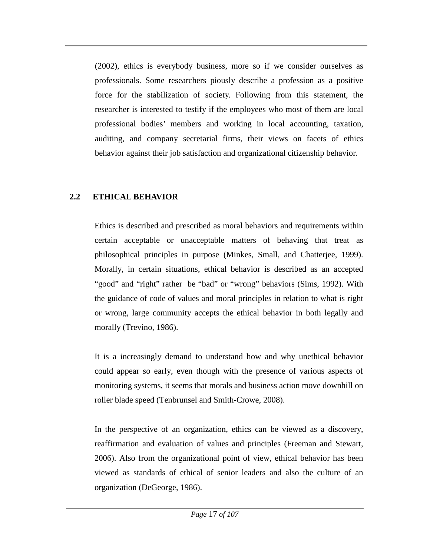(2002), ethics is everybody business, more so if we consider ourselves as professionals. Some researchers piously describe a profession as a positive force for the stabilization of society. Following from this statement, the researcher is interested to testify if the employees who most of them are local professional bodies' members and working in local accounting, taxation, auditing, and company secretarial firms, their views on facets of ethics behavior against their job satisfaction and organizational citizenship behavior.

## **2.2 ETHICAL BEHAVIOR**

Ethics is described and prescribed as moral behaviors and requirements within certain acceptable or unacceptable matters of behaving that treat as philosophical principles in purpose (Minkes, Small, and Chatterjee, 1999). Morally, in certain situations, ethical behavior is described as an accepted "good" and "right" rather be "bad" or "wrong" behaviors (Sims, 1992). With the guidance of code of values and moral principles in relation to what is right or wrong, large community accepts the ethical behavior in both legally and morally (Trevino, 1986).

It is a increasingly demand to understand how and why unethical behavior could appear so early, even though with the presence of various aspects of monitoring systems, it seems that morals and business action move downhill on roller blade speed (Tenbrunsel and Smith-Crowe, 2008).

In the perspective of an organization, ethics can be viewed as a discovery, reaffirmation and evaluation of values and principles (Freeman and Stewart, 2006). Also from the organizational point of view, ethical behavior has been viewed as standards of ethical of senior leaders and also the culture of an organization (DeGeorge, 1986).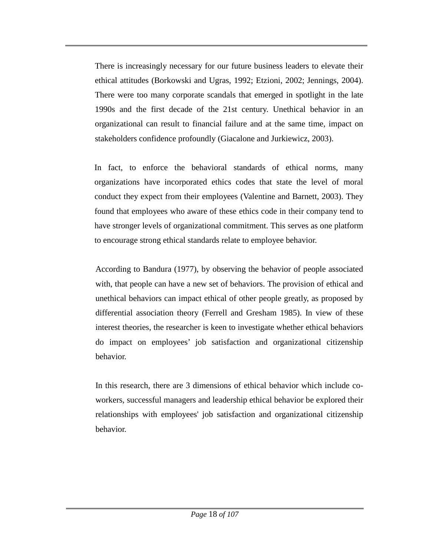There is increasingly necessary for our future business leaders to elevate their ethical attitudes (Borkowski and Ugras, 1992; Etzioni, 2002; Jennings, 2004). There were too many corporate scandals that emerged in spotlight in the late 1990s and the first decade of the 21st century. Unethical behavior in an organizational can result to financial failure and at the same time, impact on stakeholders confidence profoundly (Giacalone and Jurkiewicz, 2003).

In fact, to enforce the behavioral standards of ethical norms, many organizations have incorporated ethics codes that state the level of moral conduct they expect from their employees (Valentine and Barnett, 2003). They found that employees who aware of these ethics code in their company tend to have stronger levels of organizational commitment. This serves as one platform to encourage strong ethical standards relate to employee behavior.

According to Bandura (1977), by observing the behavior of people associated with, that people can have a new set of behaviors. The provision of ethical and unethical behaviors can impact ethical of other people greatly, as proposed by differential association theory (Ferrell and Gresham 1985). In view of these interest theories, the researcher is keen to investigate whether ethical behaviors do impact on employees' job satisfaction and organizational citizenship behavior.

In this research, there are 3 dimensions of ethical behavior which include coworkers, successful managers and leadership ethical behavior be explored their relationships with employees' job satisfaction and organizational citizenship behavior.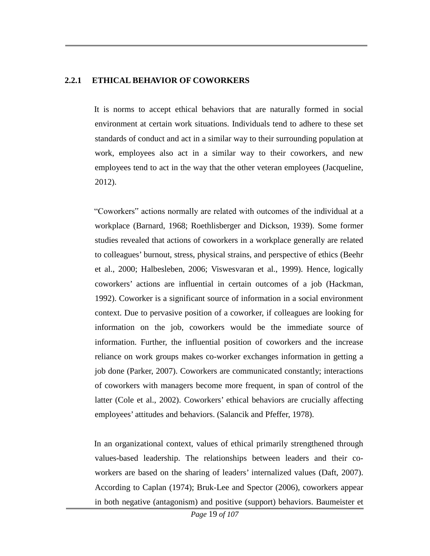#### **2.2.1 ETHICAL BEHAVIOR OF COWORKERS**

It is norms to accept ethical behaviors that are naturally formed in social environment at certain work situations. Individuals tend to adhere to these set standards of conduct and act in a similar way to their surrounding population at work, employees also act in a similar way to their coworkers, and new employees tend to act in the way that the other veteran employees (Jacqueline, 2012).

"Coworkers" actions normally are related with outcomes of the individual at a workplace (Barnard, 1968; Roethlisberger and Dickson, 1939). Some former studies revealed that actions of coworkers in a workplace generally are related to colleagues' burnout, stress, physical strains, and perspective of ethics (Beehr et al., 2000; Halbesleben, 2006; Viswesvaran et al., 1999). Hence, logically coworkers' actions are influential in certain outcomes of a job (Hackman, 1992). Coworker is a significant source of information in a social environment context. Due to pervasive position of a coworker, if colleagues are looking for information on the job, coworkers would be the immediate source of information. Further, the influential position of coworkers and the increase reliance on work groups makes co-worker exchanges information in getting a job done (Parker, 2007). Coworkers are communicated constantly; interactions of coworkers with managers become more frequent, in span of control of the latter (Cole et al., 2002). Coworkers' ethical behaviors are crucially affecting employees' attitudes and behaviors. (Salancik and Pfeffer, 1978).

In an organizational context, values of ethical primarily strengthened through values-based leadership. The relationships between leaders and their coworkers are based on the sharing of leaders' internalized values (Daft, 2007). According to Caplan (1974); Bruk-Lee and Spector (2006), coworkers appear in both negative (antagonism) and positive (support) behaviors. Baumeister et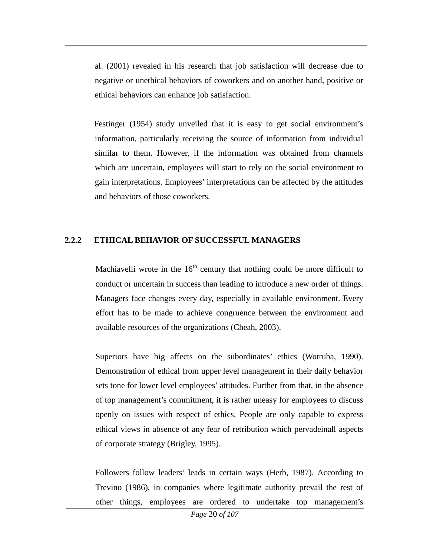al. (2001) revealed in his research that job satisfaction will decrease due to negative or unethical behaviors of coworkers and on another hand, positive or ethical behaviors can enhance job satisfaction.

Festinger (1954) study unveiled that it is easy to get social environment's information, particularly receiving the source of information from individual similar to them. However, if the information was obtained from channels which are uncertain, employees will start to rely on the social environment to gain interpretations. Employees' interpretations can be affected by the attitudes and behaviors of those coworkers.

#### **2.2.2 ETHICAL BEHAVIOR OF SUCCESSFUL MANAGERS**

Machiavelli wrote in the  $16<sup>th</sup>$  century that nothing could be more difficult to conduct or uncertain in success than leading to introduce a new order of things. Managers face changes every day, especially in available environment. Every effort has to be made to achieve congruence between the environment and available resources of the organizations (Cheah, 2003).

Superiors have big affects on the subordinates' ethics (Wotruba, 1990). Demonstration of ethical from upper level management in their daily behavior sets tone for lower level employees' attitudes. Further from that, in the absence of top management's commitment, it is rather uneasy for employees to discuss openly on issues with respect of ethics. People are only capable to express ethical views in absence of any fear of retribution which pervadeinall aspects of corporate strategy (Brigley, 1995).

Followers follow leaders' leads in certain ways (Herb, 1987). According to Trevino (1986), in companies where legitimate authority prevail the rest of other things, employees are ordered to undertake top management's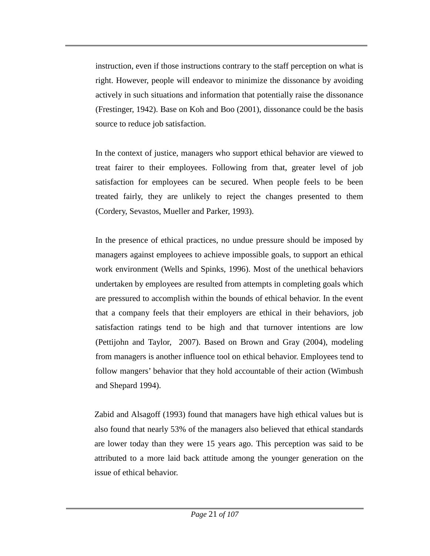instruction, even if those instructions contrary to the staff perception on what is right. However, people will endeavor to minimize the dissonance by avoiding actively in such situations and information that potentially raise the dissonance (Frestinger, 1942). Base on Koh and Boo (2001), dissonance could be the basis source to reduce job satisfaction.

In the context of justice, managers who support ethical behavior are viewed to treat fairer to their employees. Following from that, greater level of job satisfaction for employees can be secured. When people feels to be been treated fairly, they are unlikely to reject the changes presented to them (Cordery, Sevastos, Mueller and Parker, 1993).

In the presence of ethical practices, no undue pressure should be imposed by managers against employees to achieve impossible goals, to support an ethical work environment (Wells and Spinks, 1996). Most of the unethical behaviors undertaken by employees are resulted from attempts in completing goals which are pressured to accomplish within the bounds of ethical behavior. In the event that a company feels that their employers are ethical in their behaviors, job satisfaction ratings tend to be high and that turnover intentions are low (Pettijohn and Taylor, 2007). Based on Brown and Gray (2004), modeling from managers is another influence tool on ethical behavior. Employees tend to follow mangers' behavior that they hold accountable of their action (Wimbush and Shepard 1994).

Zabid and Alsagoff (1993) found that managers have high ethical values but is also found that nearly 53% of the managers also believed that ethical standards are lower today than they were 15 years ago. This perception was said to be attributed to a more laid back attitude among the younger generation on the issue of ethical behavior.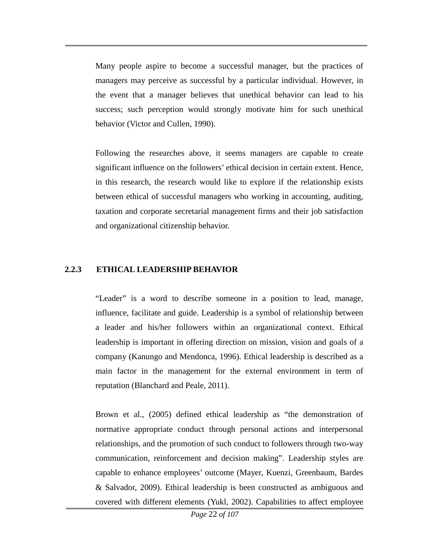Many people aspire to become a successful manager, but the practices of managers may perceive as successful by a particular individual. However, in the event that a manager believes that unethical behavior can lead to his success; such perception would strongly motivate him for such unethical behavior (Victor and Cullen, 1990).

Following the researches above, it seems managers are capable to create significant influence on the followers' ethical decision in certain extent. Hence, in this research, the research would like to explore if the relationship exists between ethical of successful managers who working in accounting, auditing, taxation and corporate secretarial management firms and their job satisfaction and organizational citizenship behavior.

#### **2.2.3 ETHICAL LEADERSHIP BEHAVIOR**

"Leader" is a word to describe someone in a position to lead, manage, influence, facilitate and guide. Leadership is a symbol of relationship between a leader and his/her followers within an organizational context. Ethical leadership is important in offering direction on mission, vision and goals of a company (Kanungo and Mendonca, 1996). Ethical leadership is described as a main factor in the management for the external environment in term of reputation (Blanchard and Peale, 2011).

Brown et al., (2005) defined ethical leadership as "the demonstration of normative appropriate conduct through personal actions and interpersonal relationships, and the promotion of such conduct to followers through two-way communication, reinforcement and decision making". Leadership styles are capable to enhance employees' outcome (Mayer, Kuenzi, Greenbaum, Bardes & Salvador, 2009). Ethical leadership is been constructed as ambiguous and covered with different elements (Yukl, 2002). Capabilities to affect employee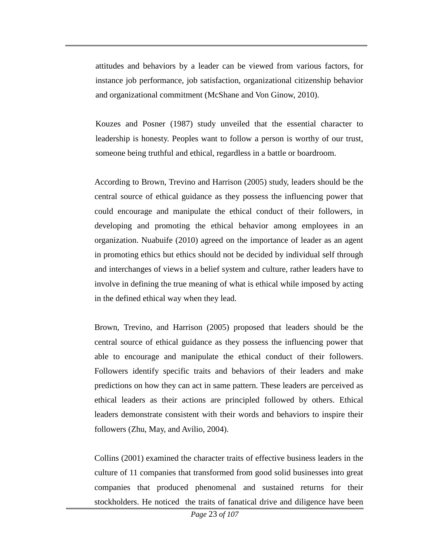attitudes and behaviors by a leader can be viewed from various factors, for instance job performance, job satisfaction, organizational citizenship behavior and organizational commitment (McShane and Von Ginow, 2010).

Kouzes and Posner (1987) study unveiled that the essential character to leadership is honesty. Peoples want to follow a person is worthy of our trust, someone being truthful and ethical, regardless in a battle or boardroom.

According to Brown, Trevino and Harrison (2005) study, leaders should be the central source of ethical guidance as they possess the influencing power that could encourage and manipulate the ethical conduct of their followers, in developing and promoting the ethical behavior among employees in an organization. Nuabuife (2010) agreed on the importance of leader as an agent in promoting ethics but ethics should not be decided by individual self through and interchanges of views in a belief system and culture, rather leaders have to involve in defining the true meaning of what is ethical while imposed by acting in the defined ethical way when they lead.

Brown, Trevino, and Harrison (2005) proposed that leaders should be the central source of ethical guidance as they possess the influencing power that able to encourage and manipulate the ethical conduct of their followers. Followers identify specific traits and behaviors of their leaders and make predictions on how they can act in same pattern. These leaders are perceived as ethical leaders as their actions are principled followed by others. Ethical leaders demonstrate consistent with their words and behaviors to inspire their followers (Zhu, May, and Avilio, 2004).

Collins (2001) examined the character traits of effective business leaders in the culture of 11 companies that transformed from good solid businesses into great companies that produced phenomenal and sustained returns for their stockholders. He noticed the traits of fanatical drive and diligence have been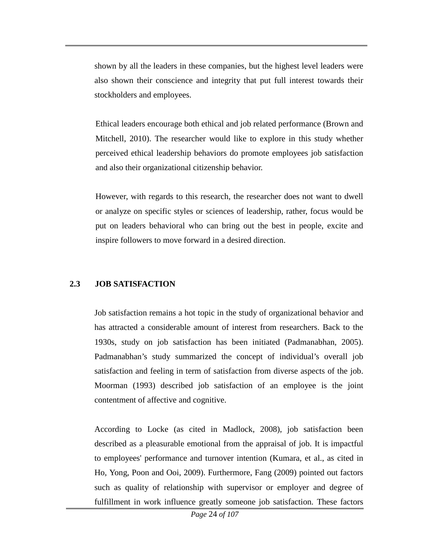shown by all the leaders in these companies, but the highest level leaders were also shown their conscience and integrity that put full interest towards their stockholders and employees.

Ethical leaders encourage both ethical and job related performance (Brown and Mitchell, 2010). The researcher would like to explore in this study whether perceived ethical leadership behaviors do promote employees job satisfaction and also their organizational citizenship behavior.

However, with regards to this research, the researcher does not want to dwell or analyze on specific styles or sciences of leadership, rather, focus would be put on leaders behavioral who can bring out the best in people, excite and inspire followers to move forward in a desired direction.

## **2.3 JOB SATISFACTION**

Job satisfaction remains a hot topic in the study of organizational behavior and has attracted a considerable amount of interest from researchers. Back to the 1930s, study on job satisfaction has been initiated (Padmanabhan, 2005). Padmanabhan's study summarized the concept of individual's overall job satisfaction and feeling in term of satisfaction from diverse aspects of the job. Moorman (1993) described job satisfaction of an employee is the joint contentment of affective and cognitive.

According to Locke (as cited in Madlock, 2008), job satisfaction been described as a pleasurable emotional from the appraisal of job. It is impactful to employees' performance and turnover intention (Kumara, et al., as cited in Ho, Yong, Poon and Ooi, 2009). Furthermore, Fang (2009) pointed out factors such as quality of relationship with supervisor or employer and degree of fulfillment in work influence greatly someone job satisfaction. These factors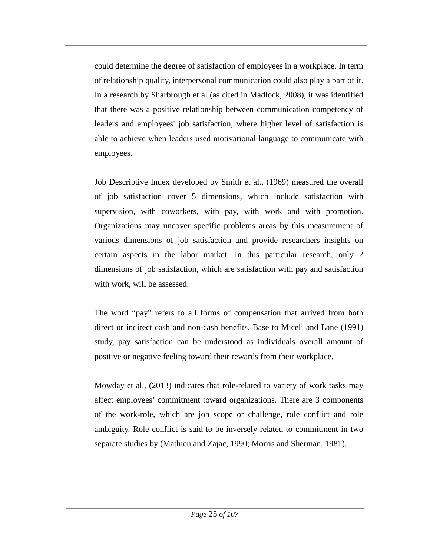could determine the degree of satisfaction of employees in a workplace. In term of relationship quality, interpersonal communication could also play a part of it. In a research by Sharbrough et al (as cited in Madlock, 2008), it was identified that there was a positive relationship between communication competency of leaders and employees' job satisfaction, where higher level of satisfaction is able to achieve when leaders used motivational language to communicate with employees.

Job Descriptive Index developed by Smith et al., (1969) measured the overall of job satisfaction cover 5 dimensions, which include satisfaction with supervision, with coworkers, with pay, with work and with promotion. Organizations may uncover specific problems areas by this measurement of various dimensions of job satisfaction and provide researchers insights on certain aspects in the labor market. In this particular research, only 2 dimensions of job satisfaction, which are satisfaction with pay and satisfaction with work, will be assessed.

The word "pay" refers to all forms of compensation that arrived from both direct or indirect cash and non-cash benefits. Base to Miceli and Lane (1991) study, pay satisfaction can be understood as individuals overall amount of positive or negative feeling toward their rewards from their workplace.

Mowday et al., (2013) indicates that role-related to variety of work tasks may affect employees' commitment toward organizations. There are 3 components of the work-role, which are job scope or challenge, role conflict and role ambiguity. Role conflict is said to be inversely related to commitment in two separate studies by (Mathieu and Zajac, 1990; Morris and Sherman, 1981).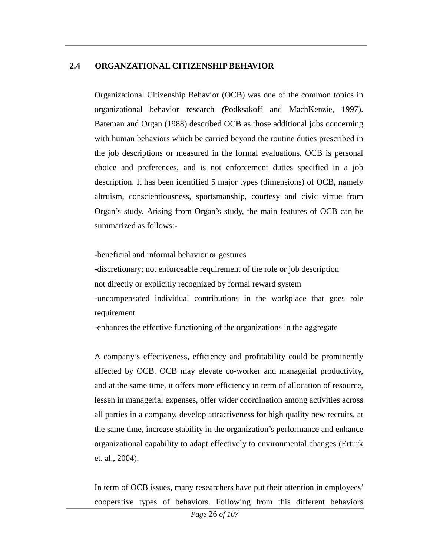## **2.4 ORGANZATIONAL CITIZENSHIP BEHAVIOR**

Organizational Citizenship Behavior (OCB) was one of the common topics in organizational behavior research *(*Podksakoff and MachKenzie, 1997). Bateman and Organ (1988) described OCB as those additional jobs concerning with human behaviors which be carried beyond the routine duties prescribed in the job descriptions or measured in the formal evaluations. OCB is personal choice and preferences, and is not enforcement duties specified in a job description. It has been identified 5 major types (dimensions) of OCB, namely altruism, conscientiousness, sportsmanship, courtesy and civic virtue from Organ's study. Arising from Organ's study, the main features of OCB can be summarized as follows:-

-beneficial and informal behavior or gestures

-discretionary; not enforceable requirement of the role or job description not directly or explicitly recognized by formal reward system -uncompensated individual contributions in the workplace that goes role requirement

-enhances the effective functioning of the organizations in the aggregate

A company's effectiveness, efficiency and profitability could be prominently affected by OCB. OCB may elevate co-worker and managerial productivity, and at the same time, it offers more efficiency in term of allocation of resource, lessen in managerial expenses, offer wider coordination among activities across all parties in a company, develop attractiveness for high quality new recruits, at the same time, increase stability in the organization's performance and enhance organizational capability to adapt effectively to environmental changes (Erturk et. al., 2004).

In term of OCB issues, many researchers have put their attention in employees' cooperative types of behaviors. Following from this different behaviors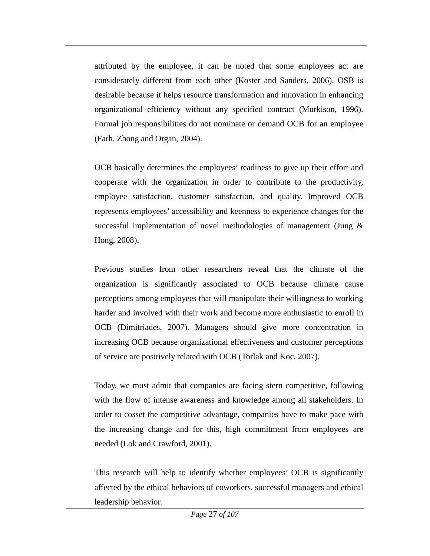attributed by the employee, it can be noted that some employees act are considerately different from each other (Koster and Sanders, 2006). OSB is desirable because it helps resource transformation and innovation in enhancing organizational efficiency without any specified contract (Murkison, 1996). Formal job responsibilities do not nominate or demand OCB for an employee (Farh, Zhong and Organ, 2004).

OCB basically determines the employees' readiness to give up their effort and cooperate with the organization in order to contribute to the productivity, employee satisfaction, customer satisfaction, and quality. Improved OCB represents employees' accessibility and keenness to experience changes for the successful implementation of novel methodologies of management (Jung  $\&$ Hong, 2008).

Previous studies from other researchers reveal that the climate of the organization is significantly associated to OCB because climate cause perceptions among employees that will manipulate their willingness to working harder and involved with their work and become more enthusiastic to enroll in OCB (Dimitriades, 2007). Managers should give more concentration in increasing OCB because organizational effectiveness and customer perceptions of service are positively related with OCB (Torlak and Koc, 2007).

Today, we must admit that companies are facing stern competitive, following with the flow of intense awareness and knowledge among all stakeholders. In order to cosset the competitive advantage, companies have to make pace with the increasing change and for this, high commitment from employees are needed (Lok and Crawford, 2001).

This research will help to identify whether employees' OCB is significantly affected by the ethical behaviors of coworkers, successful managers and ethical leadership behavior.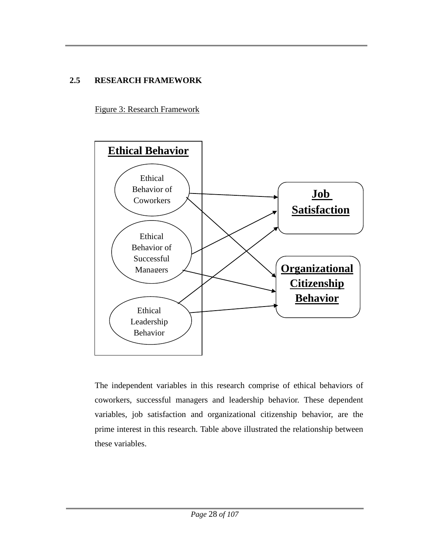## **2.5 RESEARCH FRAMEWORK**

Figure 3: Research Framework



The independent variables in this research comprise of ethical behaviors of coworkers, successful managers and leadership behavior. These dependent variables, job satisfaction and organizational citizenship behavior, are the prime interest in this research. Table above illustrated the relationship between these variables.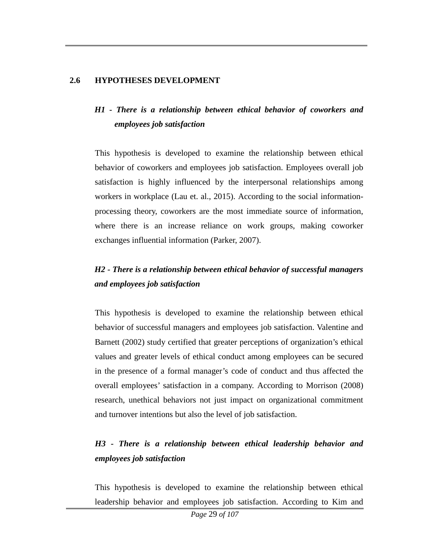### **2.6 HYPOTHESES DEVELOPMENT**

# *H1 - There is a relationship between ethical behavior of coworkers and employees job satisfaction*

This hypothesis is developed to examine the relationship between ethical behavior of coworkers and employees job satisfaction. Employees overall job satisfaction is highly influenced by the interpersonal relationships among workers in workplace (Lau et. al., 2015). According to the social informationprocessing theory, coworkers are the most immediate source of information, where there is an increase reliance on work groups, making coworker exchanges influential information (Parker, 2007).

# *H2 - There is a relationship between ethical behavior of successful managers and employees job satisfaction*

This hypothesis is developed to examine the relationship between ethical behavior of successful managers and employees job satisfaction. Valentine and Barnett (2002) study certified that greater perceptions of organization's ethical values and greater levels of ethical conduct among employees can be secured in the presence of a formal manager's code of conduct and thus affected the overall employees' satisfaction in a company. According to Morrison (2008) research, unethical behaviors not just impact on organizational commitment and turnover intentions but also the level of job satisfaction.

# *H3 - There is a relationship between ethical leadership behavior and employees job satisfaction*

This hypothesis is developed to examine the relationship between ethical leadership behavior and employees job satisfaction. According to Kim and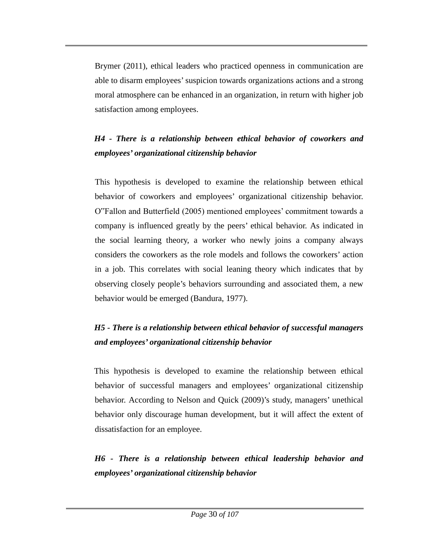Brymer (2011), ethical leaders who practiced openness in communication are able to disarm employees' suspicion towards organizations actions and a strong moral atmosphere can be enhanced in an organization, in return with higher job satisfaction among employees.

# *H4 - There is a relationship between ethical behavior of coworkers and employees' organizational citizenship behavior*

This hypothesis is developed to examine the relationship between ethical behavior of coworkers and employees' organizational citizenship behavior. O"Fallon and Butterfield (2005) mentioned employees' commitment towards a company is influenced greatly by the peers' ethical behavior. As indicated in the social learning theory, a worker who newly joins a company always considers the coworkers as the role models and follows the coworkers' action in a job. This correlates with social leaning theory which indicates that by observing closely people's behaviors surrounding and associated them, a new behavior would be emerged (Bandura, 1977).

# *H5 - There is a relationship between ethical behavior of successful managers and employees' organizational citizenship behavior*

This hypothesis is developed to examine the relationship between ethical behavior of successful managers and employees' organizational citizenship behavior. According to Nelson and Quick (2009)'s study, managers' unethical behavior only discourage human development, but it will affect the extent of dissatisfaction for an employee.

*H6 - There is a relationship between ethical leadership behavior and employees' organizational citizenship behavior*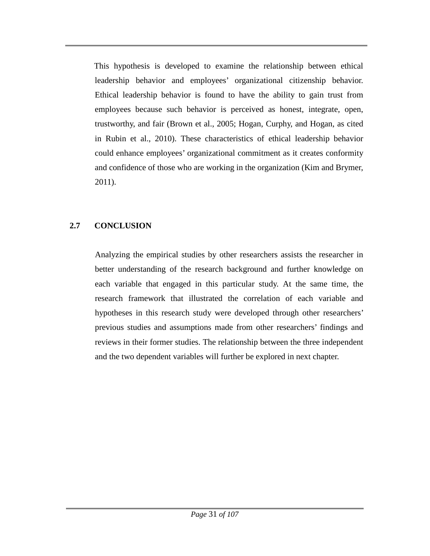This hypothesis is developed to examine the relationship between ethical leadership behavior and employees' organizational citizenship behavior. Ethical leadership behavior is found to have the ability to gain trust from employees because such behavior is perceived as honest, integrate, open, trustworthy, and fair (Brown et al., 2005; Hogan, Curphy, and Hogan, as cited in Rubin et al., 2010). These characteristics of ethical leadership behavior could enhance employees' organizational commitment as it creates conformity and confidence of those who are working in the organization (Kim and Brymer, 2011).

## **2.7 CONCLUSION**

Analyzing the empirical studies by other researchers assists the researcher in better understanding of the research background and further knowledge on each variable that engaged in this particular study. At the same time, the research framework that illustrated the correlation of each variable and hypotheses in this research study were developed through other researchers' previous studies and assumptions made from other researchers' findings and reviews in their former studies. The relationship between the three independent and the two dependent variables will further be explored in next chapter.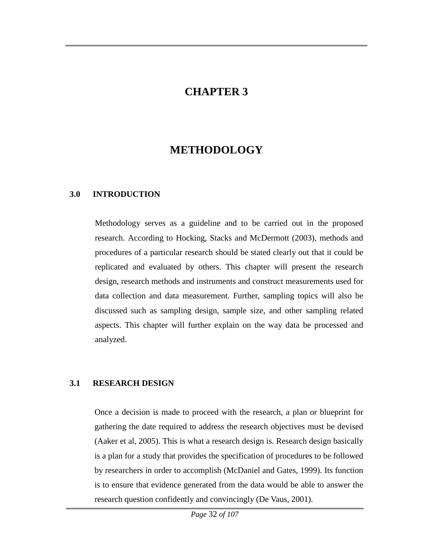# **CHAPTER 3**

# **METHODOLOGY**

#### **3.0 INTRODUCTION**

Methodology serves as a guideline and to be carried out in the proposed research. According to Hocking, Stacks and McDermott (2003), methods and procedures of a particular research should be stated clearly out that it could be replicated and evaluated by others. This chapter will present the research design, research methods and instruments and construct measurements used for data collection and data measurement. Further, sampling topics will also be discussed such as sampling design, sample size, and other sampling related aspects. This chapter will further explain on the way data be processed and analyzed.

### **3.1 RESEARCH DESIGN**

Once a decision is made to proceed with the research, a plan or blueprint for gathering the date required to address the research objectives must be devised (Aaker et al, 2005). This is what a research design is. Research design basically is a plan for a study that provides the specification of procedures to be followed by researchers in order to accomplish (McDaniel and Gates, 1999). Its function is to ensure that evidence generated from the data would be able to answer the research question confidently and convincingly (De Vaus, 2001).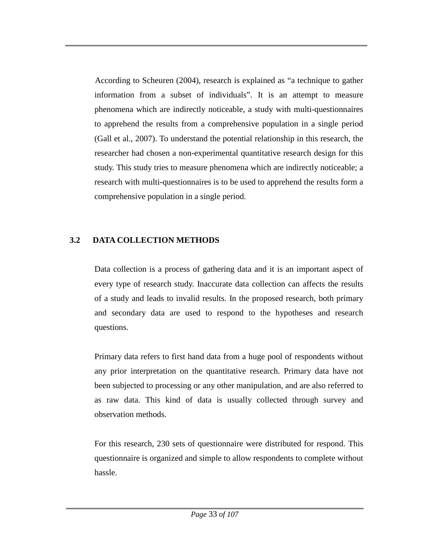According to Scheuren (2004), research is explained as "a technique to gather information from a subset of individuals". It is an attempt to measure phenomena which are indirectly noticeable, a study with multi-questionnaires to apprehend the results from a comprehensive population in a single period (Gall et al., 2007). To understand the potential relationship in this research, the researcher had chosen a non-experimental quantitative research design for this study. This study tries to measure phenomena which are indirectly noticeable; a research with multi-questionnaires is to be used to apprehend the results form a comprehensive population in a single period.

## **3.2 DATA COLLECTION METHODS**

Data collection is a process of gathering data and it is an important aspect of every type of research study. Inaccurate data collection can affects the results of a study and leads to invalid results. In the proposed research, both primary and secondary data are used to respond to the hypotheses and research questions.

Primary data refers to first hand data from a huge pool of respondents without any prior interpretation on the quantitative research. Primary data have not been subjected to processing or any other manipulation, and are also referred to as raw data. This kind of data is usually collected through survey and observation methods.

For this research, 230 sets of questionnaire were distributed for respond. This questionnaire is organized and simple to allow respondents to complete without hassle.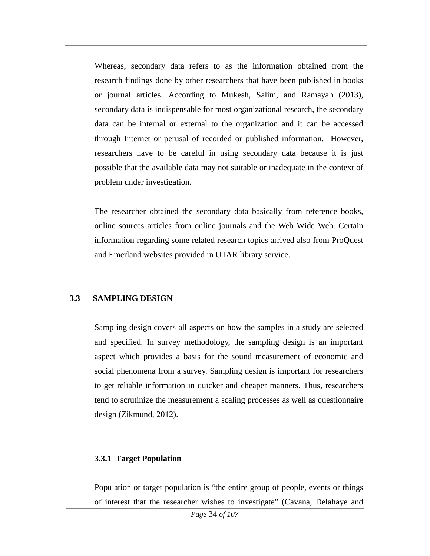Whereas, secondary data refers to as the information obtained from the research findings done by other researchers that have been published in books or journal articles. According to Mukesh, Salim, and Ramayah (2013), secondary data is indispensable for most organizational research, the secondary data can be internal or external to the organization and it can be accessed through Internet or perusal of recorded or published information. However, researchers have to be careful in using secondary data because it is just possible that the available data may not suitable or inadequate in the context of problem under investigation.

The researcher obtained the secondary data basically from reference books, online sources articles from online journals and the Web Wide Web. Certain information regarding some related research topics arrived also from ProQuest and Emerland websites provided in UTAR library service.

### **3.3 SAMPLING DESIGN**

Sampling design covers all aspects on how the samples in a study are selected and specified. In survey methodology, the sampling design is an important aspect which provides a basis for the sound measurement of economic and social phenomena from a survey. Sampling design is important for researchers to get reliable information in quicker and cheaper manners. Thus, researchers tend to scrutinize the measurement a scaling processes as well as questionnaire design (Zikmund, 2012).

### **3.3.1 Target Population**

Population or target population is "the entire group of people, events or things of interest that the researcher wishes to investigate" (Cavana, Delahaye and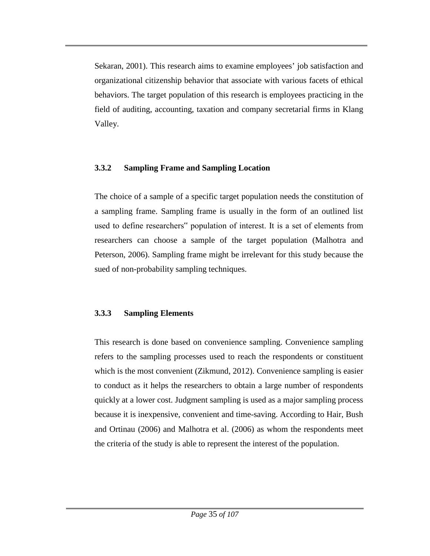Sekaran, 2001). This research aims to examine employees' job satisfaction and organizational citizenship behavior that associate with various facets of ethical behaviors. The target population of this research is employees practicing in the field of auditing, accounting, taxation and company secretarial firms in Klang Valley.

## **3.3.2 Sampling Frame and Sampling Location**

The choice of a sample of a specific target population needs the constitution of a sampling frame. Sampling frame is usually in the form of an outlined list used to define researchers" population of interest. It is a set of elements from researchers can choose a sample of the target population (Malhotra and Peterson, 2006). Sampling frame might be irrelevant for this study because the sued of non-probability sampling techniques.

# **3.3.3 Sampling Elements**

This research is done based on convenience sampling. Convenience sampling refers to the sampling processes used to reach the respondents or constituent which is the most convenient (Zikmund, 2012). Convenience sampling is easier to conduct as it helps the researchers to obtain a large number of respondents quickly at a lower cost. Judgment sampling is used as a major sampling process because it is inexpensive, convenient and time-saving. According to Hair, Bush and Ortinau (2006) and Malhotra et al. (2006) as whom the respondents meet the criteria of the study is able to represent the interest of the population.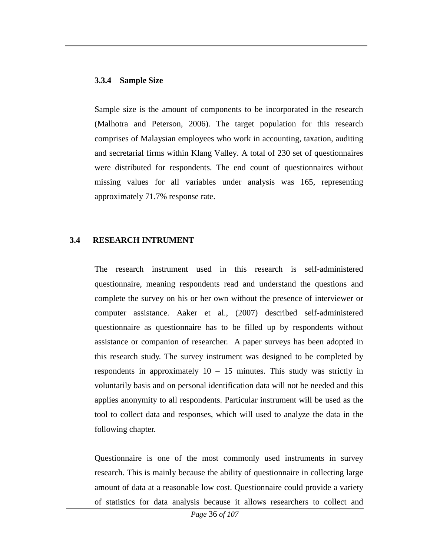#### **3.3.4 Sample Size**

Sample size is the amount of components to be incorporated in the research (Malhotra and Peterson, 2006). The target population for this research comprises of Malaysian employees who work in accounting, taxation, auditing and secretarial firms within Klang Valley. A total of 230 set of questionnaires were distributed for respondents. The end count of questionnaires without missing values for all variables under analysis was 165, representing approximately 71.7% response rate.

### **3.4 RESEARCH INTRUMENT**

The research instrument used in this research is self-administered questionnaire, meaning respondents read and understand the questions and complete the survey on his or her own without the presence of interviewer or computer assistance. Aaker et al., (2007) described self-administered questionnaire as questionnaire has to be filled up by respondents without assistance or companion of researcher. A paper surveys has been adopted in this research study. The survey instrument was designed to be completed by respondents in approximately  $10 - 15$  minutes. This study was strictly in voluntarily basis and on personal identification data will not be needed and this applies anonymity to all respondents. Particular instrument will be used as the tool to collect data and responses, which will used to analyze the data in the following chapter.

Questionnaire is one of the most commonly used instruments in survey research. This is mainly because the ability of questionnaire in collecting large amount of data at a reasonable low cost. Questionnaire could provide a variety of statistics for data analysis because it allows researchers to collect and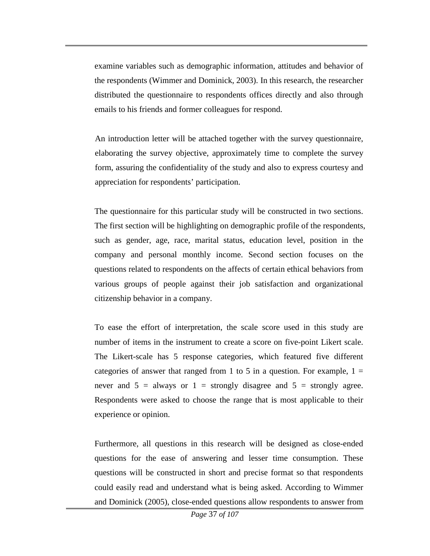examine variables such as demographic information, attitudes and behavior of the respondents (Wimmer and Dominick, 2003). In this research, the researcher distributed the questionnaire to respondents offices directly and also through emails to his friends and former colleagues for respond.

An introduction letter will be attached together with the survey questionnaire, elaborating the survey objective, approximately time to complete the survey form, assuring the confidentiality of the study and also to express courtesy and appreciation for respondents' participation.

The questionnaire for this particular study will be constructed in two sections. The first section will be highlighting on demographic profile of the respondents, such as gender, age, race, marital status, education level, position in the company and personal monthly income. Second section focuses on the questions related to respondents on the affects of certain ethical behaviors from various groups of people against their job satisfaction and organizational citizenship behavior in a company.

To ease the effort of interpretation, the scale score used in this study are number of items in the instrument to create a score on five-point Likert scale. The Likert-scale has 5 response categories, which featured five different categories of answer that ranged from 1 to 5 in a question. For example,  $1 =$ never and  $5 =$  always or  $1 =$  strongly disagree and  $5 =$  strongly agree. Respondents were asked to choose the range that is most applicable to their experience or opinion.

Furthermore, all questions in this research will be designed as close-ended questions for the ease of answering and lesser time consumption. These questions will be constructed in short and precise format so that respondents could easily read and understand what is being asked. According to Wimmer and Dominick (2005), close-ended questions allow respondents to answer from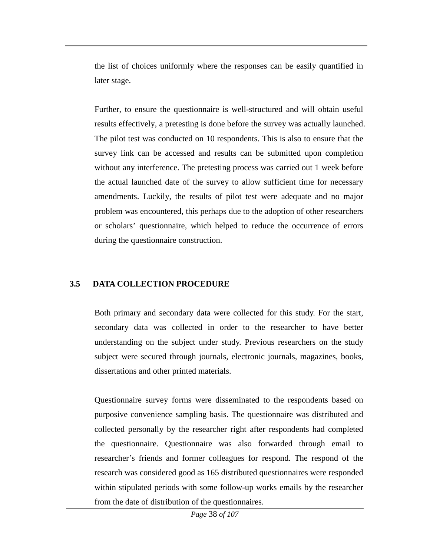the list of choices uniformly where the responses can be easily quantified in later stage.

Further, to ensure the questionnaire is well-structured and will obtain useful results effectively, a pretesting is done before the survey was actually launched. The pilot test was conducted on 10 respondents. This is also to ensure that the survey link can be accessed and results can be submitted upon completion without any interference. The pretesting process was carried out 1 week before the actual launched date of the survey to allow sufficient time for necessary amendments. Luckily, the results of pilot test were adequate and no major problem was encountered, this perhaps due to the adoption of other researchers or scholars' questionnaire, which helped to reduce the occurrence of errors during the questionnaire construction.

### **3.5 DATA COLLECTION PROCEDURE**

Both primary and secondary data were collected for this study. For the start, secondary data was collected in order to the researcher to have better understanding on the subject under study. Previous researchers on the study subject were secured through journals, electronic journals, magazines, books, dissertations and other printed materials.

Questionnaire survey forms were disseminated to the respondents based on purposive convenience sampling basis. The questionnaire was distributed and collected personally by the researcher right after respondents had completed the questionnaire. Questionnaire was also forwarded through email to researcher's friends and former colleagues for respond. The respond of the research was considered good as 165 distributed questionnaires were responded within stipulated periods with some follow-up works emails by the researcher from the date of distribution of the questionnaires.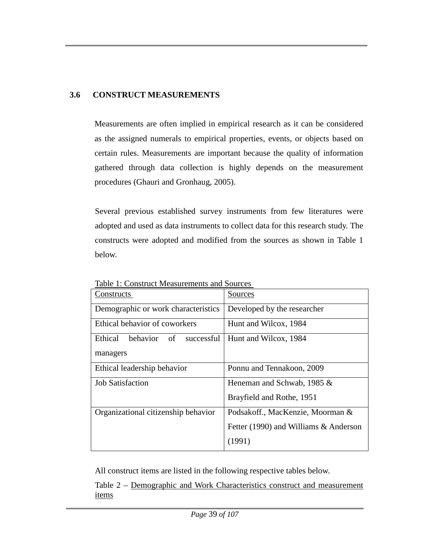## **3.6 CONSTRUCT MEASUREMENTS**

Measurements are often implied in empirical research as it can be considered as the assigned numerals to empirical properties, events, or objects based on certain rules. Measurements are important because the quality of information gathered through data collection is highly depends on the measurement procedures (Ghauri and Gronhaug, 2005).

Several previous established survey instruments from few literatures were adopted and used as data instruments to collect data for this research study. The constructs were adopted and modified from the sources as shown in Table 1 below.

| radio 1. Construct measurements and bources |                                       |
|---------------------------------------------|---------------------------------------|
| Constructs                                  | Sources                               |
| Demographic or work characteristics         | Developed by the researcher           |
| Ethical behavior of coworkers               | Hunt and Wilcox, 1984                 |
| Ethical<br>behavior<br>successful<br>of     | Hunt and Wilcox, 1984                 |
| managers                                    |                                       |
| Ethical leadership behavior                 | Ponnu and Tennakoon, 2009             |
| <b>Job Satisfaction</b>                     | Heneman and Schwab, 1985 $&$          |
|                                             | Brayfield and Rothe, 1951             |
| Organizational citizenship behavior         | Podsakoff., MacKenzie, Moorman &      |
|                                             | Fetter (1990) and Williams & Anderson |
|                                             | (1991)                                |

Table 1: Construct Measurements and Sources

All construct items are listed in the following respective tables below.

Table 2 – Demographic and Work Characteristics construct and measurement items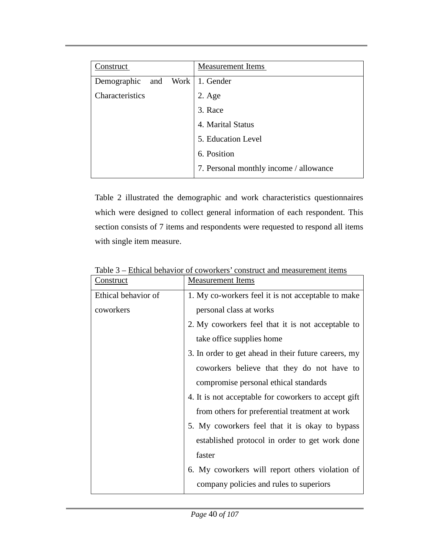| Construct          | <b>Measurement Items</b>               |
|--------------------|----------------------------------------|
| Demographic<br>and | Work   1. Gender                       |
| Characteristics    | $2. \text{Age}$                        |
|                    | 3. Race                                |
|                    | 4. Marital Status                      |
|                    | 5. Education Level                     |
|                    | 6. Position                            |
|                    | 7. Personal monthly income / allowance |
|                    |                                        |

Table 2 illustrated the demographic and work characteristics questionnaires which were designed to collect general information of each respondent. This section consists of 7 items and respondents were requested to respond all items with single item measure.

| <u>Construct</u>    | <b>Measurement Items</b>                             |  |
|---------------------|------------------------------------------------------|--|
| Ethical behavior of | 1. My co-workers feel it is not acceptable to make   |  |
| coworkers           | personal class at works                              |  |
|                     | 2. My coworkers feel that it is not acceptable to    |  |
|                     | take office supplies home                            |  |
|                     | 3. In order to get ahead in their future careers, my |  |
|                     | coworkers believe that they do not have to           |  |
|                     | compromise personal ethical standards                |  |
|                     | 4. It is not acceptable for coworkers to accept gift |  |
|                     | from others for preferential treatment at work       |  |
|                     | 5. My coworkers feel that it is okay to bypass       |  |
|                     | established protocol in order to get work done       |  |
|                     | faster                                               |  |
|                     | 6. My coworkers will report others violation of      |  |
|                     | company policies and rules to superiors              |  |

Table 3 – Ethical behavior of coworkers' construct and measurement items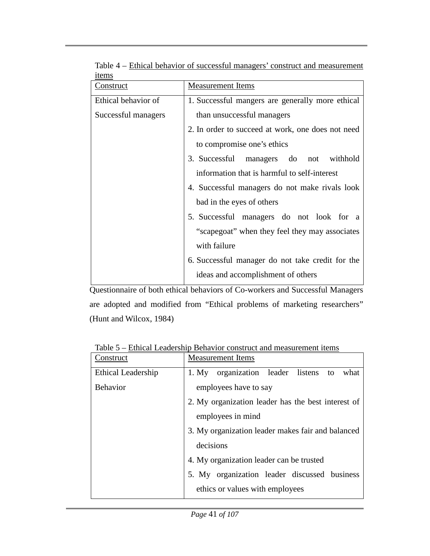| 1001110             |                                                   |  |  |
|---------------------|---------------------------------------------------|--|--|
| <u>Construct</u>    | <b>Measurement</b> Items                          |  |  |
| Ethical behavior of | 1. Successful mangers are generally more ethical  |  |  |
| Successful managers | than unsuccessful managers                        |  |  |
|                     | 2. In order to succeed at work, one does not need |  |  |
|                     | to compromise one's ethics                        |  |  |
|                     | 3. Successful managers do<br>withhold<br>not      |  |  |
|                     | information that is harmful to self-interest      |  |  |
|                     | 4. Successful managers do not make rivals look    |  |  |
|                     | bad in the eyes of others                         |  |  |
|                     | 5. Successful managers do not look for a          |  |  |
|                     | "scapegoat" when they feel they may associates    |  |  |
|                     | with failure                                      |  |  |
|                     | 6. Successful manager do not take credit for the  |  |  |
|                     | ideas and accomplishment of others                |  |  |

Table 4 – Ethical behavior of successful managers' construct and measurement items

Questionnaire of both ethical behaviors of Co-workers and Successful Managers are adopted and modified from "Ethical problems of marketing researchers" (Hunt and Wilcox, 1984)

| Construct                 | <b>Measurement Items</b>                           |  |  |  |
|---------------------------|----------------------------------------------------|--|--|--|
| <b>Ethical Leadership</b> | organization leader listens to<br>what<br>1. My    |  |  |  |
| <b>Behavior</b>           | employees have to say                              |  |  |  |
|                           | 2. My organization leader has the best interest of |  |  |  |
|                           | employees in mind                                  |  |  |  |
|                           | 3. My organization leader makes fair and balanced  |  |  |  |
|                           | decisions                                          |  |  |  |
|                           | 4. My organization leader can be trusted           |  |  |  |
|                           | 5. My organization leader discussed business       |  |  |  |
|                           | ethics or values with employees                    |  |  |  |

Table 5 – Ethical Leadership Behavior construct and measurement items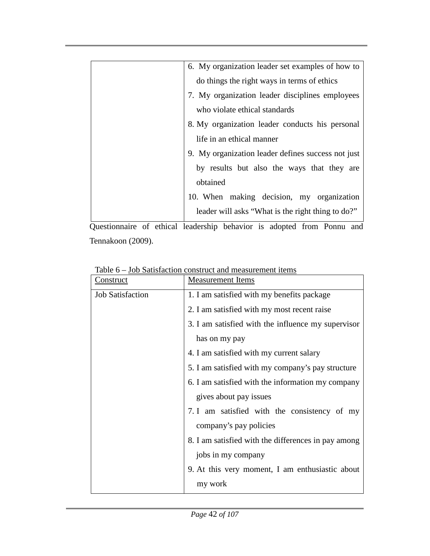| 6. My organization leader set examples of how to   |  |  |
|----------------------------------------------------|--|--|
| do things the right ways in terms of ethics        |  |  |
| 7. My organization leader disciplines employees    |  |  |
| who violate ethical standards                      |  |  |
| 8. My organization leader conducts his personal    |  |  |
| life in an ethical manner                          |  |  |
| 9. My organization leader defines success not just |  |  |
| by results but also the ways that they are         |  |  |
| obtained                                           |  |  |
| 10. When making decision, my organization          |  |  |
| leader will asks "What is the right thing to do?"  |  |  |
|                                                    |  |  |

Questionnaire of ethical leadership behavior is adopted from Ponnu and Tennakoon (2009).

| Construct               | <b>Measurement</b> Items                            |  |
|-------------------------|-----------------------------------------------------|--|
| <b>Job Satisfaction</b> | 1. I am satisfied with my benefits package          |  |
|                         | 2. I am satisfied with my most recent raise         |  |
|                         | 3. I am satisfied with the influence my supervisor  |  |
|                         | has on my pay                                       |  |
|                         | 4. I am satisfied with my current salary            |  |
|                         | 5. I am satisfied with my company's pay structure   |  |
|                         | 6. I am satisfied with the information my company   |  |
|                         | gives about pay issues                              |  |
|                         | 7. I am satisfied with the consistency of my        |  |
|                         | company's pay policies                              |  |
|                         | 8. I am satisfied with the differences in pay among |  |
|                         | jobs in my company                                  |  |
|                         | 9. At this very moment, I am enthusiastic about     |  |
|                         | my work                                             |  |

Table 6 – Job Satisfaction construct and measurement items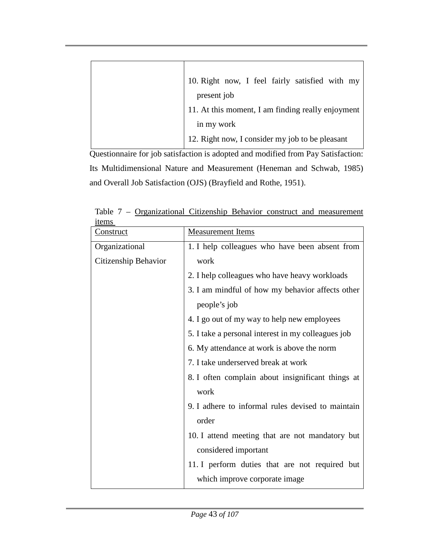| 10. Right now, I feel fairly satisfied with my    |  |
|---------------------------------------------------|--|
| present job                                       |  |
| 11. At this moment, I am finding really enjoyment |  |
| in my work                                        |  |
| 12. Right now, I consider my job to be pleasant   |  |

Questionnaire for job satisfaction is adopted and modified from Pay Satisfaction: Its Multidimensional Nature and Measurement (Heneman and Schwab, 1985) and Overall Job Satisfaction (OJS) (Brayfield and Rothe, 1951).

| Construct            | <b>Measurement Items</b>                           |  |
|----------------------|----------------------------------------------------|--|
| Organizational       | 1. I help colleagues who have been absent from     |  |
| Citizenship Behavior | work                                               |  |
|                      | 2. I help colleagues who have heavy workloads      |  |
|                      | 3. I am mindful of how my behavior affects other   |  |
|                      | people's job                                       |  |
|                      | 4. I go out of my way to help new employees        |  |
|                      | 5. I take a personal interest in my colleagues job |  |
|                      | 6. My attendance at work is above the norm         |  |
|                      | 7. I take underserved break at work                |  |
|                      | 8. I often complain about insignificant things at  |  |
|                      | work                                               |  |
|                      | 9. I adhere to informal rules devised to maintain  |  |
|                      | order                                              |  |
|                      | 10. I attend meeting that are not mandatory but    |  |
|                      | considered important                               |  |
|                      | 11. I perform duties that are not required but     |  |
|                      | which improve corporate image                      |  |

Table 7 – Organizational Citizenship Behavior construct and measurement items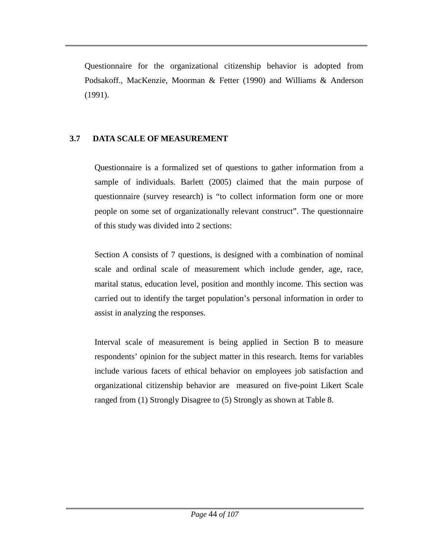Questionnaire for the organizational citizenship behavior is adopted from Podsakoff., MacKenzie, Moorman & Fetter (1990) and Williams & Anderson (1991).

## **3.7 DATA SCALE OF MEASUREMENT**

Questionnaire is a formalized set of questions to gather information from a sample of individuals. Barlett (2005) claimed that the main purpose of questionnaire (survey research) is "to collect information form one or more people on some set of organizationally relevant construct". The questionnaire of this study was divided into 2 sections:

Section A consists of 7 questions, is designed with a combination of nominal scale and ordinal scale of measurement which include gender, age, race, marital status, education level, position and monthly income. This section was carried out to identify the target population's personal information in order to assist in analyzing the responses.

Interval scale of measurement is being applied in Section B to measure respondents' opinion for the subject matter in this research. Items for variables include various facets of ethical behavior on employees job satisfaction and organizational citizenship behavior are measured on five-point Likert Scale ranged from (1) Strongly Disagree to (5) Strongly as shown at Table 8.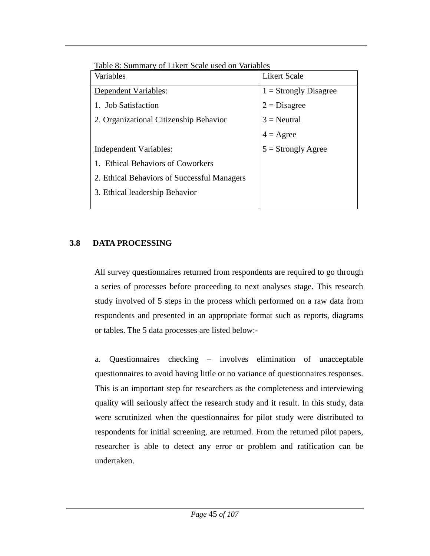| Table 8: Summary of Likert Scale used on Variables |                         |  |  |
|----------------------------------------------------|-------------------------|--|--|
| Variables                                          | <b>Likert Scale</b>     |  |  |
| Dependent Variables:                               | $1 =$ Strongly Disagree |  |  |
| 1. Job Satisfaction                                | $2 = Disagree$          |  |  |
| 2. Organizational Citizenship Behavior             | $3$ = Neutral           |  |  |
|                                                    | $4 = \text{Agree}$      |  |  |
| Independent Variables:                             | $5 =$ Strongly Agree    |  |  |
| 1. Ethical Behaviors of Coworkers                  |                         |  |  |
| 2. Ethical Behaviors of Successful Managers        |                         |  |  |
| 3. Ethical leadership Behavior                     |                         |  |  |
|                                                    |                         |  |  |

Table 8: Summary of Likert Scale used on Variables

# **3.8 DATA PROCESSING**

All survey questionnaires returned from respondents are required to go through a series of processes before proceeding to next analyses stage. This research study involved of 5 steps in the process which performed on a raw data from respondents and presented in an appropriate format such as reports, diagrams or tables. The 5 data processes are listed below:-

a. Questionnaires checking – involves elimination of unacceptable questionnaires to avoid having little or no variance of questionnaires responses. This is an important step for researchers as the completeness and interviewing quality will seriously affect the research study and it result. In this study, data were scrutinized when the questionnaires for pilot study were distributed to respondents for initial screening, are returned. From the returned pilot papers, researcher is able to detect any error or problem and ratification can be undertaken.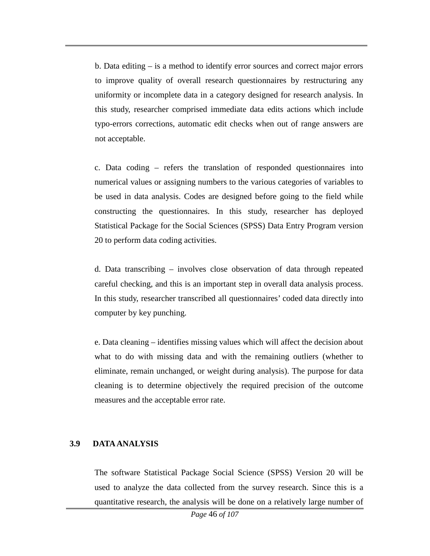b. Data editing – is a method to identify error sources and correct major errors to improve quality of overall research questionnaires by restructuring any uniformity or incomplete data in a category designed for research analysis. In this study, researcher comprised immediate data edits actions which include typo-errors corrections, automatic edit checks when out of range answers are not acceptable.

c. Data coding – refers the translation of responded questionnaires into numerical values or assigning numbers to the various categories of variables to be used in data analysis. Codes are designed before going to the field while constructing the questionnaires. In this study, researcher has deployed Statistical Package for the Social Sciences (SPSS) Data Entry Program version 20 to perform data coding activities.

d. Data transcribing – involves close observation of data through repeated careful checking, and this is an important step in overall data analysis process. In this study, researcher transcribed all questionnaires' coded data directly into computer by key punching.

e. Data cleaning – identifies missing values which will affect the decision about what to do with missing data and with the remaining outliers (whether to eliminate, remain unchanged, or weight during analysis). The purpose for data cleaning is to determine objectively the required precision of the outcome measures and the acceptable error rate.

### **3.9 DATA ANALYSIS**

The software Statistical Package Social Science (SPSS) Version 20 will be used to analyze the data collected from the survey research. Since this is a quantitative research, the analysis will be done on a relatively large number of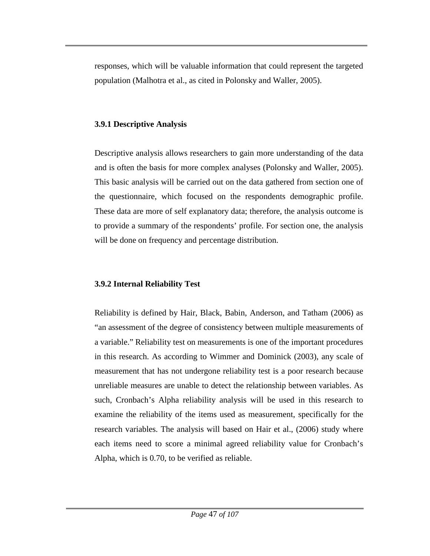responses, which will be valuable information that could represent the targeted population (Malhotra et al., as cited in Polonsky and Waller, 2005).

### **3.9.1 Descriptive Analysis**

Descriptive analysis allows researchers to gain more understanding of the data and is often the basis for more complex analyses (Polonsky and Waller, 2005). This basic analysis will be carried out on the data gathered from section one of the questionnaire, which focused on the respondents demographic profile. These data are more of self explanatory data; therefore, the analysis outcome is to provide a summary of the respondents' profile. For section one, the analysis will be done on frequency and percentage distribution.

# **3.9.2 Internal Reliability Test**

Reliability is defined by Hair, Black, Babin, Anderson, and Tatham (2006) as "an assessment of the degree of consistency between multiple measurements of a variable." Reliability test on measurements is one of the important procedures in this research. As according to Wimmer and Dominick (2003), any scale of measurement that has not undergone reliability test is a poor research because unreliable measures are unable to detect the relationship between variables. As such, Cronbach's Alpha reliability analysis will be used in this research to examine the reliability of the items used as measurement, specifically for the research variables. The analysis will based on Hair et al., (2006) study where each items need to score a minimal agreed reliability value for Cronbach's Alpha, which is 0.70, to be verified as reliable.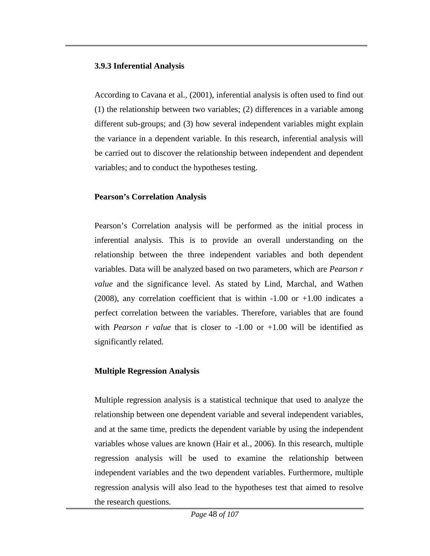### **3.9.3 Inferential Analysis**

According to Cavana et al., (2001), inferential analysis is often used to find out (1) the relationship between two variables; (2) differences in a variable among different sub-groups; and (3) how several independent variables might explain the variance in a dependent variable. In this research, inferential analysis will be carried out to discover the relationship between independent and dependent variables; and to conduct the hypotheses testing.

## **Pearson's Correlation Analysis**

Pearson's Correlation analysis will be performed as the initial process in inferential analysis. This is to provide an overall understanding on the relationship between the three independent variables and both dependent variables. Data will be analyzed based on two parameters, which are *Pearson r value* and the significance level. As stated by Lind, Marchal, and Wathen (2008), any correlation coefficient that is within  $-1.00$  or  $+1.00$  indicates a perfect correlation between the variables. Therefore, variables that are found with *Pearson r value* that is closer to -1.00 or +1.00 will be identified as significantly related.

## **Multiple Regression Analysis**

Multiple regression analysis is a statistical technique that used to analyze the relationship between one dependent variable and several independent variables, and at the same time, predicts the dependent variable by using the independent variables whose values are known (Hair et al., 2006). In this research, multiple regression analysis will be used to examine the relationship between independent variables and the two dependent variables. Furthermore, multiple regression analysis will also lead to the hypotheses test that aimed to resolve the research questions.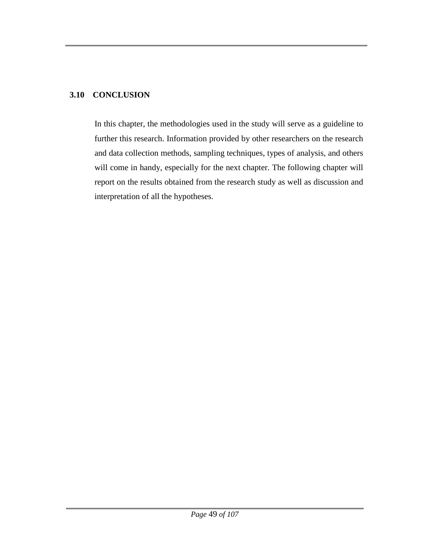### **3.10 CONCLUSION**

In this chapter, the methodologies used in the study will serve as a guideline to further this research. Information provided by other researchers on the research and data collection methods, sampling techniques, types of analysis, and others will come in handy, especially for the next chapter. The following chapter will report on the results obtained from the research study as well as discussion and interpretation of all the hypotheses.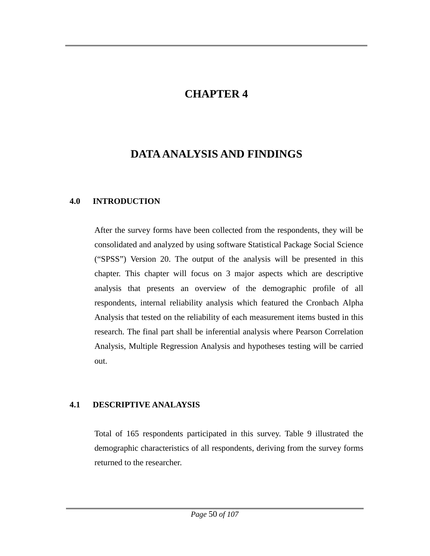# **CHAPTER 4**

# **DATA ANALYSIS AND FINDINGS**

## **4.0 INTRODUCTION**

After the survey forms have been collected from the respondents, they will be consolidated and analyzed by using software Statistical Package Social Science ("SPSS") Version 20. The output of the analysis will be presented in this chapter. This chapter will focus on 3 major aspects which are descriptive analysis that presents an overview of the demographic profile of all respondents, internal reliability analysis which featured the Cronbach Alpha Analysis that tested on the reliability of each measurement items busted in this research. The final part shall be inferential analysis where Pearson Correlation Analysis, Multiple Regression Analysis and hypotheses testing will be carried out.

## **4.1 DESCRIPTIVE ANALAYSIS**

Total of 165 respondents participated in this survey. Table 9 illustrated the demographic characteristics of all respondents, deriving from the survey forms returned to the researcher.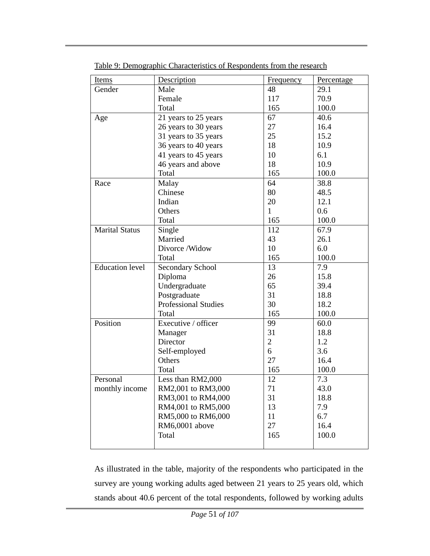| <b>Items</b>           | Description                 | <b>Frequency</b> | Percentage |
|------------------------|-----------------------------|------------------|------------|
| Gender                 | Male                        | 48               | 29.1       |
|                        | Female                      | 117              | 70.9       |
|                        | Total                       | 165              | 100.0      |
| Age                    | 21 years to 25 years        | 67               | 40.6       |
|                        | 26 years to 30 years        | 27               | 16.4       |
|                        | 31 years to 35 years        | 25               | 15.2       |
|                        | 36 years to 40 years        | 18               | 10.9       |
|                        | 41 years to 45 years        | 10               | 6.1        |
|                        | 46 years and above          | 18               | 10.9       |
|                        | Total                       | 165              | 100.0      |
| Race                   | Malay                       | 64               | 38.8       |
|                        | Chinese                     | 80               | 48.5       |
|                        | Indian                      | 20               | 12.1       |
|                        | Others                      | 1                | 0.6        |
|                        | Total                       | 165              | 100.0      |
| <b>Marital Status</b>  | Single                      | 112              | 67.9       |
|                        | Married                     | 43               | 26.1       |
|                        | Divorce /Widow              | 10               | 6.0        |
|                        | Total                       | 165              | 100.0      |
| <b>Education level</b> | <b>Secondary School</b>     | 13               | 7.9        |
|                        | Diploma                     | 26               | 15.8       |
|                        | Undergraduate               | 65               | 39.4       |
|                        | Postgraduate                | 31               | 18.8       |
|                        | <b>Professional Studies</b> | 30               | 18.2       |
|                        | Total                       | 165              | 100.0      |
| Position               | Executive / officer         | 99               | 60.0       |
|                        | Manager                     | 31               | 18.8       |
|                        | Director                    | $\overline{2}$   | 1.2        |
|                        | Self-employed               | 6                | 3.6        |
|                        | Others                      | 27               | 16.4       |
|                        | Total                       | 165              | 100.0      |
| Personal               | Less than RM2,000           | 12               | 7.3        |
| monthly income         | RM2,001 to RM3,000          | 71               | 43.0       |
|                        | RM3,001 to RM4,000          | 31               | 18.8       |
|                        | RM4,001 to RM5,000          | 13               | 7.9        |
|                        | RM5,000 to RM6,000          | 11               | 6.7        |
|                        | RM6,0001 above              | 27               | 16.4       |
|                        | Total                       | 165              | 100.0      |
|                        |                             |                  |            |

Table 9: Demographic Characteristics of Respondents from the research

As illustrated in the table, majority of the respondents who participated in the survey are young working adults aged between 21 years to 25 years old, which stands about 40.6 percent of the total respondents, followed by working adults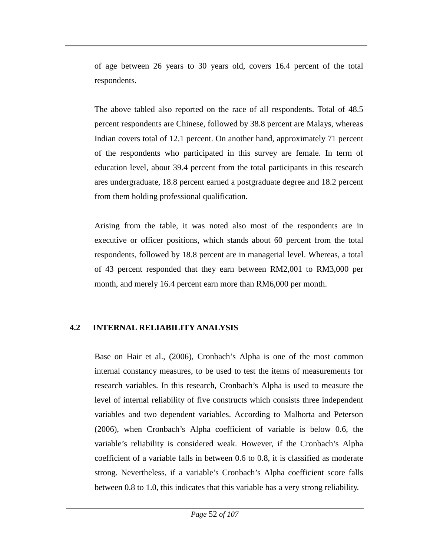of age between 26 years to 30 years old, covers 16.4 percent of the total respondents.

The above tabled also reported on the race of all respondents. Total of 48.5 percent respondents are Chinese, followed by 38.8 percent are Malays, whereas Indian covers total of 12.1 percent. On another hand, approximately 71 percent of the respondents who participated in this survey are female. In term of education level, about 39.4 percent from the total participants in this research ares undergraduate, 18.8 percent earned a postgraduate degree and 18.2 percent from them holding professional qualification.

Arising from the table, it was noted also most of the respondents are in executive or officer positions, which stands about 60 percent from the total respondents, followed by 18.8 percent are in managerial level. Whereas, a total of 43 percent responded that they earn between RM2,001 to RM3,000 per month, and merely 16.4 percent earn more than RM6,000 per month.

## **4.2 INTERNAL RELIABILITY ANALYSIS**

Base on Hair et al., (2006), Cronbach's Alpha is one of the most common internal constancy measures, to be used to test the items of measurements for research variables. In this research, Cronbach's Alpha is used to measure the level of internal reliability of five constructs which consists three independent variables and two dependent variables. According to Malhorta and Peterson (2006), when Cronbach's Alpha coefficient of variable is below 0.6, the variable's reliability is considered weak. However, if the Cronbach's Alpha coefficient of a variable falls in between 0.6 to 0.8, it is classified as moderate strong. Nevertheless, if a variable's Cronbach's Alpha coefficient score falls between 0.8 to 1.0, this indicates that this variable has a very strong reliability.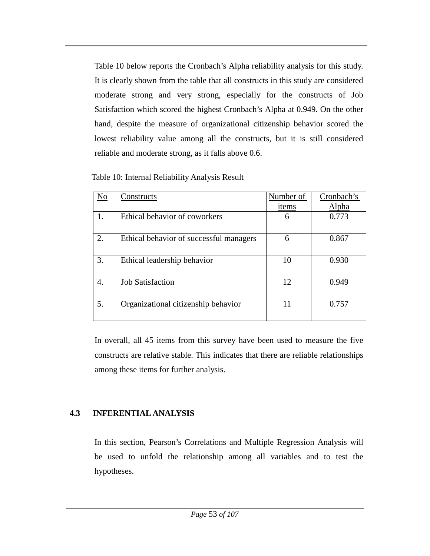Table 10 below reports the Cronbach's Alpha reliability analysis for this study. It is clearly shown from the table that all constructs in this study are considered moderate strong and very strong, especially for the constructs of Job Satisfaction which scored the highest Cronbach's Alpha at 0.949. On the other hand, despite the measure of organizational citizenship behavior scored the lowest reliability value among all the constructs, but it is still considered reliable and moderate strong, as it falls above 0.6.

| No | Constructs                              | Number of | Cronbach's |
|----|-----------------------------------------|-----------|------------|
|    |                                         | items     | Alpha      |
| 1. | Ethical behavior of coworkers           | 6         | 0.773      |
| 2. | Ethical behavior of successful managers | 6         | 0.867      |
| 3. | Ethical leadership behavior             | 10        | 0.930      |
| 4. | <b>Job Satisfaction</b>                 | 12        | 0.949      |
| 5. | Organizational citizenship behavior     | 11        | 0.757      |

#### Table 10: Internal Reliability Analysis Result

In overall, all 45 items from this survey have been used to measure the five constructs are relative stable. This indicates that there are reliable relationships among these items for further analysis.

### **4.3 INFERENTIAL ANALYSIS**

In this section, Pearson's Correlations and Multiple Regression Analysis will be used to unfold the relationship among all variables and to test the hypotheses.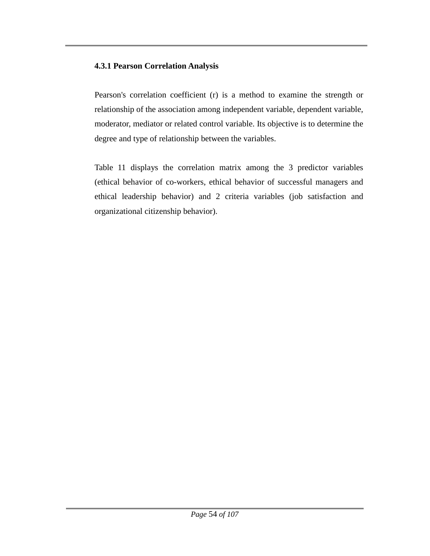## **4.3.1 Pearson Correlation Analysis**

Pearson's correlation coefficient (r) is a method to examine the strength or relationship of the association among independent variable, dependent variable, moderator, mediator or related control variable. Its objective is to determine the degree and type of relationship between the variables.

Table 11 displays the correlation matrix among the 3 predictor variables (ethical behavior of co-workers, ethical behavior of successful managers and ethical leadership behavior) and 2 criteria variables (job satisfaction and organizational citizenship behavior).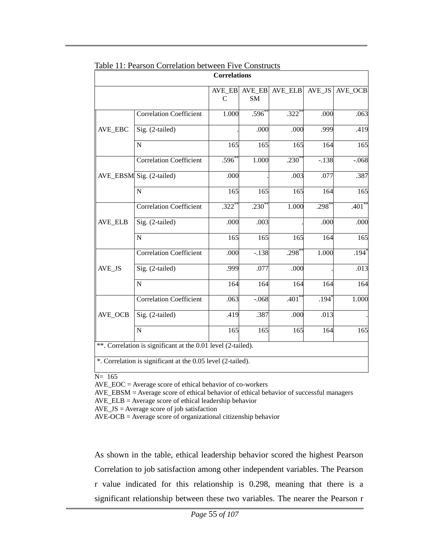|                |                                                              | <b>Correlations</b>     |                     |                     |                     |          |
|----------------|--------------------------------------------------------------|-------------------------|---------------------|---------------------|---------------------|----------|
|                |                                                              | AVE_EB<br>$\mathcal{C}$ | AVE EB<br><b>SM</b> | AVE ELB             | AVE JS              | AVE_OCB  |
|                | Correlation Coefficient                                      | 1.000                   | $.596*$             | $.322$ <sup>*</sup> | .000                | .063     |
| AVE_EBC        | Sig. (2-tailed)                                              |                         | .000                | .000                | .999                | .419     |
|                | ${\bf N}$                                                    | 165                     | 165                 | 165                 | 164                 | 165      |
|                | <b>Correlation Coefficient</b>                               | $.596*$                 | 1.000               | $.230*$             | $-.138$             | $-.068$  |
|                | AVE_EBSM Sig. (2-tailed)                                     | .000                    |                     | .003                | .077                | .387     |
|                | ${\bf N}$                                                    | 165                     | 165                 | 165                 | 164                 | 165      |
|                | <b>Correlation Coefficient</b>                               | $.322*$                 | $.230*$             | 1.000               | $.298*$             | $.401**$ |
| <b>AVE_ELB</b> | Sig. (2-tailed)                                              | .000                    | .003                |                     | .000                | .000     |
|                | ${\bf N}$                                                    | 165                     | 165                 | 165                 | 164                 | 165      |
|                | <b>Correlation Coefficient</b>                               | .000                    | $-.138$             | $.298*$             | 1.000               | $.194*$  |
| AVE_JS         | Sig. (2-tailed)                                              | .999                    | .077                | .000                |                     | .013     |
|                | $\mathbf N$                                                  | 164                     | 164                 | 164                 | 164                 | 164      |
|                | Correlation Coefficient                                      | .063                    | $-.068$             | $.401*$             | $.194$ <sup>*</sup> | 1.000    |
| AVE_OCB        | Sig. (2-tailed)                                              | .419                    | .387                | .000                | .013                |          |
|                | $\mathbf N$                                                  | 165                     | 165                 | 165                 | 164                 | 165      |
|                | **. Correlation is significant at the 0.01 level (2-tailed). |                         |                     |                     |                     |          |
|                | *. Correlation is significant at the 0.05 level (2-tailed).  |                         |                     |                     |                     |          |

|  |  |  |  | Table 11: Pearson Correlation between Five Constructs |  |  |  |
|--|--|--|--|-------------------------------------------------------|--|--|--|
|--|--|--|--|-------------------------------------------------------|--|--|--|

N= 165

AVE\_EBSM = Average score of ethical behavior of ethical behavior of successful managers

AVE\_ELB = Average score of ethical leadership behavior

 $AVE$ <sub>-</sub> $JS$  =  $Average score of job satisfaction$ 

AVE-OCB = Average score of organizational citizenship behavior

As shown in the table, ethical leadership behavior scored the highest Pearson Correlation to job satisfaction among other independent variables. The Pearson r value indicated for this relationship is 0.298, meaning that there is a significant relationship between these two variables. The nearer the Pearson r

AVE\_EOC = Average score of ethical behavior of co-workers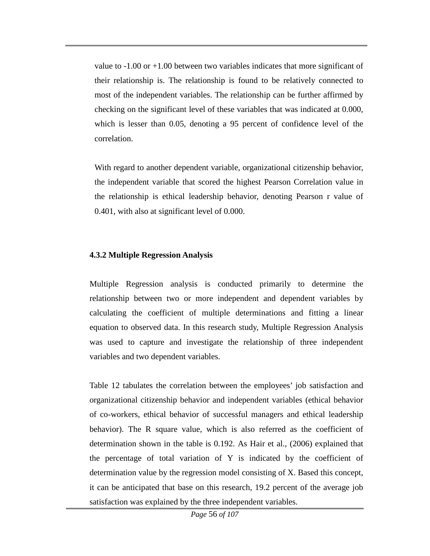value to  $-1.00$  or  $+1.00$  between two variables indicates that more significant of their relationship is. The relationship is found to be relatively connected to most of the independent variables. The relationship can be further affirmed by checking on the significant level of these variables that was indicated at 0.000, which is lesser than 0.05, denoting a 95 percent of confidence level of the correlation.

With regard to another dependent variable, organizational citizenship behavior, the independent variable that scored the highest Pearson Correlation value in the relationship is ethical leadership behavior, denoting Pearson r value of 0.401, with also at significant level of 0.000.

### **4.3.2 Multiple Regression Analysis**

Multiple Regression analysis is conducted primarily to determine the relationship between two or more independent and dependent variables by calculating the coefficient of multiple determinations and fitting a linear equation to observed data. In this research study, Multiple Regression Analysis was used to capture and investigate the relationship of three independent variables and two dependent variables.

Table 12 tabulates the correlation between the employees' job satisfaction and organizational citizenship behavior and independent variables (ethical behavior of co-workers, ethical behavior of successful managers and ethical leadership behavior). The R square value, which is also referred as the coefficient of determination shown in the table is 0.192. As Hair et al., (2006) explained that the percentage of total variation of Y is indicated by the coefficient of determination value by the regression model consisting of X. Based this concept, it can be anticipated that base on this research, 19.2 percent of the average job satisfaction was explained by the three independent variables.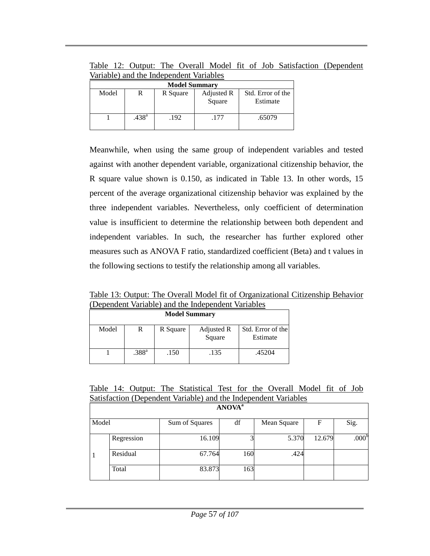Table 12: Output: The Overall Model fit of Job Satisfaction (Dependent Variable) and the Independent Variables

| <b>Model Summary</b> |                   |          |                      |                               |  |  |  |
|----------------------|-------------------|----------|----------------------|-------------------------------|--|--|--|
| Model                |                   | R Square | Adjusted R<br>Square | Std. Error of the<br>Estimate |  |  |  |
|                      | .438 <sup>a</sup> | .192     | .177                 | .65079                        |  |  |  |

Meanwhile, when using the same group of independent variables and tested against with another dependent variable, organizational citizenship behavior, the R square value shown is 0.150, as indicated in Table 13. In other words, 15 percent of the average organizational citizenship behavior was explained by the three independent variables. Nevertheless, only coefficient of determination value is insufficient to determine the relationship between both dependent and independent variables. In such, the researcher has further explored other measures such as ANOVA F ratio, standardized coefficient (Beta) and t values in the following sections to testify the relationship among all variables.

Table 13: Output: The Overall Model fit of Organizational Citizenship Behavior (Dependent Variable) and the Independent Variables

| <b>Model Summary</b> |                   |          |                      |                               |  |  |  |
|----------------------|-------------------|----------|----------------------|-------------------------------|--|--|--|
| Model                | R                 | R Square | Adjusted R<br>Square | Std. Error of the<br>Estimate |  |  |  |
|                      | .388 <sup>a</sup> | .150     | .135                 | .45204                        |  |  |  |

Table 14: Output: The Statistical Test for the Overall Model fit of Job Satisfaction (Dependent Variable) and the Independent Variables

|       | <b>ANOVA</b> <sup>a</sup> |                |     |             |        |                   |  |  |  |  |
|-------|---------------------------|----------------|-----|-------------|--------|-------------------|--|--|--|--|
| Model |                           | Sum of Squares | df  | Mean Square | F      | Sig.              |  |  |  |  |
|       | Regression                | 16.109         |     | 5.370       | 12.679 | .000 <sup>b</sup> |  |  |  |  |
|       | Residual                  | 67.764         | 160 | .424        |        |                   |  |  |  |  |
|       | Total                     | 83.873         | 163 |             |        |                   |  |  |  |  |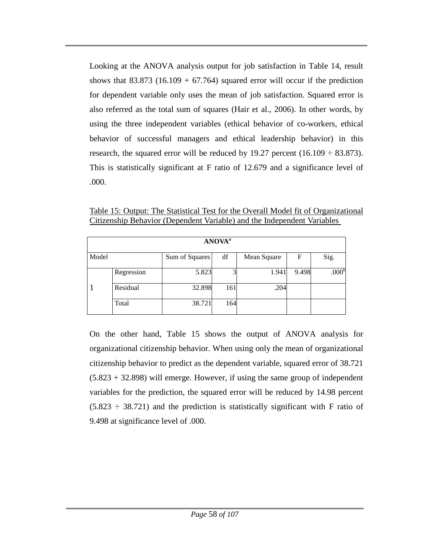Looking at the ANOVA analysis output for job satisfaction in Table 14, result shows that  $83.873$  (16.109 + 67.764) squared error will occur if the prediction for dependent variable only uses the mean of job satisfaction. Squared error is also referred as the total sum of squares (Hair et al., 2006). In other words, by using the three independent variables (ethical behavior of co-workers, ethical behavior of successful managers and ethical leadership behavior) in this research, the squared error will be reduced by 19.27 percent  $(16.109 \div 83.873)$ . This is statistically significant at F ratio of 12.679 and a significance level of .000.

| <b>ANOVA</b> <sup>a</sup> |            |                |     |             |       |                   |  |  |
|---------------------------|------------|----------------|-----|-------------|-------|-------------------|--|--|
| Model                     |            | Sum of Squares | df  | Mean Square | F     | Sig.              |  |  |
|                           | Regression | 5.823          |     | 1.941       | 9.498 | .000 <sup>b</sup> |  |  |
|                           | Residual   | 32.898         | 161 | .204        |       |                   |  |  |
|                           | Total      | 38.721         | 164 |             |       |                   |  |  |

Table 15: Output: The Statistical Test for the Overall Model fit of Organizational Citizenship Behavior (Dependent Variable) and the Independent Variables

On the other hand, Table 15 shows the output of ANOVA analysis for organizational citizenship behavior. When using only the mean of organizational citizenship behavior to predict as the dependent variable, squared error of 38.721 (5.823 + 32.898) will emerge. However, if using the same group of independent variables for the prediction, the squared error will be reduced by 14.98 percent  $(5.823 \div 38.721)$  and the prediction is statistically significant with F ratio of 9.498 at significance level of .000.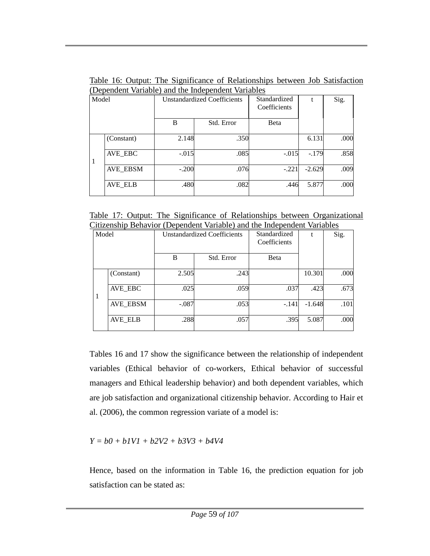Table 16: Output: The Significance of Relationships between Job Satisfaction (Dependent Variable) and the Independent Variables

| Model        |                 |         | <b>Unstandardized Coefficients</b> | Standardized<br>Coefficients | t        | Sig. |
|--------------|-----------------|---------|------------------------------------|------------------------------|----------|------|
|              |                 | B       | Std. Error                         | Beta                         |          |      |
|              | (Constant)      | 2.148   | .350                               |                              | 6.131    | .000 |
| $\mathbf{1}$ | AVE_EBC         | $-.015$ | .085                               | $-.015$                      | $-.179$  | .858 |
|              | <b>AVE_EBSM</b> | $-.200$ | .076                               | $-.221$                      | $-2.629$ | .009 |
|              | <b>AVE_ELB</b>  | .480    | .082                               | .446                         | 5.877    | .000 |

Table 17: Output: The Significance of Relationships between Organizational Citizenship Behavior (Dependent Variable) and the Independent Variables

|       | $\mu$ and $\mu$ and $\mu$ and $\mu$ and $\mu$ and the independent variables |                                    |            |              |          |      |  |  |
|-------|-----------------------------------------------------------------------------|------------------------------------|------------|--------------|----------|------|--|--|
| Model |                                                                             | <b>Unstandardized Coefficients</b> |            | Standardized |          | Sig. |  |  |
|       |                                                                             |                                    |            | Coefficients |          |      |  |  |
|       |                                                                             |                                    |            |              |          |      |  |  |
|       |                                                                             | B                                  | Std. Error | Beta         |          |      |  |  |
|       |                                                                             |                                    |            |              |          |      |  |  |
|       | (Constant)                                                                  | 2.505                              | .243       |              | 10.301   | .000 |  |  |
|       |                                                                             |                                    |            |              |          |      |  |  |
|       | AVE EBC                                                                     | .025                               | .059       | .037         | .423     | .673 |  |  |
| 1     |                                                                             |                                    |            |              |          |      |  |  |
|       | <b>AVE_EBSM</b>                                                             | $-.087$                            | .053       | $-.141$      | $-1.648$ | .101 |  |  |
|       |                                                                             |                                    |            |              |          |      |  |  |
|       | <b>AVE_ELB</b>                                                              | .288                               | .057       | .395         | 5.087    | .000 |  |  |
|       |                                                                             |                                    |            |              |          |      |  |  |

Tables 16 and 17 show the significance between the relationship of independent variables (Ethical behavior of co-workers, Ethical behavior of successful managers and Ethical leadership behavior) and both dependent variables, which are job satisfaction and organizational citizenship behavior. According to Hair et al. (2006), the common regression variate of a model is:

*Y = b0 + b1V1 + b2V2 + b3V3 + b4V4*

Hence, based on the information in Table 16, the prediction equation for job satisfaction can be stated as: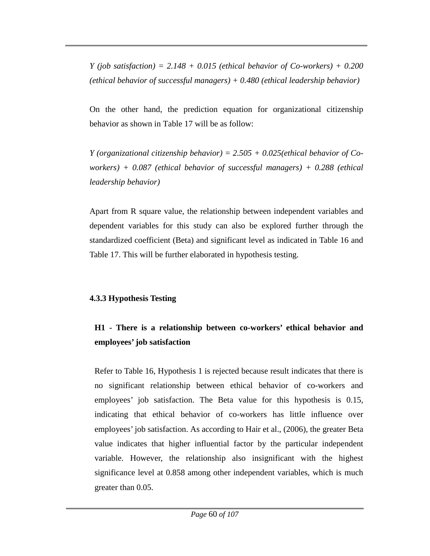*Y* (*job satisfaction*) =  $2.148 + 0.015$  (*ethical behavior of Co-workers*) + 0.200 *(ethical behavior of successful managers) + 0.480 (ethical leadership behavior)*

On the other hand, the prediction equation for organizational citizenship behavior as shown in Table 17 will be as follow:

*Y (organizational citizenship behavior) = 2.505 + 0.025(ethical behavior of Coworkers) + 0.087 (ethical behavior of successful managers) + 0.288 (ethical leadership behavior)*

Apart from R square value, the relationship between independent variables and dependent variables for this study can also be explored further through the standardized coefficient (Beta) and significant level as indicated in Table 16 and Table 17. This will be further elaborated in hypothesis testing.

### **4.3.3 Hypothesis Testing**

# **H1 - There is a relationship between co-workers' ethical behavior and employees' job satisfaction**

Refer to Table 16, Hypothesis 1 is rejected because result indicates that there is no significant relationship between ethical behavior of co-workers and employees' job satisfaction. The Beta value for this hypothesis is 0.15, indicating that ethical behavior of co-workers has little influence over employees' job satisfaction. As according to Hair et al., (2006), the greater Beta value indicates that higher influential factor by the particular independent variable. However, the relationship also insignificant with the highest significance level at 0.858 among other independent variables, which is much greater than 0.05.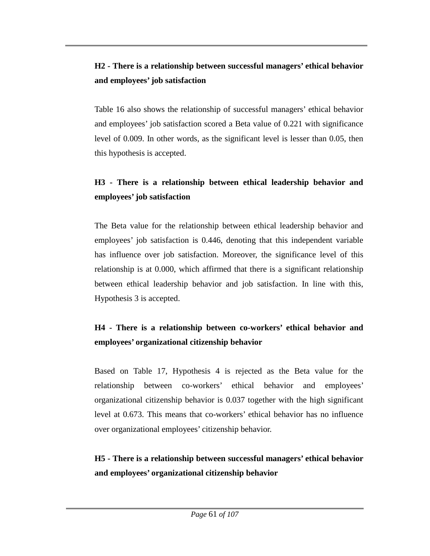### **H2 - There is a relationship between successful managers' ethical behavior and employees' job satisfaction**

Table 16 also shows the relationship of successful managers' ethical behavior and employees' job satisfaction scored a Beta value of 0.221 with significance level of 0.009. In other words, as the significant level is lesser than 0.05, then this hypothesis is accepted.

## **H3 - There is a relationship between ethical leadership behavior and employees' job satisfaction**

The Beta value for the relationship between ethical leadership behavior and employees' job satisfaction is 0.446, denoting that this independent variable has influence over job satisfaction. Moreover, the significance level of this relationship is at 0.000, which affirmed that there is a significant relationship between ethical leadership behavior and job satisfaction. In line with this, Hypothesis 3 is accepted.

# **H4 - There is a relationship between co-workers' ethical behavior and employees' organizational citizenship behavior**

Based on Table 17, Hypothesis 4 is rejected as the Beta value for the relationship between co-workers' ethical behavior and employees' organizational citizenship behavior is 0.037 together with the high significant level at 0.673. This means that co-workers' ethical behavior has no influence over organizational employees' citizenship behavior.

### **H5 - There is a relationship between successful managers' ethical behavior and employees' organizational citizenship behavior**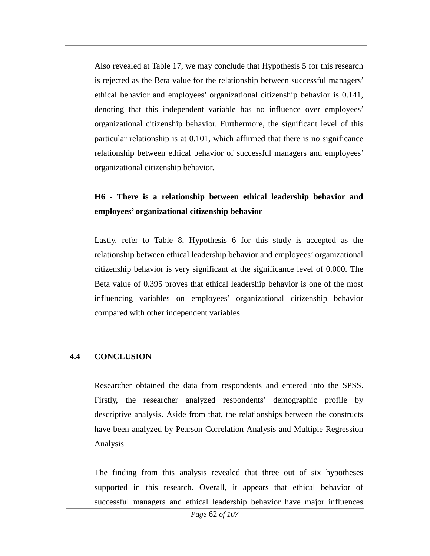Also revealed at Table 17, we may conclude that Hypothesis 5 for this research is rejected as the Beta value for the relationship between successful managers' ethical behavior and employees' organizational citizenship behavior is 0.141, denoting that this independent variable has no influence over employees' organizational citizenship behavior. Furthermore, the significant level of this particular relationship is at 0.101, which affirmed that there is no significance relationship between ethical behavior of successful managers and employees' organizational citizenship behavior.

### **H6 - There is a relationship between ethical leadership behavior and employees' organizational citizenship behavior**

Lastly, refer to Table 8, Hypothesis 6 for this study is accepted as the relationship between ethical leadership behavior and employees' organizational citizenship behavior is very significant at the significance level of 0.000. The Beta value of 0.395 proves that ethical leadership behavior is one of the most influencing variables on employees' organizational citizenship behavior compared with other independent variables.

### **4.4 CONCLUSION**

Researcher obtained the data from respondents and entered into the SPSS. Firstly, the researcher analyzed respondents' demographic profile by descriptive analysis. Aside from that, the relationships between the constructs have been analyzed by Pearson Correlation Analysis and Multiple Regression Analysis.

The finding from this analysis revealed that three out of six hypotheses supported in this research. Overall, it appears that ethical behavior of successful managers and ethical leadership behavior have major influences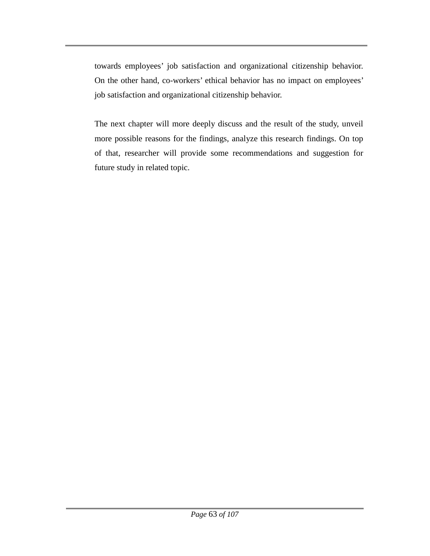towards employees' job satisfaction and organizational citizenship behavior. On the other hand, co-workers' ethical behavior has no impact on employees' job satisfaction and organizational citizenship behavior.

The next chapter will more deeply discuss and the result of the study, unveil more possible reasons for the findings, analyze this research findings. On top of that, researcher will provide some recommendations and suggestion for future study in related topic.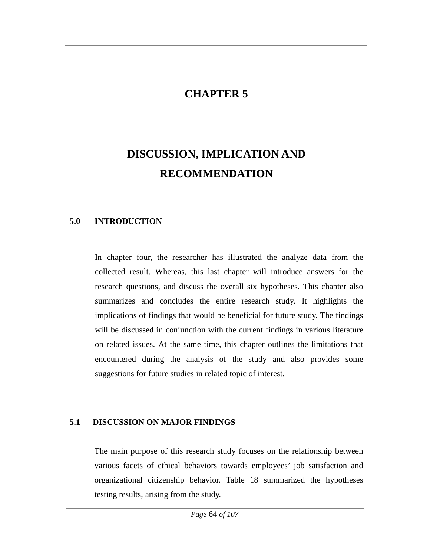### **CHAPTER 5**

# **DISCUSSION, IMPLICATION AND RECOMMENDATION**

#### **5.0 INTRODUCTION**

In chapter four, the researcher has illustrated the analyze data from the collected result. Whereas, this last chapter will introduce answers for the research questions, and discuss the overall six hypotheses. This chapter also summarizes and concludes the entire research study. It highlights the implications of findings that would be beneficial for future study. The findings will be discussed in conjunction with the current findings in various literature on related issues. At the same time, this chapter outlines the limitations that encountered during the analysis of the study and also provides some suggestions for future studies in related topic of interest.

#### **5.1 DISCUSSION ON MAJOR FINDINGS**

The main purpose of this research study focuses on the relationship between various facets of ethical behaviors towards employees' job satisfaction and organizational citizenship behavior. Table 18 summarized the hypotheses testing results, arising from the study.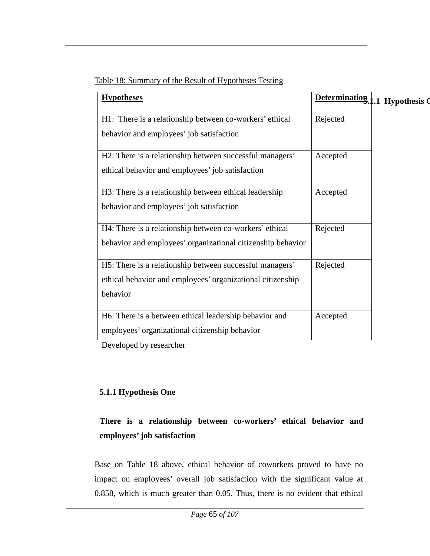| Table 18: Summary of the Result of Hypotheses Testing |  |
|-------------------------------------------------------|--|
|                                                       |  |
|                                                       |  |

| <b>Hypotheses</b>                                           |          | Determination 1.1 Hypothesis Q |
|-------------------------------------------------------------|----------|--------------------------------|
| H1: There is a relationship between co-workers' ethical     | Rejected |                                |
| behavior and employees' job satisfaction                    |          |                                |
| H2: There is a relationship between successful managers'    | Accepted |                                |
| ethical behavior and employees' job satisfaction            |          |                                |
| H3: There is a relationship between ethical leadership      | Accepted |                                |
| behavior and employees' job satisfaction                    |          |                                |
| H4: There is a relationship between co-workers' ethical     | Rejected |                                |
| behavior and employees' organizational citizenship behavior |          |                                |
| H5: There is a relationship between successful managers'    | Rejected |                                |
| ethical behavior and employees' organizational citizenship  |          |                                |
| behavior                                                    |          |                                |
| H6: There is a between ethical leadership behavior and      | Accepted |                                |
| employees' organizational citizenship behavior              |          |                                |

Developed by researcher

### **5.1.1 Hypothesis One**

# **There is a relationship between co-workers' ethical behavior and employees' job satisfaction**

Base on Table 18 above, ethical behavior of coworkers proved to have no impact on employees' overall job satisfaction with the significant value at 0.858, which is much greater than 0.05. Thus, there is no evident that ethical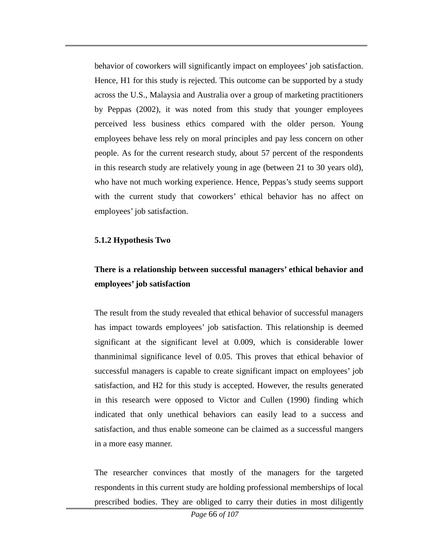behavior of coworkers will significantly impact on employees' job satisfaction. Hence, H1 for this study is rejected. This outcome can be supported by a study across the U.S., Malaysia and Australia over a group of marketing practitioners by Peppas (2002), it was noted from this study that younger employees perceived less business ethics compared with the older person. Young employees behave less rely on moral principles and pay less concern on other people. As for the current research study, about 57 percent of the respondents in this research study are relatively young in age (between 21 to 30 years old), who have not much working experience. Hence, Peppas's study seems support with the current study that coworkers' ethical behavior has no affect on employees' job satisfaction.

#### **5.1.2 Hypothesis Two**

# **There is a relationship between successful managers' ethical behavior and employees' job satisfaction**

The result from the study revealed that ethical behavior of successful managers has impact towards employees' job satisfaction. This relationship is deemed significant at the significant level at 0.009, which is considerable lower thanminimal significance level of 0.05. This proves that ethical behavior of successful managers is capable to create significant impact on employees' job satisfaction, and H2 for this study is accepted. However, the results generated in this research were opposed to Victor and Cullen (1990) finding which indicated that only unethical behaviors can easily lead to a success and satisfaction, and thus enable someone can be claimed as a successful mangers in a more easy manner.

The researcher convinces that mostly of the managers for the targeted respondents in this current study are holding professional memberships of local prescribed bodies. They are obliged to carry their duties in most diligently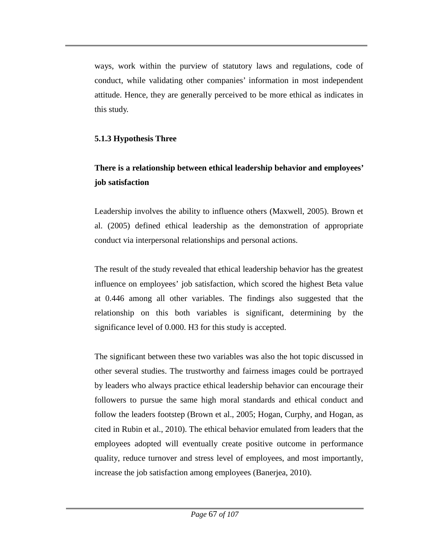ways, work within the purview of statutory laws and regulations, code of conduct, while validating other companies' information in most independent attitude. Hence, they are generally perceived to be more ethical as indicates in this study.

### **5.1.3 Hypothesis Three**

# **There is a relationship between ethical leadership behavior and employees' job satisfaction**

Leadership involves the ability to influence others (Maxwell, 2005). Brown et al. (2005) defined ethical leadership as the demonstration of appropriate conduct via interpersonal relationships and personal actions.

The result of the study revealed that ethical leadership behavior has the greatest influence on employees' job satisfaction, which scored the highest Beta value at 0.446 among all other variables. The findings also suggested that the relationship on this both variables is significant, determining by the significance level of 0.000. H3 for this study is accepted.

The significant between these two variables was also the hot topic discussed in other several studies. The trustworthy and fairness images could be portrayed by leaders who always practice ethical leadership behavior can encourage their followers to pursue the same high moral standards and ethical conduct and follow the leaders footstep (Brown et al., 2005; Hogan, Curphy, and Hogan, as cited in Rubin et al., 2010). The ethical behavior emulated from leaders that the employees adopted will eventually create positive outcome in performance quality, reduce turnover and stress level of employees, and most importantly, increase the job satisfaction among employees (Banerjea, 2010).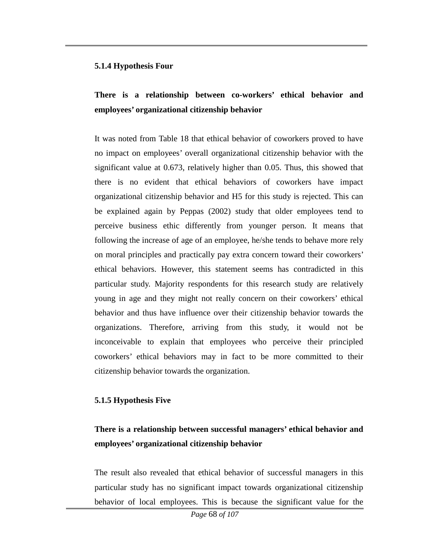#### **5.1.4 Hypothesis Four**

### **There is a relationship between co-workers' ethical behavior and employees' organizational citizenship behavior**

It was noted from Table 18 that ethical behavior of coworkers proved to have no impact on employees' overall organizational citizenship behavior with the significant value at 0.673, relatively higher than 0.05. Thus, this showed that there is no evident that ethical behaviors of coworkers have impact organizational citizenship behavior and H5 for this study is rejected. This can be explained again by Peppas (2002) study that older employees tend to perceive business ethic differently from younger person. It means that following the increase of age of an employee, he/she tends to behave more rely on moral principles and practically pay extra concern toward their coworkers' ethical behaviors. However, this statement seems has contradicted in this particular study. Majority respondents for this research study are relatively young in age and they might not really concern on their coworkers' ethical behavior and thus have influence over their citizenship behavior towards the organizations. Therefore, arriving from this study, it would not be inconceivable to explain that employees who perceive their principled coworkers' ethical behaviors may in fact to be more committed to their citizenship behavior towards the organization.

### **5.1.5 Hypothesis Five**

### **There is a relationship between successful managers' ethical behavior and employees' organizational citizenship behavior**

The result also revealed that ethical behavior of successful managers in this particular study has no significant impact towards organizational citizenship behavior of local employees. This is because the significant value for the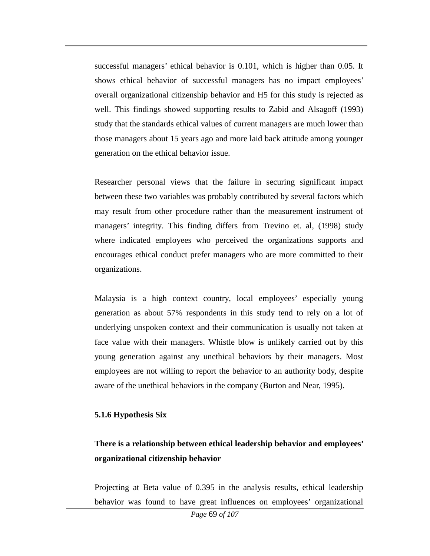successful managers' ethical behavior is 0.101, which is higher than 0.05. It shows ethical behavior of successful managers has no impact employees' overall organizational citizenship behavior and H5 for this study is rejected as well. This findings showed supporting results to Zabid and Alsagoff (1993) study that the standards ethical values of current managers are much lower than those managers about 15 years ago and more laid back attitude among younger generation on the ethical behavior issue.

Researcher personal views that the failure in securing significant impact between these two variables was probably contributed by several factors which may result from other procedure rather than the measurement instrument of managers' integrity. This finding differs from Trevino et. al, (1998) study where indicated employees who perceived the organizations supports and encourages ethical conduct prefer managers who are more committed to their organizations.

Malaysia is a high context country, local employees' especially young generation as about 57% respondents in this study tend to rely on a lot of underlying unspoken context and their communication is usually not taken at face value with their managers. Whistle blow is unlikely carried out by this young generation against any unethical behaviors by their managers. Most employees are not willing to report the behavior to an authority body, despite aware of the unethical behaviors in the company (Burton and Near, 1995).

#### **5.1.6 Hypothesis Six**

### **There is a relationship between ethical leadership behavior and employees' organizational citizenship behavior**

Projecting at Beta value of 0.395 in the analysis results, ethical leadership behavior was found to have great influences on employees' organizational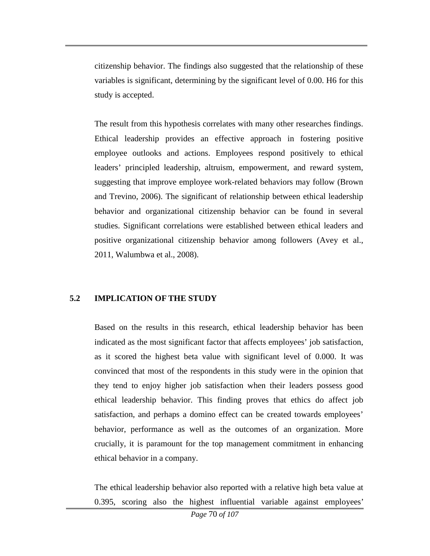citizenship behavior. The findings also suggested that the relationship of these variables is significant, determining by the significant level of 0.00. H6 for this study is accepted.

The result from this hypothesis correlates with many other researches findings. Ethical leadership provides an effective approach in fostering positive employee outlooks and actions. Employees respond positively to ethical leaders' principled leadership, altruism, empowerment, and reward system, suggesting that improve employee work-related behaviors may follow (Brown and Trevino, 2006). The significant of relationship between ethical leadership behavior and organizational citizenship behavior can be found in several studies. Significant correlations were established between ethical leaders and positive organizational citizenship behavior among followers (Avey et al., 2011, Walumbwa et al., 2008).

### **5.2 IMPLICATION OF THE STUDY**

Based on the results in this research, ethical leadership behavior has been indicated as the most significant factor that affects employees' job satisfaction, as it scored the highest beta value with significant level of 0.000. It was convinced that most of the respondents in this study were in the opinion that they tend to enjoy higher job satisfaction when their leaders possess good ethical leadership behavior. This finding proves that ethics do affect job satisfaction, and perhaps a domino effect can be created towards employees' behavior, performance as well as the outcomes of an organization. More crucially, it is paramount for the top management commitment in enhancing ethical behavior in a company.

The ethical leadership behavior also reported with a relative high beta value at 0.395, scoring also the highest influential variable against employees'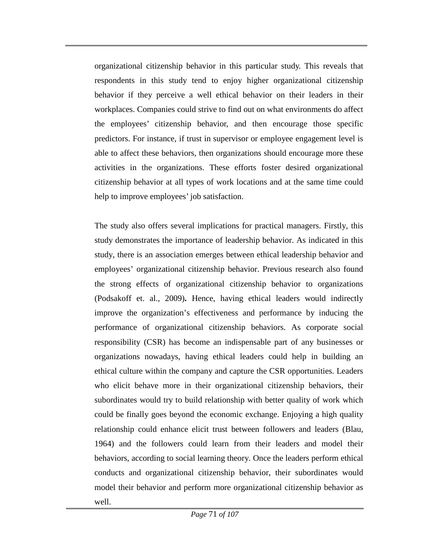organizational citizenship behavior in this particular study. This reveals that respondents in this study tend to enjoy higher organizational citizenship behavior if they perceive a well ethical behavior on their leaders in their workplaces. Companies could strive to find out on what environments do affect the employees' citizenship behavior, and then encourage those specific predictors. For instance, if trust in supervisor or employee engagement level is able to affect these behaviors, then organizations should encourage more these activities in the organizations. These efforts foster desired organizational citizenship behavior at all types of work locations and at the same time could help to improve employees' job satisfaction.

The study also offers several implications for practical managers. Firstly, this study demonstrates the importance of leadership behavior. As indicated in this study, there is an association emerges between ethical leadership behavior and employees' organizational citizenship behavior. Previous research also found the strong effects of organizational citizenship behavior to organizations (Podsakoff et. al., 2009)**.** Hence, having ethical leaders would indirectly improve the organization's effectiveness and performance by inducing the performance of organizational citizenship behaviors. As corporate social responsibility (CSR) has become an indispensable part of any businesses or organizations nowadays, having ethical leaders could help in building an ethical culture within the company and capture the CSR opportunities. Leaders who elicit behave more in their organizational citizenship behaviors, their subordinates would try to build relationship with better quality of work which could be finally goes beyond the economic exchange. Enjoying a high quality relationship could enhance elicit trust between followers and leaders (Blau, 1964) and the followers could learn from their leaders and model their behaviors, according to social learning theory. Once the leaders perform ethical conducts and organizational citizenship behavior, their subordinates would model their behavior and perform more organizational citizenship behavior as well.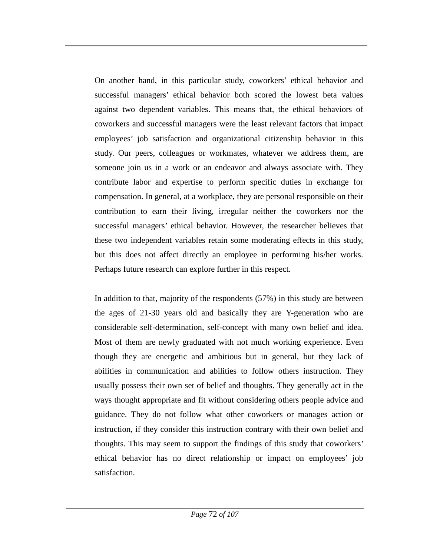On another hand, in this particular study, coworkers' ethical behavior and successful managers' ethical behavior both scored the lowest beta values against two dependent variables. This means that, the ethical behaviors of coworkers and successful managers were the least relevant factors that impact employees' job satisfaction and organizational citizenship behavior in this study. Our peers, colleagues or workmates, whatever we address them, are someone join us in a work or an endeavor and always associate with. They contribute labor and expertise to perform specific duties in exchange for compensation. In general, at a workplace, they are personal responsible on their contribution to earn their living, irregular neither the coworkers nor the successful managers' ethical behavior. However, the researcher believes that these two independent variables retain some moderating effects in this study, but this does not affect directly an employee in performing his/her works. Perhaps future research can explore further in this respect.

In addition to that, majority of the respondents (57%) in this study are between the ages of 21-30 years old and basically they are Y-generation who are considerable self-determination, self-concept with many own belief and idea. Most of them are newly graduated with not much working experience. Even though they are energetic and ambitious but in general, but they lack of abilities in communication and abilities to follow others instruction. They usually possess their own set of belief and thoughts. They generally act in the ways thought appropriate and fit without considering others people advice and guidance. They do not follow what other coworkers or manages action or instruction, if they consider this instruction contrary with their own belief and thoughts. This may seem to support the findings of this study that coworkers' ethical behavior has no direct relationship or impact on employees' job satisfaction.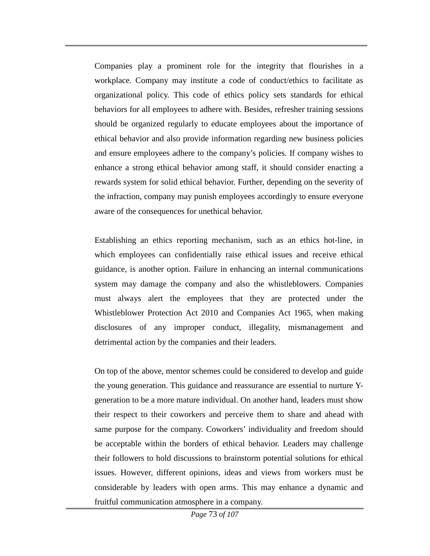Companies play a prominent role for the integrity that flourishes in a workplace. Company may institute a code of conduct/ethics to facilitate as organizational policy. This code of ethics policy sets standards for ethical behaviors for all employees to adhere with. Besides, refresher training sessions should be organized regularly to educate employees about the importance of ethical behavior and also provide information regarding new business policies and ensure employees adhere to the company's policies. If company wishes to enhance a strong ethical behavior among staff, it should consider enacting a rewards system for solid ethical behavior. Further, depending on the severity of the infraction, company may punish employees accordingly to ensure everyone aware of the consequences for unethical behavior.

Establishing an ethics reporting mechanism, such as an ethics hot-line, in which employees can confidentially raise ethical issues and receive ethical guidance, is another option. Failure in enhancing an internal communications system may damage the company and also the whistleblowers. Companies must always alert the employees that they are protected under the Whistleblower Protection Act 2010 and Companies Act 1965, when making disclosures of any improper conduct, illegality, mismanagement and detrimental action by the companies and their leaders.

On top of the above, mentor schemes could be considered to develop and guide the young generation. This guidance and reassurance are essential to nurture Ygeneration to be a more mature individual. On another hand, leaders must show their respect to their coworkers and perceive them to share and ahead with same purpose for the company. Coworkers' individuality and freedom should be acceptable within the borders of ethical behavior. Leaders may challenge their followers to hold discussions to brainstorm potential solutions for ethical issues. However, different opinions, ideas and views from workers must be considerable by leaders with open arms. This may enhance a dynamic and fruitful communication atmosphere in a company.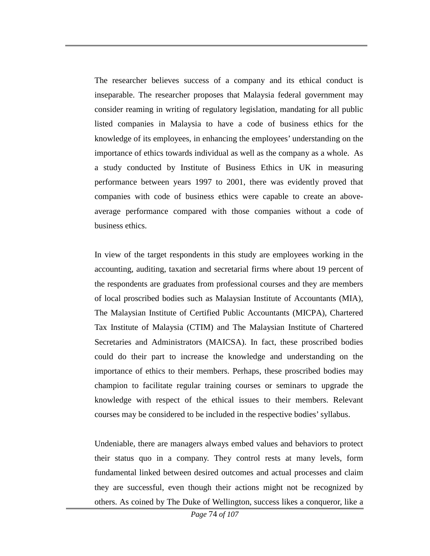The researcher believes success of a company and its ethical conduct is inseparable. The researcher proposes that Malaysia federal government may consider reaming in writing of regulatory legislation, mandating for all public listed companies in Malaysia to have a code of business ethics for the knowledge of its employees, in enhancing the employees' understanding on the importance of ethics towards individual as well as the company as a whole. As a study conducted by Institute of Business Ethics in UK in measuring performance between years 1997 to 2001, there was evidently proved that companies with code of business ethics were capable to create an aboveaverage performance compared with those companies without a code of business ethics.

In view of the target respondents in this study are employees working in the accounting, auditing, taxation and secretarial firms where about 19 percent of the respondents are graduates from professional courses and they are members of local proscribed bodies such as Malaysian Institute of Accountants (MIA), The Malaysian Institute of Certified Public Accountants (MICPA), Chartered Tax Institute of Malaysia (CTIM) and The Malaysian Institute of Chartered Secretaries and Administrators (MAICSA). In fact, these proscribed bodies could do their part to increase the knowledge and understanding on the importance of ethics to their members. Perhaps, these proscribed bodies may champion to facilitate regular training courses or seminars to upgrade the knowledge with respect of the ethical issues to their members. Relevant courses may be considered to be included in the respective bodies' syllabus.

Undeniable, there are managers always embed values and behaviors to protect their status quo in a company. They control rests at many levels, form fundamental linked between desired outcomes and actual processes and claim they are successful, even though their actions might not be recognized by others. As coined by The Duke of Wellington, success likes a conqueror, like a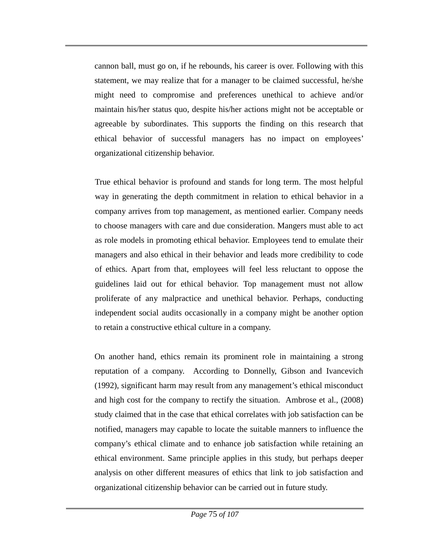cannon ball, must go on, if he rebounds, his career is over. Following with this statement, we may realize that for a manager to be claimed successful, he/she might need to compromise and preferences unethical to achieve and/or maintain his/her status quo, despite his/her actions might not be acceptable or agreeable by subordinates. This supports the finding on this research that ethical behavior of successful managers has no impact on employees' organizational citizenship behavior.

True ethical behavior is profound and stands for long term. The most helpful way in generating the depth commitment in relation to ethical behavior in a company arrives from top management, as mentioned earlier. Company needs to choose managers with care and due consideration. Mangers must able to act as role models in promoting ethical behavior. Employees tend to emulate their managers and also ethical in their behavior and leads more credibility to code of ethics. Apart from that, employees will feel less reluctant to oppose the guidelines laid out for ethical behavior. Top management must not allow proliferate of any malpractice and unethical behavior. Perhaps, conducting independent social audits occasionally in a company might be another option to retain a constructive ethical culture in a company.

On another hand, ethics remain its prominent role in maintaining a strong reputation of a company. According to Donnelly, Gibson and Ivancevich (1992), significant harm may result from any management's ethical misconduct and high cost for the company to rectify the situation. Ambrose et al., (2008) study claimed that in the case that ethical correlates with job satisfaction can be notified, managers may capable to locate the suitable manners to influence the company's ethical climate and to enhance job satisfaction while retaining an ethical environment. Same principle applies in this study, but perhaps deeper analysis on other different measures of ethics that link to job satisfaction and organizational citizenship behavior can be carried out in future study.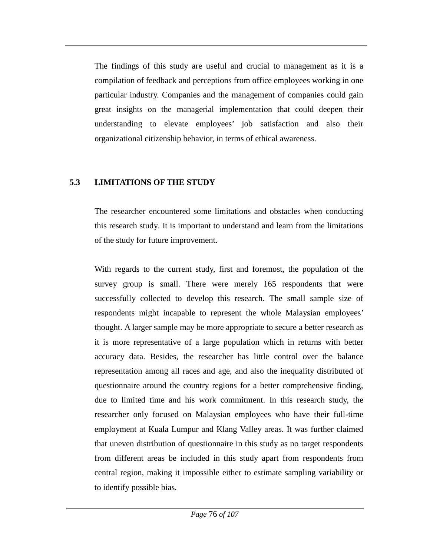The findings of this study are useful and crucial to management as it is a compilation of feedback and perceptions from office employees working in one particular industry. Companies and the management of companies could gain great insights on the managerial implementation that could deepen their understanding to elevate employees' job satisfaction and also their organizational citizenship behavior, in terms of ethical awareness.

### **5.3 LIMITATIONS OF THE STUDY**

The researcher encountered some limitations and obstacles when conducting this research study. It is important to understand and learn from the limitations of the study for future improvement.

With regards to the current study, first and foremost, the population of the survey group is small. There were merely 165 respondents that were successfully collected to develop this research. The small sample size of respondents might incapable to represent the whole Malaysian employees' thought. A larger sample may be more appropriate to secure a better research as it is more representative of a large population which in returns with better accuracy data. Besides, the researcher has little control over the balance representation among all races and age, and also the inequality distributed of questionnaire around the country regions for a better comprehensive finding, due to limited time and his work commitment. In this research study, the researcher only focused on Malaysian employees who have their full-time employment at Kuala Lumpur and Klang Valley areas. It was further claimed that uneven distribution of questionnaire in this study as no target respondents from different areas be included in this study apart from respondents from central region, making it impossible either to estimate sampling variability or to identify possible bias.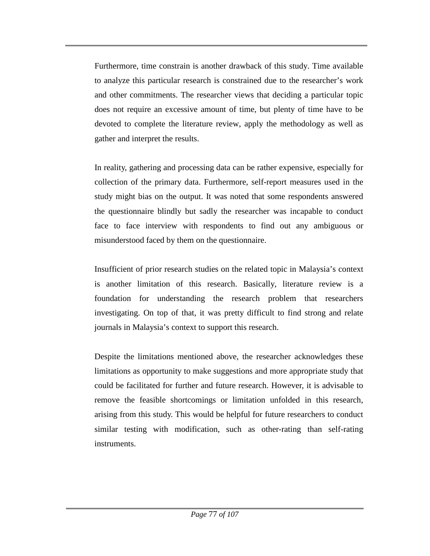Furthermore, time constrain is another drawback of this study. Time available to analyze this particular research is constrained due to the researcher's work and other commitments. The researcher views that deciding a particular topic does not require an excessive amount of time, but plenty of time have to be devoted to complete the literature review, apply the methodology as well as gather and interpret the results.

In reality, gathering and processing data can be rather expensive, especially for collection of the primary data. Furthermore, self-report measures used in the study might bias on the output. It was noted that some respondents answered the questionnaire blindly but sadly the researcher was incapable to conduct face to face interview with respondents to find out any ambiguous or misunderstood faced by them on the questionnaire.

Insufficient of prior research studies on the related topic in Malaysia's context is another limitation of this research. Basically, literature review is a foundation for understanding the research problem that researchers investigating. On top of that, it was pretty difficult to find strong and relate journals in Malaysia's context to support this research.

Despite the limitations mentioned above, the researcher acknowledges these limitations as opportunity to make suggestions and more appropriate study that could be facilitated for further and future research. However, it is advisable to remove the feasible shortcomings or limitation unfolded in this research, arising from this study. This would be helpful for future researchers to conduct similar testing with modification, such as other-rating than self-rating instruments.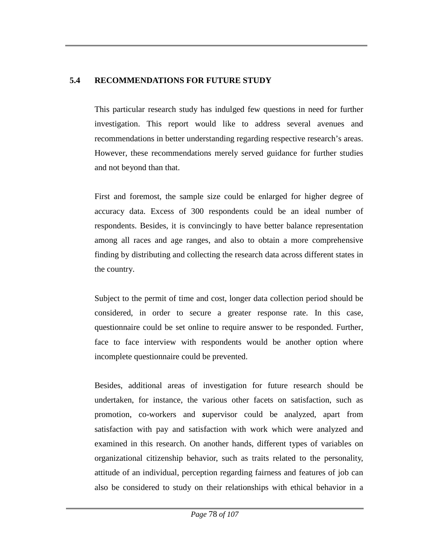#### **5.4 RECOMMENDATIONS FOR FUTURE STUDY**

This particular research study has indulged few questions in need for further investigation. This report would like to address several avenues and recommendations in better understanding regarding respective research's areas. However, these recommendations merely served guidance for further studies and not beyond than that.

First and foremost, the sample size could be enlarged for higher degree of accuracy data. Excess of 300 respondents could be an ideal number of respondents. Besides, it is convincingly to have better balance representation among all races and age ranges, and also to obtain a more comprehensive finding by distributing and collecting the research data across different states in the country.

Subject to the permit of time and cost, longer data collection period should be considered, in order to secure a greater response rate. In this case, questionnaire could be set online to require answer to be responded. Further, face to face interview with respondents would be another option where incomplete questionnaire could be prevented.

Besides, additional areas of investigation for future research should be undertaken, for instance, the various other facets on satisfaction, such as promotion, co-workers and *s*upervisor could be analyzed, apart from satisfaction with pay and satisfaction with work which were analyzed and examined in this research. On another hands, different types of variables on organizational citizenship behavior, such as traits related to the personality, attitude of an individual, perception regarding fairness and features of job can also be considered to study on their relationships with ethical behavior in a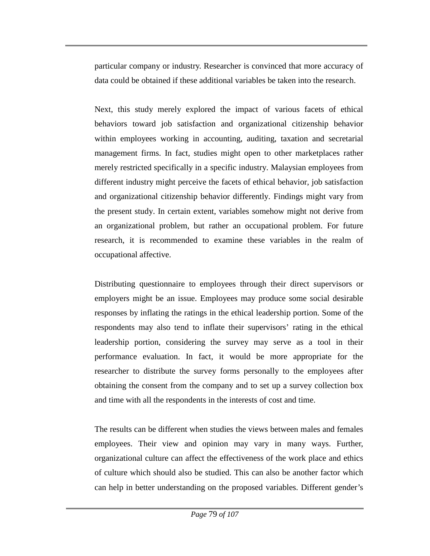particular company or industry. Researcher is convinced that more accuracy of data could be obtained if these additional variables be taken into the research.

Next, this study merely explored the impact of various facets of ethical behaviors toward job satisfaction and organizational citizenship behavior within employees working in accounting, auditing, taxation and secretarial management firms. In fact, studies might open to other marketplaces rather merely restricted specifically in a specific industry. Malaysian employees from different industry might perceive the facets of ethical behavior, job satisfaction and organizational citizenship behavior differently. Findings might vary from the present study. In certain extent, variables somehow might not derive from an organizational problem, but rather an occupational problem. For future research, it is recommended to examine these variables in the realm of occupational affective.

Distributing questionnaire to employees through their direct supervisors or employers might be an issue. Employees may produce some social desirable responses by inflating the ratings in the ethical leadership portion. Some of the respondents may also tend to inflate their supervisors' rating in the ethical leadership portion, considering the survey may serve as a tool in their performance evaluation. In fact, it would be more appropriate for the researcher to distribute the survey forms personally to the employees after obtaining the consent from the company and to set up a survey collection box and time with all the respondents in the interests of cost and time.

The results can be different when studies the views between males and females employees. Their view and opinion may vary in many ways. Further, organizational culture can affect the effectiveness of the work place and ethics of culture which should also be studied. This can also be another factor which can help in better understanding on the proposed variables. Different gender's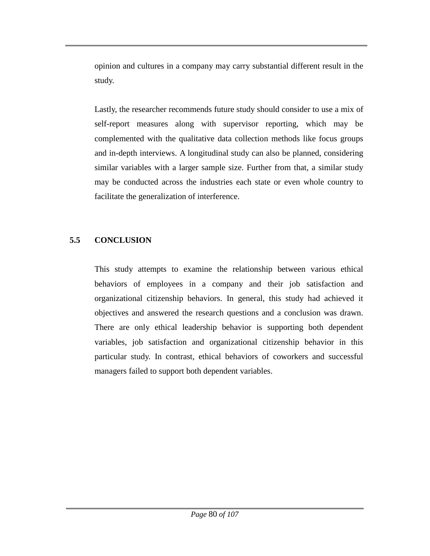opinion and cultures in a company may carry substantial different result in the study.

Lastly, the researcher recommends future study should consider to use a mix of self-report measures along with supervisor reporting, which may be complemented with the qualitative data collection methods like focus groups and in-depth interviews. A longitudinal study can also be planned, considering similar variables with a larger sample size. Further from that, a similar study may be conducted across the industries each state or even whole country to facilitate the generalization of interference.

### **5.5 CONCLUSION**

This study attempts to examine the relationship between various ethical behaviors of employees in a company and their job satisfaction and organizational citizenship behaviors. In general, this study had achieved it objectives and answered the research questions and a conclusion was drawn. There are only ethical leadership behavior is supporting both dependent variables, job satisfaction and organizational citizenship behavior in this particular study. In contrast, ethical behaviors of coworkers and successful managers failed to support both dependent variables.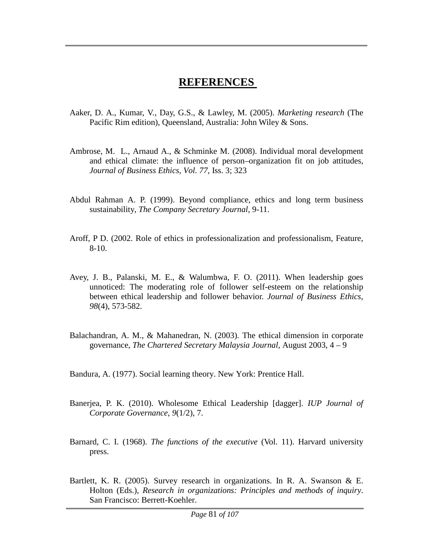### **REFERENCES**

- Aaker, D. A., Kumar, V., Day, G.S., & Lawley, M. (2005). *Marketing research* (The Pacific Rim edition), Queensland, Australia: John Wiley & Sons.
- Ambrose, M. L., Arnaud A., & Schminke M. (2008). Individual moral development and ethical climate: the influence of person–organization fit on job attitudes, *Journal of Business Ethics*, *Vol. 77*, Iss. 3; 323
- Abdul Rahman A. P. (1999). Beyond compliance, ethics and long term business sustainability, *The Company Secretary Journal*, 9-11.
- Aroff, P D. (2002. Role of ethics in professionalization and professionalism, Feature, 8-10.
- Avey, J. B., Palanski, M. E., & Walumbwa, F. O. (2011). When leadership goes unnoticed: The moderating role of follower self-esteem on the relationship between ethical leadership and follower behavior. *Journal of Business Ethics*, *98*(4), 573-582.
- Balachandran, A. M., & Mahanedran, N. (2003). The ethical dimension in corporate governance, *The Chartered Secretary Malaysia Journal,* August 2003, 4 – 9

Bandura, A. (1977). Social learning theory. New York: Prentice Hall.

- Banerjea, P. K. (2010). Wholesome Ethical Leadership [dagger]. *IUP Journal of Corporate Governance*, *9*(1/2), 7.
- Barnard, C. I. (1968). *The functions of the executive* (Vol. 11). Harvard university press.
- Bartlett, K. R. (2005). Survey research in organizations. In R. A. Swanson & E. Holton (Eds.), *Research in organizations: Principles and methods of inquiry*. San Francisco: Berrett-Koehler.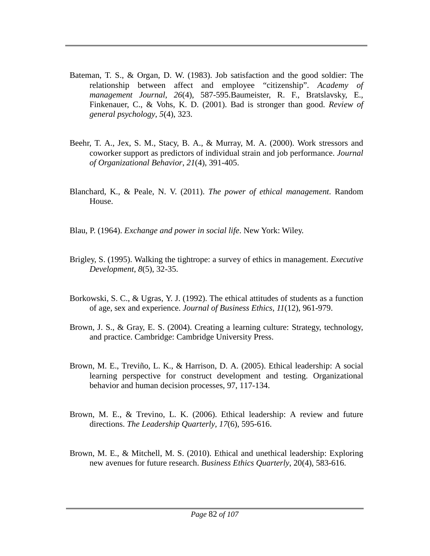- Bateman, T. S., & Organ, D. W. (1983). Job satisfaction and the good soldier: The relationship between affect and employee "citizenship". *Academy of management Journal*, *26*(4), 587-595.Baumeister, R. F., Bratslavsky, E., Finkenauer, C., & Vohs, K. D. (2001). Bad is stronger than good. *Review of general psychology*, *5*(4), 323.
- Beehr, T. A., Jex, S. M., Stacy, B. A., & Murray, M. A. (2000). Work stressors and coworker support as predictors of individual strain and job performance. *Journal of Organizational Behavior*, *21*(4), 391-405.
- Blanchard, K., & Peale, N. V. (2011). *The power of ethical management*. Random House.
- Blau, P. (1964). *Exchange and power in social life*. New York: Wiley.
- Brigley, S. (1995). Walking the tightrope: a survey of ethics in management. *Executive Development*, *8*(5), 32-35.
- Borkowski, S. C., & Ugras, Y. J. (1992). The ethical attitudes of students as a function of age, sex and experience. *Journal of Business Ethics*, *11*(12), 961-979.
- Brown, J. S., & Gray, E. S. (2004). Creating a learning culture: Strategy, technology, and practice. Cambridge: Cambridge University Press.
- Brown, M. E., Treviño, L. K., & Harrison, D. A. (2005). Ethical leadership: A social learning perspective for construct development and testing. Organizational behavior and human decision processes, 97, 117-134.
- Brown, M. E., & Trevino, L. K. (2006). Ethical leadership: A review and future directions. *The Leadership Quarterly, 17*(6), 595-616.
- Brown, M. E., & Mitchell, M. S. (2010). Ethical and unethical leadership: Exploring new avenues for future research. *Business Ethics Quarterly*, 20(4), 583-616.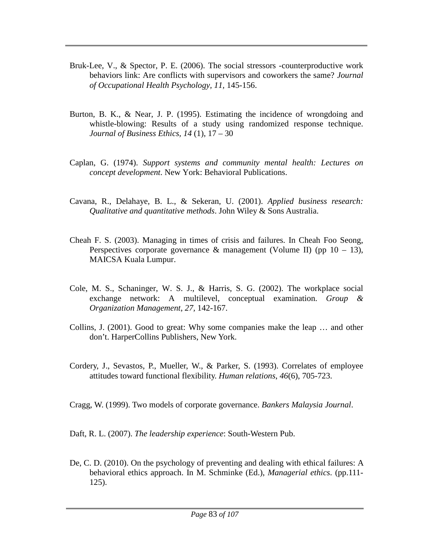- Bruk-Lee, V., & Spector, P. E. (2006). The social stressors -counterproductive work behaviors link: Are conflicts with supervisors and coworkers the same? *Journal of Occupational Health Psychology, 11,* 145-156.
- Burton, B. K., & Near, J. P. (1995). Estimating the incidence of wrongdoing and whistle-blowing: Results of a study using randomized response technique. *Journal of Business Ethics, 14* (1), 17 – 30
- Caplan, G. (1974). *Support systems and community mental health: Lectures on concept development*. New York: Behavioral Publications.
- Cavana, R., Delahaye, B. L., & Sekeran, U. (2001). *Applied business research: Qualitative and quantitative methods*. John Wiley & Sons Australia.
- Cheah F. S. (2003). Managing in times of crisis and failures. In Cheah Foo Seong, Perspectives corporate governance & management (Volume II) (pp  $10 - 13$ ), MAICSA Kuala Lumpur.
- Cole, M. S., Schaninger, W. S. J., & Harris, S. G. (2002). The workplace social exchange network: A multilevel, conceptual examination. *Group & Organization Management*, *27,* 142-167.
- Collins, J. (2001). Good to great: Why some companies make the leap … and other don't. HarperCollins Publishers, New York.
- Cordery, J., Sevastos, P., Mueller, W., & Parker, S. (1993). Correlates of employee attitudes toward functional flexibility. *Human relations*, *46*(6), 705-723.

Cragg, W. (1999). Two models of corporate governance. *Bankers Malaysia Journal*.

Daft, R. L. (2007). *The leadership experience*: South-Western Pub.

De, C. D. (2010). On the psychology of preventing and dealing with ethical failures: A behavioral ethics approach. In M. Schminke (Ed.), *Managerial ethics*. (pp.111- 125).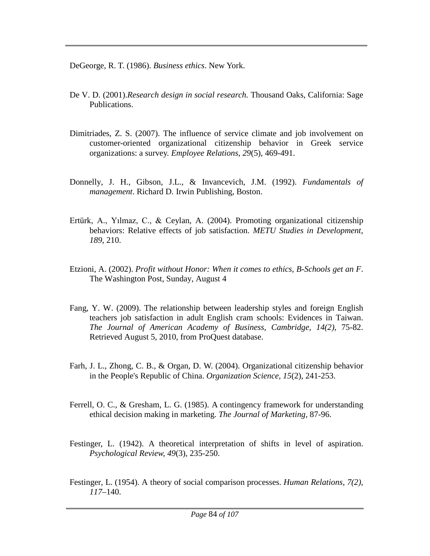DeGeorge, R. T. (1986). *Business ethics*. New York.

- De V. D. (2001).*Research design in social research.* Thousand Oaks, California: Sage Publications.
- Dimitriades, Z. S. (2007). The influence of service climate and job involvement on customer-oriented organizational citizenship behavior in Greek service organizations: a survey. *Employee Relations*, *29*(5), 469-491.
- Donnelly, J. H., Gibson, J.L., & Invancevich, J.M. (1992). *Fundamentals of management*. Richard D. Irwin Publishing, Boston.
- Ertürk, A., Yılmaz, C., & Ceylan, A. (2004). Promoting organizational citizenship behaviors: Relative effects of job satisfaction. *METU Studies in Development*, *189*, 210.
- Etzioni, A. (2002). *Profit without Honor: When it comes to ethics, B-Schools get an F*. The Washington Post, Sunday, August 4
- Fang, Y. W. (2009). The relationship between leadership styles and foreign English teachers job satisfaction in adult English cram schools: Evidences in Taiwan. *The Journal of American Academy of Business, Cambridge, 14(2)*, 75-82. Retrieved August 5, 2010, from ProQuest database.
- Farh, J. L., Zhong, C. B., & Organ, D. W. (2004). Organizational citizenship behavior in the People's Republic of China. *Organization Science*, *15*(2), 241-253.
- Ferrell, O. C., & Gresham, L. G. (1985). A contingency framework for understanding ethical decision making in marketing. *The Journal of Marketing*, 87-96.
- Festinger, L. (1942). A theoretical interpretation of shifts in level of aspiration. *Psychological Review, 49*(3), 235-250.
- Festinger, L. (1954). A theory of social comparison processes. *Human Relations, 7(2), 117*–140.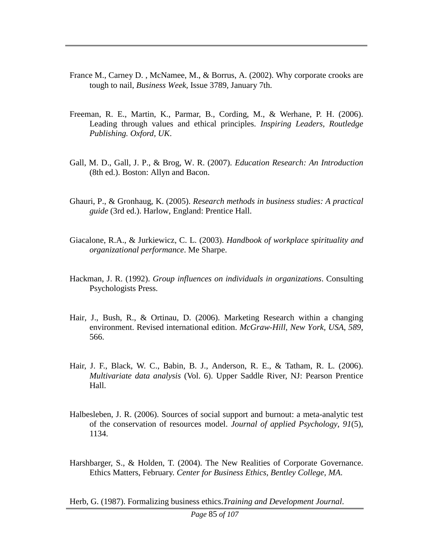- France M., Carney D. , McNamee, M., & Borrus, A. (2002). Why corporate crooks are tough to nail, *Business Week*, Issue 3789, January 7th.
- Freeman, R. E., Martin, K., Parmar, B., Cording, M., & Werhane, P. H. (2006). Leading through values and ethical principles. *Inspiring Leaders, Routledge Publishing. Oxford, UK*.
- Gall, M. D., Gall, J. P., & Brog, W. R. (2007). *Education Research: An Introduction*  (8th ed.). Boston: Allyn and Bacon.
- Ghauri, P., & Gronhaug, K. (2005). *Research methods in business studies: A practical guide* (3rd ed.). Harlow, England: Prentice Hall.
- Giacalone, R.A., & Jurkiewicz, C. L. (2003). *Handbook of workplace spirituality and organizational performance*. Me Sharpe.
- Hackman, J. R. (1992). *Group influences on individuals in organizations*. Consulting Psychologists Press.
- Hair, J., Bush, R., & Ortinau, D. (2006). Marketing Research within a changing environment. Revised international edition. *McGraw-Hill, New York, USA*, *589*, 566.
- Hair, J. F., Black, W. C., Babin, B. J., Anderson, R. E., & Tatham, R. L. (2006). *Multivariate data analysis* (Vol. 6). Upper Saddle River, NJ: Pearson Prentice Hall.
- Halbesleben, J. R. (2006). Sources of social support and burnout: a meta-analytic test of the conservation of resources model. *Journal of applied Psychology*, *91*(5), 1134.
- Harshbarger, S., & Holden, T. (2004). The New Realities of Corporate Governance. Ethics Matters, February. *Center for Business Ethics, Bentley College, MA*.

Herb, G. (1987). Formalizing business ethics.*Training and Development Journal*.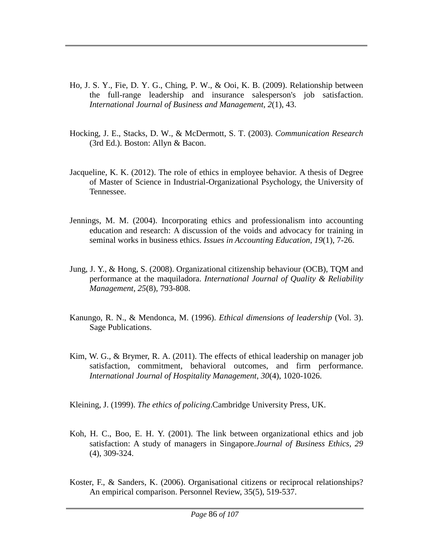- Ho, J. S. Y., Fie, D. Y. G., Ching, P. W., & Ooi, K. B. (2009). Relationship between the full-range leadership and insurance salesperson's job satisfaction. *International Journal of Business and Management*, *2*(1), 43.
- Hocking, J. E., Stacks, D. W., & McDermott, S. T. (2003). *Communication Research*  (3rd Ed.). Boston: Allyn & Bacon.
- Jacqueline, K. K. (2012). The role of ethics in employee behavior. A thesis of Degree of Master of Science in Industrial-Organizational Psychology, the University of Tennessee.
- Jennings, M. M. (2004). Incorporating ethics and professionalism into accounting education and research: A discussion of the voids and advocacy for training in seminal works in business ethics. *Issues in Accounting Education*, *19*(1), 7-26.
- Jung, J. Y., & Hong, S. (2008). Organizational citizenship behaviour (OCB), TQM and performance at the maquiladora. *International Journal of Quality & Reliability Management*, *25*(8), 793-808.
- Kanungo, R. N., & Mendonca, M. (1996). *Ethical dimensions of leadership* (Vol. 3). Sage Publications.
- Kim, W. G., & Brymer, R. A. (2011). The effects of ethical leadership on manager job satisfaction, commitment, behavioral outcomes, and firm performance. *International Journal of Hospitality Management*, *30*(4), 1020-1026.

Kleining, J. (1999). *The ethics of policing*.Cambridge University Press, UK.

- Koh, H. C., Boo, E. H. Y. (2001). The link between organizational ethics and job satisfaction: A study of managers in Singapore.*Journal of Business Ethics, 29* (4), 309-324.
- Koster, F., & Sanders, K. (2006). Organisational citizens or reciprocal relationships? An empirical comparison. Personnel Review, 35(5), 519-537.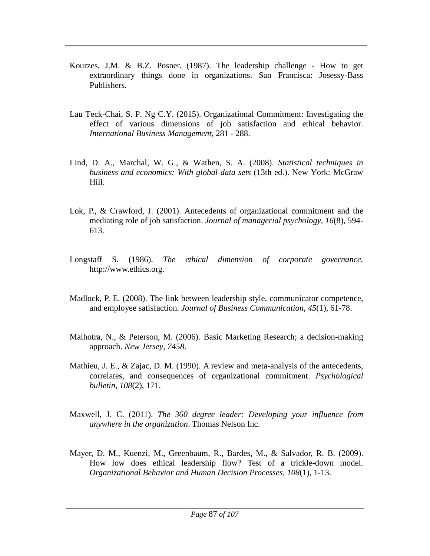- Kourzes, J.M. & B.Z. Posner. (1987). The leadership challenge How to get extraordinary things done in organizations. San Francisca: Josessy-Bass Publishers.
- Lau Teck-Chai, S. P. Ng C.Y. (2015). Organizational Commitment: Investigating the effect of various dimensions of job satisfaction and ethical behavior. *International Business Management*, 281 - 288.
- Lind, D. A., Marchal, W. G., & Wathen, S. A. (2008). *Statistical techniques in business and economics: With global data sets* (13th ed.). New York: McGraw Hill.
- Lok, P., & Crawford, J. (2001). Antecedents of organizational commitment and the mediating role of job satisfaction. *Journal of managerial psychology*, *16*(8), 594- 613.
- Longstaff S. (1986). *The ethical dimension of corporate governance.* http://www.ethics.org.
- Madlock, P. E. (2008). The link between leadership style, communicator competence, and employee satisfaction. *Journal of Business Communication*, *45*(1), 61-78.
- Malhotra, N., & Peterson, M. (2006). Basic Marketing Research; a decision-making approach. *New Jersey*, *7458*.
- Mathieu, J. E., & Zajac, D. M. (1990). A review and meta-analysis of the antecedents, correlates, and consequences of organizational commitment. *Psychological bulletin*, *108*(2), 171.
- Maxwell, J. C. (2011). *The 360 degree leader: Developing your influence from anywhere in the organization*. Thomas Nelson Inc.
- Mayer, D. M., Kuenzi, M., Greenbaum, R., Bardes, M., & Salvador, R. B. (2009). How low does ethical leadership flow? Test of a trickle-down model. *Organizational Behavior and Human Decision Processes*, *108*(1), 1-13.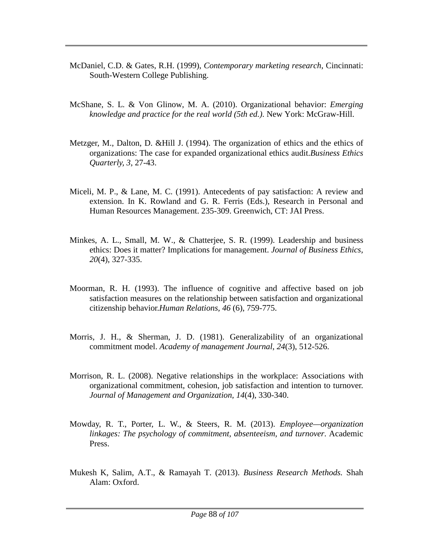- McDaniel, C.D. & Gates, R.H. (1999), *Contemporary marketing research*, Cincinnati: South-Western College Publishing.
- McShane, S. L. & Von Glinow, M. A. (2010). Organizational behavior: *Emerging knowledge and practice for the real world (5th ed.)*. New York: McGraw-Hill.
- Metzger, M., Dalton, D. &Hill J. (1994). The organization of ethics and the ethics of organizations: The case for expanded organizational ethics audit.*Business Ethics Quarterly, 3*, 27-43.
- Miceli, M. P., & Lane, M. C. (1991). Antecedents of pay satisfaction: A review and extension. In K. Rowland and G. R. Ferris (Eds.), Research in Personal and Human Resources Management. 235-309. Greenwich, CT: JAI Press.
- Minkes, A. L., Small, M. W., & Chatterjee, S. R. (1999). Leadership and business ethics: Does it matter? Implications for management. *Journal of Business Ethics, 20*(4), 327-335.
- Moorman, R. H. (1993). The influence of cognitive and affective based on job satisfaction measures on the relationship between satisfaction and organizational citizenship behavior.*Human Relations, 46* (6), 759-775.
- Morris, J. H., & Sherman, J. D. (1981). Generalizability of an organizational commitment model. *Academy of management Journal*, *24*(3), 512-526.
- Morrison, R. L. (2008). Negative relationships in the workplace: Associations with organizational commitment, cohesion, job satisfaction and intention to turnover. *Journal of Management and Organization, 14*(4), 330-340.
- Mowday, R. T., Porter, L. W., & Steers, R. M. (2013). *Employee—organization linkages: The psychology of commitment, absenteeism, and turnover*. Academic Press.
- Mukesh K, Salim, A.T., & Ramayah T. (2013). *Business Research Methods.* Shah Alam: Oxford.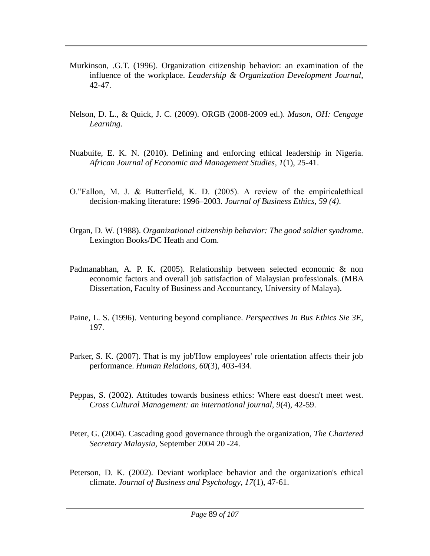- Murkinson, .G.T. (1996). Organization citizenship behavior: an examination of the influence of the workplace. *Leadership & Organization Development Journal*, 42-47.
- Nelson, D. L., & Quick, J. C. (2009). ORGB (2008-2009 ed.). *Mason, OH: Cengage Learning*.
- Nuabuife, E. K. N. (2010). Defining and enforcing ethical leadership in Nigeria. *African Journal of Economic and Management Studies, 1*(1), 25-41.
- O."Fallon, M. J. & Butterfield, K. D. (2005). A review of the empiricalethical decision-making literature: 1996–2003. *Journal of Business Ethics, 59 (4)*.
- Organ, D. W. (1988). *Organizational citizenship behavior: The good soldier syndrome*. Lexington Books/DC Heath and Com.
- Padmanabhan, A. P. K. (2005). Relationship between selected economic & non economic factors and overall job satisfaction of Malaysian professionals. (MBA Dissertation, Faculty of Business and Accountancy, University of Malaya).
- Paine, L. S. (1996). Venturing beyond compliance. *Perspectives In Bus Ethics Sie 3E*, 197.
- Parker, S. K. (2007). That is my job'How employees' role orientation affects their job performance. *Human Relations*, *60*(3), 403-434.
- Peppas, S. (2002). Attitudes towards business ethics: Where east doesn't meet west. *Cross Cultural Management: an international journal*, *9*(4), 42-59.
- Peter, G. (2004). Cascading good governance through the organization, *The Chartered Secretary Malaysia*, September 2004 20 -24.
- Peterson, D. K. (2002). Deviant workplace behavior and the organization's ethical climate. *Journal of Business and Psychology*, *17*(1), 47-61.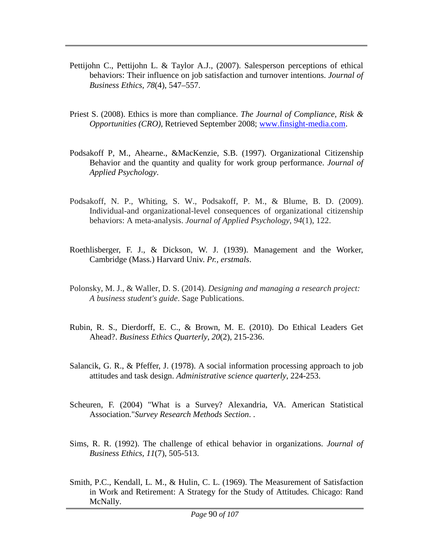- Pettijohn C., Pettijohn L. & Taylor A.J., (2007). Salesperson perceptions of ethical behaviors: Their influence on job satisfaction and turnover intentions. *Journal of Business Ethics, 78*(4), 547–557.
- Priest S. (2008). Ethics is more than compliance. *The Journal of Compliance, Risk & Opportunities (CRO),* Retrieved September 2008; [www.finsight-media.com.](http://www.finsight-media.com/)
- Podsakoff P, M., Ahearne., &MacKenzie, S.B. (1997). Organizational Citizenship Behavior and the quantity and quality for work group performance. *Journal of Applied Psychology*.
- Podsakoff, N. P., Whiting, S. W., Podsakoff, P. M., & Blume, B. D. (2009). Individual-and organizational-level consequences of organizational citizenship behaviors: A meta-analysis. *Journal of Applied Psychology*, *94*(1), 122.
- Roethlisberger, F. J., & Dickson, W. J. (1939). Management and the Worker, Cambridge (Mass.) Harvard Univ. *Pr., erstmals*.
- Polonsky, M. J., & Waller, D. S. (2014). *Designing and managing a research project: A business student's guide*. Sage Publications.
- Rubin, R. S., Dierdorff, E. C., & Brown, M. E. (2010). Do Ethical Leaders Get Ahead?. *Business Ethics Quarterly*, *20*(2), 215-236.
- Salancik, G. R., & Pfeffer, J. (1978). A social information processing approach to job attitudes and task design. *Administrative science quarterly*, 224-253.
- Scheuren, F. (2004) "What is a Survey? Alexandria, VA. American Statistical Association."*Survey Research Methods Section*. .
- Sims, R. R. (1992). The challenge of ethical behavior in organizations. *Journal of Business Ethics, 11*(7), 505-513.
- Smith, P.C., Kendall, L. M., & Hulin, C. L. (1969). The Measurement of Satisfaction in Work and Retirement: A Strategy for the Study of Attitudes*.* Chicago: Rand McNally.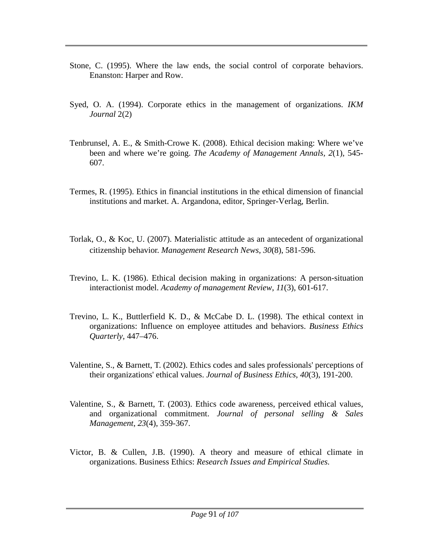- Stone, C. (1995). Where the law ends, the social control of corporate behaviors. Enanston: Harper and Row.
- Syed, O. A. (1994). Corporate ethics in the management of organizations. *IKM Journal* 2(2)
- Tenbrunsel, A. E., & Smith-Crowe K. (2008). Ethical decision making: Where we've been and where we're going. *The Academy of Management Annals, 2*(1)*,* 545- 607.
- Termes, R. (1995). Ethics in financial institutions in the ethical dimension of financial institutions and market. A. Argandona, editor, Springer-Verlag, Berlin.
- Torlak, O., & Koc, U. (2007). Materialistic attitude as an antecedent of organizational citizenship behavior. *Management Research News*, *30*(8), 581-596.
- Trevino, L. K. (1986). Ethical decision making in organizations: A person-situation interactionist model. *Academy of management Review*, *11*(3), 601-617.
- Trevino, L. K., Buttlerfield K. D., & McCabe D. L. (1998). The ethical context in organizations: Influence on employee attitudes and behaviors. *Business Ethics Quarterly,* 447–476.
- Valentine, S., & Barnett, T. (2002). Ethics codes and sales professionals' perceptions of their organizations' ethical values. *Journal of Business Ethics*, *40*(3), 191-200.
- Valentine, S., & Barnett, T. (2003). Ethics code awareness, perceived ethical values, and organizational commitment. *Journal of personal selling & Sales Management*, *23*(4), 359-367.
- Victor, B. & Cullen, J.B. (1990). A theory and measure of ethical climate in organizations. Business Ethics: *Research Issues and Empirical Studies.*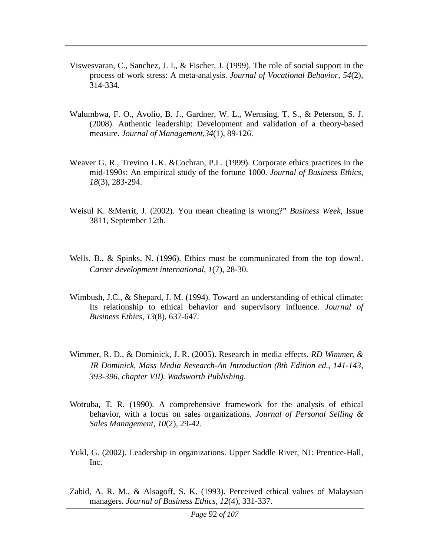- Viswesvaran, C., Sanchez, J. I., & Fischer, J. (1999). The role of social support in the process of work stress: A meta-analysis. *Journal of Vocational Behavior, 54*(2)*,* 314-334.
- Walumbwa, F. O., Avolio, B. J., Gardner, W. L., Wernsing, T. S., & Peterson, S. J. (2008). Authentic leadership: Development and validation of a theory-based measure. *Journal of Management,34*(1), 89-126.
- Weaver G. R., Trevino L.K. &Cochran, P.L. (1999). Corporate ethics practices in the mid-1990s: An empirical study of the fortune 1000. *Journal of Business Ethics, 18*(3), 283-294.
- Weisul K. &Merrit, J. (2002). You mean cheating is wrong?" *Business Week*, Issue 3811, September 12th.
- Wells, B., & Spinks, N. (1996). Ethics must be communicated from the top down!. *Career development international*, *1*(7), 28-30.
- Wimbush, J.C., & Shepard, J. M. (1994). Toward an understanding of ethical climate: Its relationship to ethical behavior and supervisory influence. *Journal of Business Ethics, 13*(8), 637-647.
- Wimmer, R. D., & Dominick, J. R. (2005). Research in media effects. *RD Wimmer, & JR Dominick, Mass Media Research-An Introduction (8th Edition ed., 141-143, 393-396, chapter VII). Wadsworth Publishing*.
- Wotruba, T. R. (1990). A comprehensive framework for the analysis of ethical behavior, with a focus on sales organizations. *Journal of Personal Selling & Sales Management*, *10*(2), 29-42.
- Yukl, G. (2002). Leadership in organizations. Upper Saddle River, NJ: Prentice-Hall, Inc.
- Zabid, A. R. M., & Alsagoff, S. K. (1993). Perceived ethical values of Malaysian managers. *Journal of Business Ethics*, *12*(4), 331-337.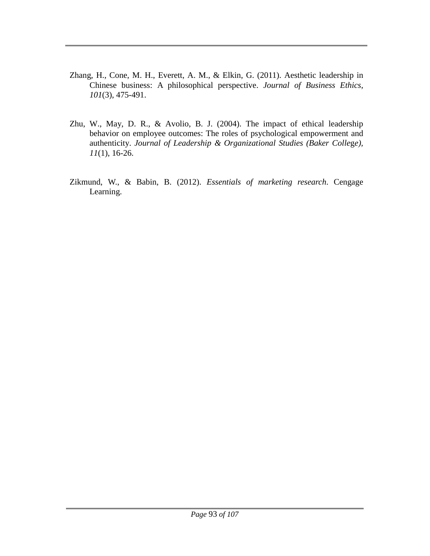- Zhang, H., Cone, M. H., Everett, A. M., & Elkin, G. (2011). Aesthetic leadership in Chinese business: A philosophical perspective. *Journal of Business Ethics*, *101*(3), 475-491.
- Zhu, W., May, D. R., & Avolio, B. J. (2004). The impact of ethical leadership behavior on employee outcomes: The roles of psychological empowerment and authenticity. *Journal of Leadership & Organizational Studies (Baker College), 11*(1), 16-26.
- Zikmund, W., & Babin, B. (2012). *Essentials of marketing research*. Cengage Learning.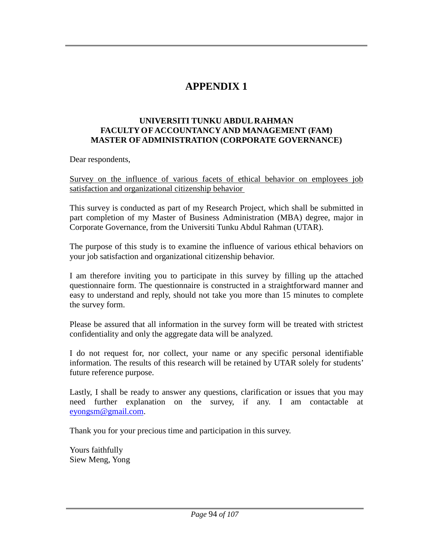# **APPENDIX 1**

#### **UNIVERSITI TUNKU ABDUL RAHMAN FACULTY OF ACCOUNTANCY AND MANAGEMENT (FAM) MASTER OF ADMINISTRATION (CORPORATE GOVERNANCE)**

Dear respondents,

Survey on the influence of various facets of ethical behavior on employees job satisfaction and organizational citizenship behavior

This survey is conducted as part of my Research Project, which shall be submitted in part completion of my Master of Business Administration (MBA) degree, major in Corporate Governance, from the Universiti Tunku Abdul Rahman (UTAR).

The purpose of this study is to examine the influence of various ethical behaviors on your job satisfaction and organizational citizenship behavior.

I am therefore inviting you to participate in this survey by filling up the attached questionnaire form. The questionnaire is constructed in a straightforward manner and easy to understand and reply, should not take you more than 15 minutes to complete the survey form.

Please be assured that all information in the survey form will be treated with strictest confidentiality and only the aggregate data will be analyzed.

I do not request for, nor collect, your name or any specific personal identifiable information. The results of this research will be retained by UTAR solely for students' future reference purpose.

Lastly, I shall be ready to answer any questions, clarification or issues that you may need further explanation on the survey, if any. I am contactable at [eyongsm@gmail.com.](mailto:eyongsm@gmail.com)

Thank you for your precious time and participation in this survey.

Yours faithfully Siew Meng, Yong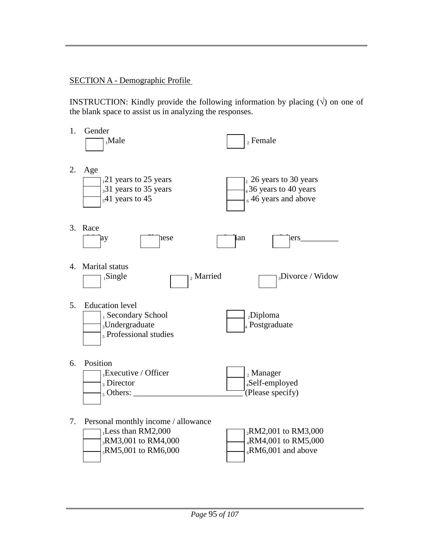### SECTION A - Demographic Profile

**INSTRUCTION:** Kindly provide the following information by placing  $(\sqrt{)}$  on one of the blank space to assist us in analyzing the responses.

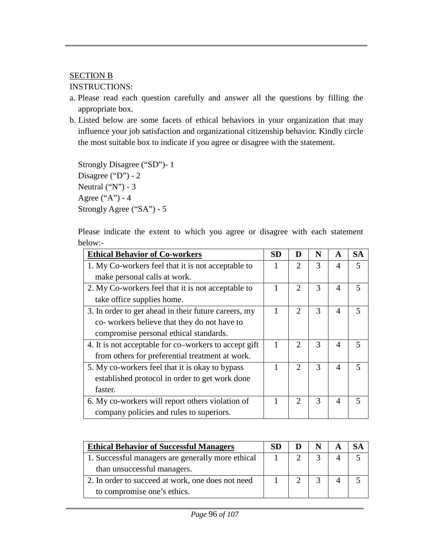### SECTION B

#### INSTRUCTIONS:

- a. Please read each question carefully and answer all the questions by filling the appropriate box.
- b. Listed below are some facets of ethical behaviors in your organization that may influence your job satisfaction and organizational citizenship behavior. Kindly circle the most suitable box to indicate if you agree or disagree with the statement.

```
Strongly Disagree ("SD")- 1
Disagree ("D") - 2Neutral ("N") - 3Agree ("A") - 4
Strongly Agree ("SA") - 5
```
Please indicate the extent to which you agree or disagree with each statement below:-

| <b>Ethical Behavior of Co-workers</b>                 | <b>SD</b> | D                           | N | $\mathbf A$                 | <b>SA</b> |
|-------------------------------------------------------|-----------|-----------------------------|---|-----------------------------|-----------|
| 1. My Co-workers feel that it is not acceptable to    |           | $\mathcal{D}_{\cdot}$       | 3 | 4                           | 5         |
| make personal calls at work.                          |           |                             |   |                             |           |
| 2. My Co-workers feel that it is not acceptable to    |           | $\mathcal{D}_{\cdot}$       | 3 | $\overline{4}$              | 5         |
| take office supplies home.                            |           |                             |   |                             |           |
| 3. In order to get ahead in their future careers, my  |           | $\mathcal{D}_{\cdot}$       | 3 | $\overline{4}$              | 5         |
| co- workers believe that they do not have to          |           |                             |   |                             |           |
| compromise personal ethical standards.                |           |                             |   |                             |           |
| 4. It is not acceptable for co-workers to accept gift | 1         | $\mathcal{D}_{\mathcal{L}}$ | 3 | $\overline{A}$              | 5         |
| from others for preferential treatment at work.       |           |                             |   |                             |           |
| 5. My co-workers feel that it is okay to bypass       |           | $\mathcal{D}_{\mathcal{L}}$ | 3 | $\overline{A}$              | 5         |
| established protocol in order to get work done        |           |                             |   |                             |           |
| faster.                                               |           |                             |   |                             |           |
| 6. My co-workers will report others violation of      |           | $\mathcal{D}_{\mathcal{L}}$ | 3 | $\boldsymbol{\vartriangle}$ |           |
| company policies and rules to superiors.              |           |                             |   |                             |           |

| <b>Ethical Behavior of Successful Managers</b>    | SD |  |  |
|---------------------------------------------------|----|--|--|
| 1. Successful managers are generally more ethical |    |  |  |
| than unsuccessful managers.                       |    |  |  |
| 2. In order to succeed at work, one does not need |    |  |  |
| to compromise one's ethics.                       |    |  |  |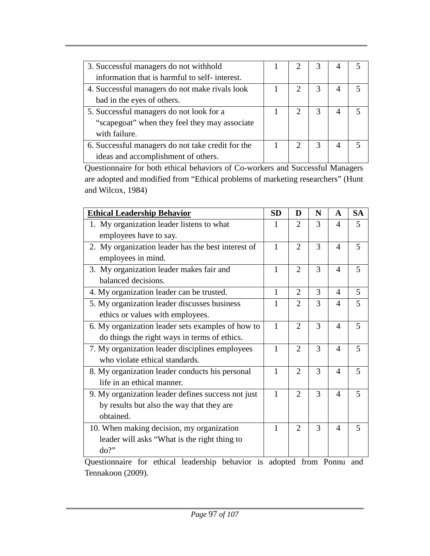| 3. Successful managers do not withhold            |  |                             |   |  |
|---------------------------------------------------|--|-----------------------------|---|--|
| information that is harmful to self-interest.     |  |                             |   |  |
| 4. Successful managers do not make rivals look    |  | $\mathcal{D}_{\mathcal{L}}$ | 3 |  |
| bad in the eyes of others.                        |  |                             |   |  |
| 5. Successful managers do not look for a          |  | $\mathcal{D}_{\mathcal{L}}$ | 3 |  |
| "scapegoat" when they feel they may associate     |  |                             |   |  |
| with failure.                                     |  |                             |   |  |
| 6. Successful managers do not take credit for the |  |                             | 3 |  |
| ideas and accomplishment of others.               |  |                             |   |  |

Questionnaire for both ethical behaviors of Co-workers and Successful Managers are adopted and modified from "Ethical problems of marketing researchers" (Hunt and Wilcox, 1984)

| <b>Ethical Leadership Behavior</b>                                  | <b>SD</b>    | D              | N | A                      | <b>SA</b> |  |  |  |
|---------------------------------------------------------------------|--------------|----------------|---|------------------------|-----------|--|--|--|
| 1. My organization leader listens to what                           | 1            | 2              | 3 | $\overline{4}$         | 5         |  |  |  |
| employees have to say.                                              |              |                |   |                        |           |  |  |  |
| 2. My organization leader has the best interest of                  | 1            | $\overline{2}$ | 3 | $\overline{A}$         | 5         |  |  |  |
| employees in mind.                                                  |              |                |   |                        |           |  |  |  |
| 3. My organization leader makes fair and                            | 1            | $\overline{2}$ | 3 | $\overline{A}$         | 5         |  |  |  |
| balanced decisions.                                                 |              |                |   |                        |           |  |  |  |
| 4. My organization leader can be trusted.                           | 1            | $\overline{2}$ | 3 | $\overline{A}$         | 5         |  |  |  |
| 5. My organization leader discusses business                        | 1            | $\overline{2}$ | 3 | $\overline{A}$         | 5         |  |  |  |
| ethics or values with employees.                                    |              |                |   |                        |           |  |  |  |
| 6. My organization leader sets examples of how to                   | $\mathbf{1}$ | $\overline{2}$ | 3 | $\overline{A}$         | 5         |  |  |  |
| do things the right ways in terms of ethics.                        |              |                |   |                        |           |  |  |  |
| 7. My organization leader disciplines employees                     | 1            | $\overline{2}$ | 3 | $\overline{A}$         | 5         |  |  |  |
| who violate ethical standards.                                      |              |                |   |                        |           |  |  |  |
| 8. My organization leader conducts his personal                     | 1            | $\overline{2}$ | 3 | $\overline{A}$         | 5         |  |  |  |
| life in an ethical manner.                                          |              |                |   |                        |           |  |  |  |
| 9. My organization leader defines success not just                  | 1            | $\overline{2}$ | 3 | $\overline{A}$         | 5         |  |  |  |
| by results but also the way that they are                           |              |                |   |                        |           |  |  |  |
| obtained.                                                           |              |                |   |                        |           |  |  |  |
| 10. When making decision, my organization                           | 1            | $\overline{2}$ | 3 | $\boldsymbol{\Lambda}$ | 5         |  |  |  |
| leader will asks "What is the right thing to                        |              |                |   |                        |           |  |  |  |
| do?"                                                                |              |                |   |                        |           |  |  |  |
| Questionnaire for othical leadership behavior is adopted from Donny |              |                |   |                        |           |  |  |  |

Questionnaire for ethical leadership behavior is adopted from Ponnu and Tennakoon (2009).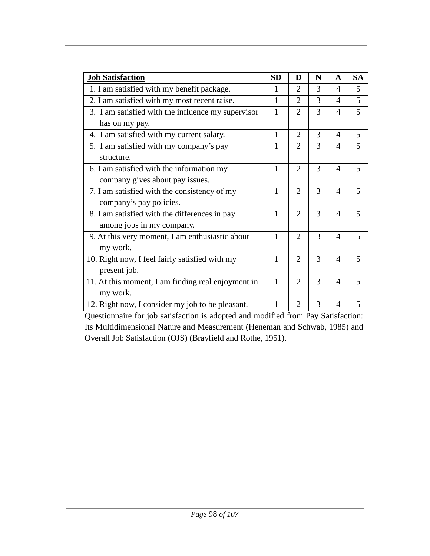| <b>Job Satisfaction</b>                            | <b>SD</b>    | D                           | N | A                        | <b>SA</b> |
|----------------------------------------------------|--------------|-----------------------------|---|--------------------------|-----------|
| 1. I am satisfied with my benefit package.         | 1            | $\mathcal{D}_{\mathcal{L}}$ | 3 | $\overline{\mathcal{A}}$ | 5         |
| 2. I am satisfied with my most recent raise.       | 1            | 2                           | 3 | 4                        | 5         |
| 3. I am satisfied with the influence my supervisor | $\mathbf{1}$ | $\overline{2}$              | 3 | $\overline{4}$           | 5         |
| has on my pay.                                     |              |                             |   |                          |           |
| 4. I am satisfied with my current salary.          | $\mathbf{1}$ | $\overline{2}$              | 3 | $\overline{4}$           | 5         |
| 5. I am satisfied with my company's pay            | 1            | $\mathcal{D}_{\cdot}$       | 3 | 4                        | 5         |
| structure.                                         |              |                             |   |                          |           |
| 6. I am satisfied with the information my          | 1            | $\overline{2}$              | 3 | 4                        | 5         |
| company gives about pay issues.                    |              |                             |   |                          |           |
| 7. I am satisfied with the consistency of my       | 1            | 2                           | 3 | $\overline{A}$           | 5         |
| company's pay policies.                            |              |                             |   |                          |           |
| 8. I am satisfied with the differences in pay      | 1            | $\overline{2}$              | 3 | $\overline{A}$           | 5         |
| among jobs in my company.                          |              |                             |   |                          |           |
| 9. At this very moment, I am enthusiastic about    | 1            | $\overline{2}$              | 3 | $\overline{A}$           | 5         |
| my work.                                           |              |                             |   |                          |           |
| 10. Right now, I feel fairly satisfied with my     | 1            | $\overline{2}$              | 3 | $\overline{\mathcal{A}}$ | 5         |
| present job.                                       |              |                             |   |                          |           |
| 11. At this moment, I am finding real enjoyment in | $\mathbf{1}$ | $\overline{2}$              | 3 | $\overline{4}$           | 5         |
| my work.                                           |              |                             |   |                          |           |
| 12. Right now, I consider my job to be pleasant.   | 1            | $\overline{2}$              | 3 | 4                        | 5         |

Questionnaire for job satisfaction is adopted and modified from Pay Satisfaction: Its Multidimensional Nature and Measurement (Heneman and Schwab, 1985) and Overall Job Satisfaction (OJS) (Brayfield and Rothe, 1951).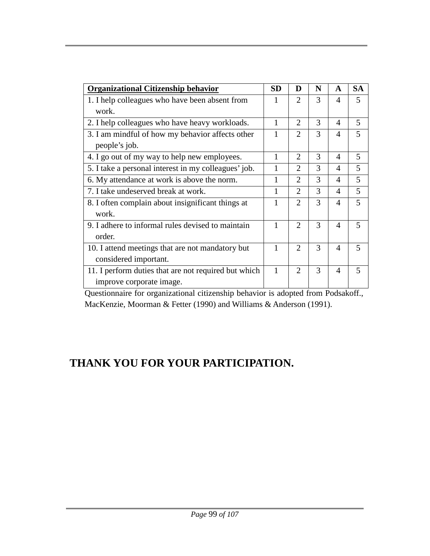| <b>Organizational Citizenship behavior</b>           | <b>SD</b> | D                           | N | A                        | <b>SA</b> |
|------------------------------------------------------|-----------|-----------------------------|---|--------------------------|-----------|
| 1. I help colleagues who have been absent from       |           | $\mathcal{D}_{\mathcal{L}}$ | 3 | $\boldsymbol{\varDelta}$ | 5         |
| work.                                                |           |                             |   |                          |           |
| 2. I help colleagues who have heavy workloads.       | 1         | 2                           | 3 | $\overline{A}$           | 5         |
| 3. I am mindful of how my behavior affects other     | 1         | $\overline{2}$              | 3 | $\boldsymbol{\varDelta}$ | 5         |
| people's job.                                        |           |                             |   |                          |           |
| 4. I go out of my way to help new employees.         | 1         | 2                           | 3 | $\overline{A}$           | 5         |
| 5. I take a personal interest in my colleagues' job. | 1         | $\mathcal{D}_{\mathcal{L}}$ | 3 | $\boldsymbol{\varDelta}$ | 5         |
| 6. My attendance at work is above the norm.          | 1         | $\mathcal{D}_{\mathcal{L}}$ | 3 | $\overline{4}$           | 5         |
| 7. I take undeserved break at work.                  | 1         | $\overline{2}$              | 3 | $\overline{4}$           | 5         |
| 8. I often complain about insignificant things at    | 1         | 2                           | 3 | $\overline{A}$           | 5         |
| work.                                                |           |                             |   |                          |           |
| 9. I adhere to informal rules devised to maintain    | 1         | $\overline{2}$              | 3 | $\overline{A}$           | 5         |
| order.                                               |           |                             |   |                          |           |
| 10. I attend meetings that are not mandatory but     | 1         | $\overline{2}$              | 3 | $\boldsymbol{\varDelta}$ | 5         |
| considered important.                                |           |                             |   |                          |           |
| 11. I perform duties that are not required but which | 1         | $\overline{2}$              | 3 | $\overline{A}$           | 5         |
| improve corporate image.                             |           |                             |   |                          |           |

Questionnaire for organizational citizenship behavior is adopted from Podsakoff., MacKenzie, Moorman & Fetter (1990) and Williams & Anderson (1991).

## **THANK YOU FOR YOUR PARTICIPATION.**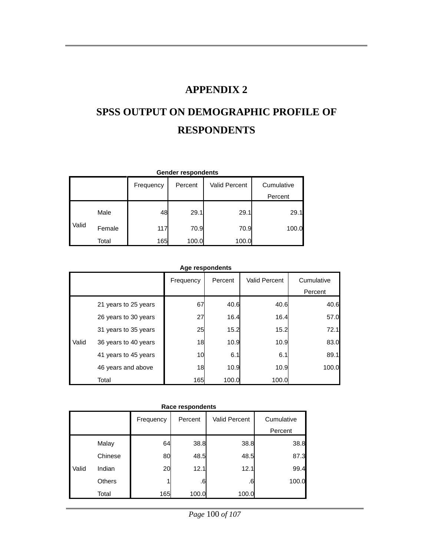### **APPENDIX 2**

# **SPSS OUTPUT ON DEMOGRAPHIC PROFILE OF RESPONDENTS**

| <b>Gender respondents</b> |        |           |         |               |            |  |  |  |
|---------------------------|--------|-----------|---------|---------------|------------|--|--|--|
|                           |        | Frequency | Percent | Valid Percent | Cumulative |  |  |  |
|                           |        |           |         |               | Percent    |  |  |  |
|                           | Male   | 48        | 29.1    | 29.1          | 29.1       |  |  |  |
| Valid                     | Female | 117       | 70.9    | 70.9          | 100.0      |  |  |  |
|                           | Total  | 165       | 100.0   | 100.0         |            |  |  |  |

| Age respondents |
|-----------------|
|-----------------|

|       |                      | Frequency | Percent | <b>Valid Percent</b> | Cumulative<br>Percent |
|-------|----------------------|-----------|---------|----------------------|-----------------------|
|       | 21 years to 25 years | 67        | 40.6    | 40.6                 | 40.6                  |
|       | 26 years to 30 years | 27        | 16.4    | 16.4                 | 57.0                  |
|       | 31 years to 35 years | 25        | 15.2    | 15.2                 | 72.1                  |
| Valid | 36 years to 40 years | 18        | 10.9    | 10.9                 | 83.0                  |
|       | 41 years to 45 years | 10        | 6.1     | 6.1                  | 89.1                  |
|       | 46 years and above   | 18        | 10.9    | 10.9                 | 100.0                 |
|       | Total                | 165       | 100.0   | 100.0                |                       |

| Race respondents |               |            |         |                      |            |  |  |  |
|------------------|---------------|------------|---------|----------------------|------------|--|--|--|
|                  |               | Frequency  | Percent | <b>Valid Percent</b> | Cumulative |  |  |  |
|                  |               |            |         |                      | Percent    |  |  |  |
|                  | Malay         | 64         | 38.8    | 38.8                 | 38.8       |  |  |  |
|                  | Chinese       | 80         | 48.5    | 48.5                 | 87.3       |  |  |  |
| Valid            | Indian        | 20         | 12.1    | 12.1                 | 99.4       |  |  |  |
|                  | <b>Others</b> |            | .6      | .6                   | 100.0      |  |  |  |
|                  | Total         | <b>165</b> | 100.0   | 100.0                |            |  |  |  |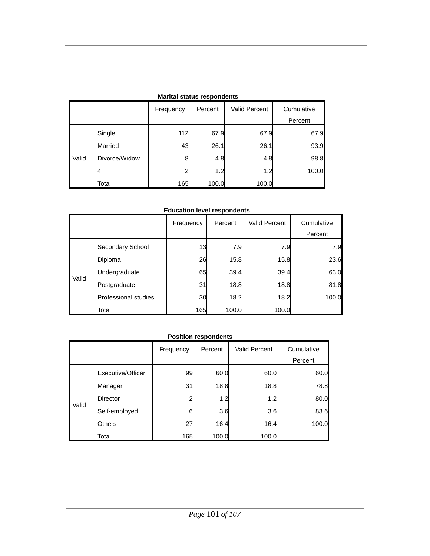| <b>Marital Status respondents</b> |               |           |         |                      |                       |  |  |  |  |
|-----------------------------------|---------------|-----------|---------|----------------------|-----------------------|--|--|--|--|
|                                   |               | Frequency | Percent | <b>Valid Percent</b> | Cumulative<br>Percent |  |  |  |  |
|                                   | Single        | 112       | 67.9    | 67.9                 | 67.9                  |  |  |  |  |
|                                   | Married       | 43        | 26.1    | 26.1                 | 93.9                  |  |  |  |  |
| Valid                             | Divorce/Widow | 8         | 4.8     | 4.8                  | 98.8                  |  |  |  |  |
|                                   | 4             | າ         | 1.2     | 1.2                  | 100.0                 |  |  |  |  |
|                                   | Total         | 165       | 100.0   | 100.0                |                       |  |  |  |  |

### **Marital status respondents**

#### **Education level respondents**

|       |                      | Frequency | Percent | <b>Valid Percent</b> | Cumulative<br>Percent |
|-------|----------------------|-----------|---------|----------------------|-----------------------|
|       | Secondary School     | 13        | 7.9     | 7.9                  | 7.9                   |
|       | Diploma              | 26        | 15.8    | 15.8                 | 23.6                  |
| Valid | Undergraduate        | 65        | 39.4    | 39.4                 | 63.0                  |
|       | Postgraduate         | 31        | 18.8    | 18.8                 | 81.8                  |
|       | Professional studies | 30        | 18.2    | 18.2                 | 100.0                 |
|       | Total                | 165       | 100.0   | 100.0                |                       |

#### **Position respondents**

|       |                   | Frequency      | Percent | <b>Valid Percent</b> | Cumulative |
|-------|-------------------|----------------|---------|----------------------|------------|
|       |                   |                |         |                      | Percent    |
| Valid | Executive/Officer | 99             | 60.0    | 60.0                 | 60.0       |
|       | Manager           | 31             | 18.8    | 18.8                 | 78.8       |
|       | <b>Director</b>   | $\overline{c}$ | 1.2     | 1.2                  | 80.0       |
|       | Self-employed     | 6              | 3.6     | 3.6                  | 83.6       |
|       | <b>Others</b>     | 27             | 16.4    | 16.4                 | 100.0      |
|       | Total             | 165            | 100.0   | 100.0                |            |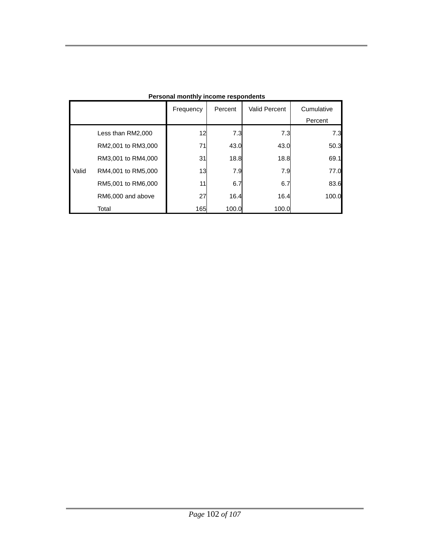|       |                    | Frequency | Percent | <b>Valid Percent</b> | Cumulative<br>Percent |
|-------|--------------------|-----------|---------|----------------------|-----------------------|
|       | Less than RM2,000  | 12        | 7.3     | 7.3                  | 7.3                   |
|       | RM2,001 to RM3,000 | 71        | 43.0    | 43.0                 | 50.3                  |
|       | RM3,001 to RM4,000 | 31        | 18.8    | 18.8                 | 69.1                  |
| Valid | RM4,001 to RM5,000 | 13        | 7.9     | 7.9                  | 77.0                  |
|       | RM5,001 to RM6,000 | 11        | 6.7     | 6.7                  | 83.6                  |
|       | RM6,000 and above  | 27        | 16.4    | 16.4                 | 100.0                 |
|       | Total              | 165       | 100.0   | 100.0                |                       |

**Personal monthly income respondents**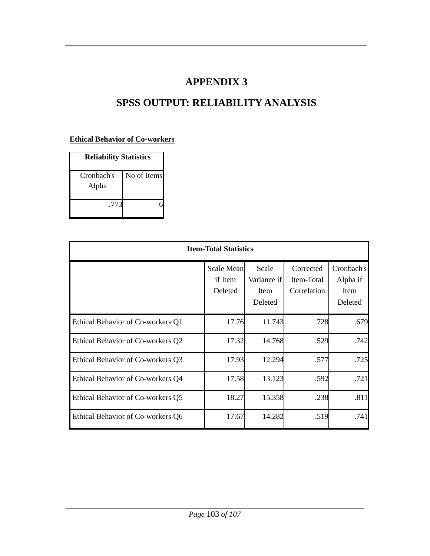### **APPENDIX 3**

# **SPSS OUTPUT: RELIABILITY ANALYSIS**

### **Ethical Behavior of Co-workers**

| <b>Reliability Statistics</b> |             |  |  |  |  |
|-------------------------------|-------------|--|--|--|--|
| Cronbach's<br>Alpha           | No of Items |  |  |  |  |
| .773                          |             |  |  |  |  |

| <b>Item-Total Statistics</b>      |                                         |                                         |                                        |                                           |  |  |
|-----------------------------------|-----------------------------------------|-----------------------------------------|----------------------------------------|-------------------------------------------|--|--|
|                                   | <b>Scale Mean</b><br>if Item<br>Deleted | Scale<br>Variance if<br>Item<br>Deleted | Corrected<br>Item-Total<br>Correlation | Cronbach's<br>Alpha if<br>Item<br>Deleted |  |  |
| Ethical Behavior of Co-workers Q1 | 17.76                                   | 11.743                                  | .728                                   | .679                                      |  |  |
| Ethical Behavior of Co-workers Q2 | 17.32                                   | 14.768                                  | .529                                   | .742                                      |  |  |
| Ethical Behavior of Co-workers Q3 | 17.93                                   | 12.294                                  | .577                                   | .725                                      |  |  |
| Ethical Behavior of Co-workers Q4 | 17.58                                   | 13.123                                  | .592                                   | .721                                      |  |  |
| Ethical Behavior of Co-workers Q5 | 18.27                                   | 15.358                                  | .238                                   | .811                                      |  |  |
| Ethical Behavior of Co-workers Q6 | 17.67                                   | 14.282                                  | .519                                   | .741                                      |  |  |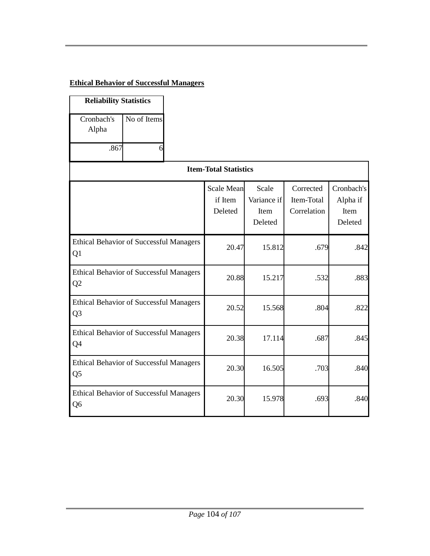### **Ethical Behavior of Successful Managers**

| <b>Reliability Statistics</b>                                    |             |                                         |                                         |                                        |                                           |
|------------------------------------------------------------------|-------------|-----------------------------------------|-----------------------------------------|----------------------------------------|-------------------------------------------|
| Cronbach's<br>Alpha<br>.867                                      | No of Items |                                         |                                         |                                        |                                           |
|                                                                  |             | <b>Item-Total Statistics</b>            |                                         |                                        |                                           |
|                                                                  |             | <b>Scale Mean</b><br>if Item<br>Deleted | Scale<br>Variance if<br>Item<br>Deleted | Corrected<br>Item-Total<br>Correlation | Cronbach's<br>Alpha if<br>Item<br>Deleted |
| <b>Ethical Behavior of Successful Managers</b><br>Q1             |             | 20.47                                   | 15.812                                  | .679                                   | .842                                      |
| <b>Ethical Behavior of Successful Managers</b><br>Q <sub>2</sub> |             | 20.88                                   | 15.217                                  | .532                                   | .883                                      |
| <b>Ethical Behavior of Successful Managers</b><br>Q <sub>3</sub> |             | 20.52                                   | 15.568                                  | .804                                   | .822                                      |
| <b>Ethical Behavior of Successful Managers</b><br>Q4             |             | 20.38                                   | 17.114                                  | .687                                   | .845                                      |
| <b>Ethical Behavior of Successful Managers</b><br>Q <sub>5</sub> |             | 20.30                                   | 16.505                                  | .703                                   | .840                                      |
| <b>Ethical Behavior of Successful Managers</b><br>Q6             |             | 20.30                                   | 15.978                                  | .693                                   | .840                                      |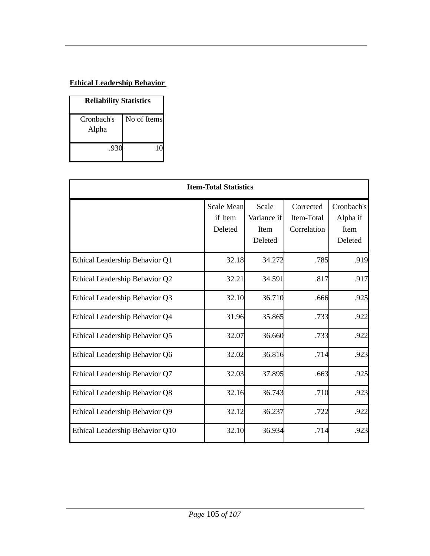### **Ethical Leadership Behavior**

| <b>Reliability Statistics</b> |             |  |  |  |  |
|-------------------------------|-------------|--|--|--|--|
| Cronbach's<br>Alpha           | No of Items |  |  |  |  |
| .930                          |             |  |  |  |  |

| <b>Item-Total Statistics</b>    |                                         |                                                |                                        |                                           |  |
|---------------------------------|-----------------------------------------|------------------------------------------------|----------------------------------------|-------------------------------------------|--|
|                                 | <b>Scale Mean</b><br>if Item<br>Deleted | Scale<br>Variance if<br><b>Item</b><br>Deleted | Corrected<br>Item-Total<br>Correlation | Cronbach's<br>Alpha if<br>Item<br>Deleted |  |
| Ethical Leadership Behavior Q1  | 32.18                                   | 34.272                                         | .785                                   | .919                                      |  |
| Ethical Leadership Behavior Q2  | 32.21                                   | 34.591                                         | .817                                   | .917                                      |  |
| Ethical Leadership Behavior Q3  | 32.10                                   | 36.710                                         | .666                                   | .925                                      |  |
| Ethical Leadership Behavior Q4  | 31.96                                   | 35.865                                         | .733                                   | .922                                      |  |
| Ethical Leadership Behavior Q5  | 32.07                                   | 36.660                                         | .733                                   | .922                                      |  |
| Ethical Leadership Behavior Q6  | 32.02                                   | 36.816                                         | .714                                   | .923                                      |  |
| Ethical Leadership Behavior Q7  | 32.03                                   | 37.895                                         | .663                                   | .925                                      |  |
| Ethical Leadership Behavior Q8  | 32.16                                   | 36.743                                         | .710                                   | .923                                      |  |
| Ethical Leadership Behavior Q9  | 32.12                                   | 36.237                                         | .722                                   | .922                                      |  |
| Ethical Leadership Behavior Q10 | 32.10                                   | 36.934                                         | .714                                   | .923                                      |  |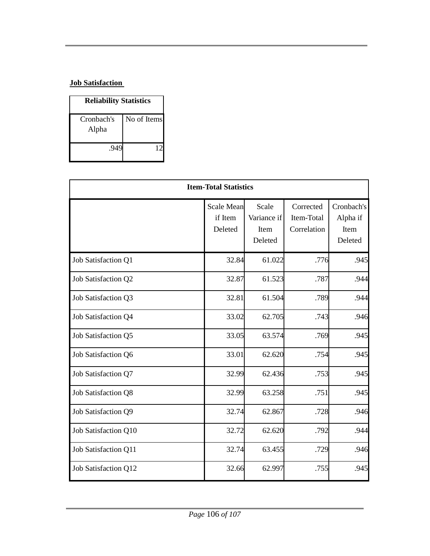### **Job Satisfaction**

| <b>Reliability Statistics</b> |             |  |  |  |  |
|-------------------------------|-------------|--|--|--|--|
| Cronbach's<br>Alpha           | No of Items |  |  |  |  |
| -94                           | 10          |  |  |  |  |

| <b>Item-Total Statistics</b> |                                         |                                         |                                        |                                           |  |
|------------------------------|-----------------------------------------|-----------------------------------------|----------------------------------------|-------------------------------------------|--|
|                              | <b>Scale Mean</b><br>if Item<br>Deleted | Scale<br>Variance if<br>Item<br>Deleted | Corrected<br>Item-Total<br>Correlation | Cronbach's<br>Alpha if<br>Item<br>Deleted |  |
| Job Satisfaction Q1          | 32.84                                   | 61.022                                  | .776                                   | .945                                      |  |
| Job Satisfaction Q2          | 32.87                                   | 61.523                                  | .787                                   | .944                                      |  |
| Job Satisfaction Q3          | 32.81                                   | 61.504                                  | .789                                   | .944                                      |  |
| Job Satisfaction Q4          | 33.02                                   | 62.705                                  | .743                                   | .946                                      |  |
| Job Satisfaction Q5          | 33.05                                   | 63.574                                  | .769                                   | .945                                      |  |
| Job Satisfaction Q6          | 33.01                                   | 62.620                                  | .754                                   | .945                                      |  |
| Job Satisfaction Q7          | 32.99                                   | 62.436                                  | .753                                   | .945                                      |  |
| Job Satisfaction Q8          | 32.99                                   | 63.258                                  | .751                                   | .945                                      |  |
| Job Satisfaction Q9          | 32.74                                   | 62.867                                  | .728                                   | .946                                      |  |
| Job Satisfaction Q10         | 32.72                                   | 62.620                                  | .792                                   | .944                                      |  |
| Job Satisfaction Q11         | 32.74                                   | 63.455                                  | .729                                   | .946                                      |  |
| Job Satisfaction Q12         | 32.66                                   | 62.997                                  | .755                                   | .945                                      |  |